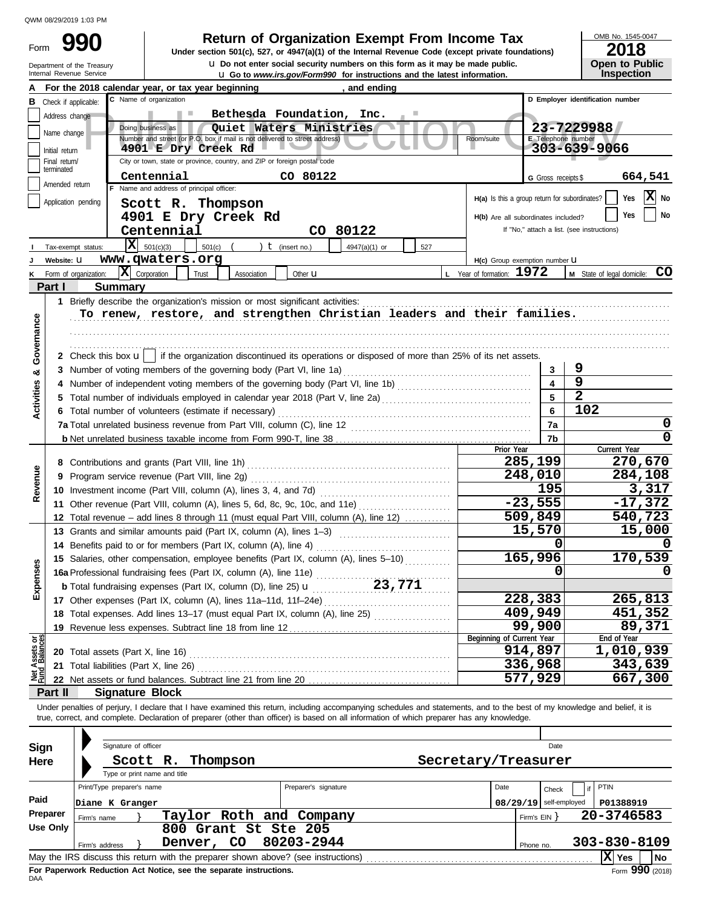Form

Department of the Treasury<br>Internal Revenue Service

u Go to *www.irs.gov/Form990* for instructions and the latest information. **u** Do not enter social security numbers on this form as it may be made public. **990 1990 2018 Depending Solution Solution Solution Script Script Script Script Script Prom Income Tax 1947(a)(1)** of the Internal Revenue Code (except private foundations)

OMB No. 1545-0047

| ZUIO                  |  |
|-----------------------|--|
| <b>Open to Public</b> |  |
| <b>Inspection</b>     |  |

|                                |                                                                                                                               |                                                                                                                                              | For the 2018 calendar year, or tax year beginning                                                                                                                          |                           |                      | , and ending  |     |                                               |                          |                                            |  |  |
|--------------------------------|-------------------------------------------------------------------------------------------------------------------------------|----------------------------------------------------------------------------------------------------------------------------------------------|----------------------------------------------------------------------------------------------------------------------------------------------------------------------------|---------------------------|----------------------|---------------|-----|-----------------------------------------------|--------------------------|--------------------------------------------|--|--|
| в                              |                                                                                                                               | Check if applicable:                                                                                                                         | C Name of organization                                                                                                                                                     |                           |                      |               |     |                                               |                          | D Employer identification number           |  |  |
|                                | Address change                                                                                                                |                                                                                                                                              |                                                                                                                                                                            | Bethesda Foundation, Inc. |                      |               |     |                                               |                          |                                            |  |  |
|                                | 23-7229988<br>Doing business as<br>Quiet Waters Ministries                                                                    |                                                                                                                                              |                                                                                                                                                                            |                           |                      |               |     |                                               |                          |                                            |  |  |
|                                | Name change<br>Number and street (or P.O. box if mail is not delivered to street address)<br>Room/suite<br>E Telephone number |                                                                                                                                              |                                                                                                                                                                            |                           |                      |               |     |                                               |                          |                                            |  |  |
|                                | 4901 E Dry Creek Rd<br>303-639-9066<br>Initial return                                                                         |                                                                                                                                              |                                                                                                                                                                            |                           |                      |               |     |                                               |                          |                                            |  |  |
|                                | City or town, state or province, country, and ZIP or foreign postal code<br>Final return/<br>terminated                       |                                                                                                                                              |                                                                                                                                                                            |                           |                      |               |     |                                               |                          |                                            |  |  |
|                                | Amended return                                                                                                                |                                                                                                                                              | Centennial                                                                                                                                                                 |                           | CO 80122             |               |     |                                               | G Gross receipts \$      | 664,541                                    |  |  |
|                                |                                                                                                                               |                                                                                                                                              | F Name and address of principal officer:                                                                                                                                   |                           |                      |               |     | H(a) Is this a group return for subordinates? |                          | X No<br>Yes                                |  |  |
|                                |                                                                                                                               | Application pending                                                                                                                          | Scott R. Thompson                                                                                                                                                          |                           |                      |               |     |                                               |                          |                                            |  |  |
|                                |                                                                                                                               |                                                                                                                                              |                                                                                                                                                                            | 4901 E Dry Creek Rd       |                      |               |     | H(b) Are all subordinates included?           |                          | No<br>Yes                                  |  |  |
|                                |                                                                                                                               |                                                                                                                                              | Centennial                                                                                                                                                                 |                           |                      | CO 80122      |     |                                               |                          | If "No," attach a list. (see instructions) |  |  |
|                                |                                                                                                                               | Tax-exempt status:                                                                                                                           | Iх<br>501(c)(3)                                                                                                                                                            | 501(c)                    | ) $t$ (insert no.)   | 4947(a)(1) or | 527 |                                               |                          |                                            |  |  |
|                                | Website: U                                                                                                                    |                                                                                                                                              | www.qwaters.org                                                                                                                                                            |                           |                      |               |     | H(c) Group exemption number U                 |                          |                                            |  |  |
| κ                              |                                                                                                                               | Form of organization:                                                                                                                        | $ \mathbf{X} $ Corporation                                                                                                                                                 | Trust<br>Association      | Other <b>u</b>       |               |     | L Year of formation: 1972                     |                          | <b>CO</b><br>M State of legal domicile:    |  |  |
|                                | Part I                                                                                                                        |                                                                                                                                              | <b>Summary</b>                                                                                                                                                             |                           |                      |               |     |                                               |                          |                                            |  |  |
|                                |                                                                                                                               |                                                                                                                                              | 1 Briefly describe the organization's mission or most significant activities:                                                                                              |                           |                      |               |     |                                               |                          |                                            |  |  |
|                                |                                                                                                                               |                                                                                                                                              | To renew, restore, and strengthen Christian leaders and their families.                                                                                                    |                           |                      |               |     |                                               |                          |                                            |  |  |
|                                |                                                                                                                               |                                                                                                                                              |                                                                                                                                                                            |                           |                      |               |     |                                               |                          |                                            |  |  |
|                                |                                                                                                                               |                                                                                                                                              |                                                                                                                                                                            |                           |                      |               |     |                                               |                          |                                            |  |  |
| Governance                     |                                                                                                                               |                                                                                                                                              | 2 Check this box $\mathbf{u}$   if the organization discontinued its operations or disposed of more than 25% of its net assets.                                            |                           |                      |               |     |                                               |                          |                                            |  |  |
| ಯ                              |                                                                                                                               |                                                                                                                                              | 3 Number of voting members of the governing body (Part VI, line 1a)                                                                                                        |                           |                      |               |     |                                               | 3                        | 9                                          |  |  |
|                                |                                                                                                                               |                                                                                                                                              |                                                                                                                                                                            |                           |                      |               |     |                                               | 4                        | 9                                          |  |  |
|                                | 5.                                                                                                                            |                                                                                                                                              | Total number of individuals employed in calendar year 2018 (Part V, line 2a) [[[[[[[[[[[[[[[[[[[[[[[[[[[[[[[[                                                              |                           |                      |               |     |                                               | 5                        | $\overline{2}$                             |  |  |
| Activities                     |                                                                                                                               |                                                                                                                                              | 6 Total number of volunteers (estimate if necessary)                                                                                                                       |                           |                      |               |     |                                               | 6                        | 102                                        |  |  |
|                                |                                                                                                                               |                                                                                                                                              |                                                                                                                                                                            |                           |                      |               |     |                                               | 7a                       | 0                                          |  |  |
|                                |                                                                                                                               |                                                                                                                                              | 7b                                                                                                                                                                         |                           |                      |               |     |                                               |                          |                                            |  |  |
|                                |                                                                                                                               |                                                                                                                                              |                                                                                                                                                                            |                           |                      |               |     | Prior Year                                    |                          | Current Year                               |  |  |
|                                | 8 Contributions and grants (Part VIII, line 1h)                                                                               |                                                                                                                                              |                                                                                                                                                                            |                           |                      |               |     |                                               | 285,199                  | 270,670                                    |  |  |
| Revenue                        | Program service revenue (Part VIII, line 2g)<br>9                                                                             |                                                                                                                                              |                                                                                                                                                                            |                           |                      |               |     |                                               | 248,010                  | 284,108                                    |  |  |
|                                |                                                                                                                               |                                                                                                                                              | 10 Investment income (Part VIII, column (A), lines 3, 4, and 7d)                                                                                                           |                           |                      |               |     |                                               |                          | 3,317                                      |  |  |
|                                | 11 Other revenue (Part VIII, column (A), lines 5, 6d, 8c, 9c, 10c, and 11e)                                                   |                                                                                                                                              |                                                                                                                                                                            |                           |                      |               |     |                                               | 195<br>$-23,555$         | $-17,372$                                  |  |  |
|                                | 12                                                                                                                            |                                                                                                                                              | Total revenue - add lines 8 through 11 (must equal Part VIII, column (A), line 12)                                                                                         |                           |                      |               |     |                                               | 509,849                  | 540,723                                    |  |  |
|                                |                                                                                                                               |                                                                                                                                              |                                                                                                                                                                            |                           |                      |               |     |                                               | 15,570                   | 15,000                                     |  |  |
|                                | 14                                                                                                                            | 13 Grants and similar amounts paid (Part IX, column (A), lines 1-3)<br>Benefits paid to or for members (Part IX, column (A), line 4)         |                                                                                                                                                                            |                           |                      |               |     |                                               |                          |                                            |  |  |
|                                | 15                                                                                                                            |                                                                                                                                              | Salaries, other compensation, employee benefits (Part IX, column (A), lines 5-10)                                                                                          |                           |                      |               |     |                                               | 0<br>165,996             | 170,539                                    |  |  |
| kpenses                        |                                                                                                                               |                                                                                                                                              |                                                                                                                                                                            |                           |                      |               |     |                                               | 0                        |                                            |  |  |
|                                |                                                                                                                               | 16a Professional fundraising fees (Part IX, column (A), line 11e)<br>23,771<br>b Total fundraising expenses (Part IX, column (D), line 25) u |                                                                                                                                                                            |                           |                      |               |     |                                               |                          |                                            |  |  |
| ш                              |                                                                                                                               |                                                                                                                                              |                                                                                                                                                                            |                           |                      |               |     |                                               | 228,383                  | 265,813                                    |  |  |
|                                |                                                                                                                               |                                                                                                                                              | 17 Other expenses (Part IX, column (A), lines 11a-11d, 11f-24e)                                                                                                            |                           |                      |               |     |                                               | 409,949                  | 451,352                                    |  |  |
|                                |                                                                                                                               |                                                                                                                                              | 18 Total expenses. Add lines 13-17 (must equal Part IX, column (A), line 25)                                                                                               |                           |                      |               |     |                                               |                          |                                            |  |  |
|                                | 19                                                                                                                            |                                                                                                                                              | Revenue less expenses. Subtract line 18 from line 12                                                                                                                       |                           |                      | . <u>.</u>    |     | Beginning of Current Year                     | 99,900                   | 89,371<br>End of Year                      |  |  |
| Net Assets or<br>Fund Balances |                                                                                                                               |                                                                                                                                              | <b>20</b> Total assets (Part X, line 16)                                                                                                                                   |                           |                      |               |     |                                               | 914,897                  | 1,010,939                                  |  |  |
|                                |                                                                                                                               |                                                                                                                                              | 21 Total liabilities (Part X, line 26)                                                                                                                                     |                           |                      |               |     |                                               | 336,968                  | 343,639                                    |  |  |
|                                |                                                                                                                               |                                                                                                                                              |                                                                                                                                                                            |                           |                      |               |     |                                               | 577,929                  | 667,300                                    |  |  |
|                                | Part II                                                                                                                       |                                                                                                                                              | <b>Signature Block</b>                                                                                                                                                     |                           |                      |               |     |                                               |                          |                                            |  |  |
|                                |                                                                                                                               |                                                                                                                                              | Under penalties of perjury, I declare that I have examined this return, including accompanying schedules and statements, and to the best of my knowledge and belief, it is |                           |                      |               |     |                                               |                          |                                            |  |  |
|                                |                                                                                                                               |                                                                                                                                              | true, correct, and complete. Declaration of preparer (other than officer) is based on all information of which preparer has any knowledge.                                 |                           |                      |               |     |                                               |                          |                                            |  |  |
|                                |                                                                                                                               |                                                                                                                                              |                                                                                                                                                                            |                           |                      |               |     |                                               |                          |                                            |  |  |
|                                |                                                                                                                               |                                                                                                                                              | Signature of officer                                                                                                                                                       |                           |                      |               |     |                                               | Date                     |                                            |  |  |
| Sign                           |                                                                                                                               |                                                                                                                                              |                                                                                                                                                                            |                           |                      |               |     |                                               |                          |                                            |  |  |
| Here                           |                                                                                                                               |                                                                                                                                              | Scott R.                                                                                                                                                                   | Thompson                  |                      |               |     | Secretary/Treasurer                           |                          |                                            |  |  |
|                                |                                                                                                                               |                                                                                                                                              | Type or print name and title                                                                                                                                               |                           |                      |               |     |                                               |                          |                                            |  |  |
|                                |                                                                                                                               |                                                                                                                                              | Print/Type preparer's name                                                                                                                                                 |                           | Preparer's signature |               |     | Date                                          | Check                    | <b>PTIN</b>                                |  |  |
| Paid                           |                                                                                                                               |                                                                                                                                              | Diane K Granger                                                                                                                                                            |                           |                      |               |     |                                               | $08/29/19$ self-employed | P01388919                                  |  |  |
|                                | Preparer                                                                                                                      | Firm's name                                                                                                                                  |                                                                                                                                                                            | Taylor Roth and Company   |                      |               |     |                                               | Firm's $EIN$ }           | 20-3746583                                 |  |  |
|                                | Use Only                                                                                                                      |                                                                                                                                              |                                                                                                                                                                            | 800 Grant St Ste 205      |                      |               |     |                                               |                          |                                            |  |  |
|                                |                                                                                                                               | Firm's address                                                                                                                               |                                                                                                                                                                            | Denver, CO                | 80203-2944           |               |     |                                               | Phone no.                | 303-830-8109                               |  |  |
|                                |                                                                                                                               |                                                                                                                                              | May the IRS discuss this return with the preparer shown above? (see instructions)                                                                                          |                           |                      |               |     |                                               |                          | $ X $ Yes<br>No                            |  |  |

| Sign<br>Here | Signature of officer<br>Scott R.                           | Thompson                                                                          | Secretary/Treasurer  |      | Date                     |                             |
|--------------|------------------------------------------------------------|-----------------------------------------------------------------------------------|----------------------|------|--------------------------|-----------------------------|
|              | Type or print name and title<br>Print/Type preparer's name |                                                                                   | Preparer's signature | Date | Check                    | PTIN                        |
| Paid         | Diane K Granger                                            |                                                                                   |                      |      | $08/29/19$ self-employed | P01388919                   |
| Preparer     | Firm's name                                                | Taylor Roth and Company                                                           |                      |      | Firm's EIN Y             | 20-3746583                  |
| Use Only     | Firm's address                                             | Phone no.                                                                         | 303-830-8109         |      |                          |                             |
|              |                                                            | May the IRS discuss this return with the preparer shown above? (see instructions) |                      |      |                          | $ X $ Yes<br><b>No</b>      |
|              |                                                            | For Panerwork Reduction Act Notice, see the senarate instructions                 |                      |      |                          | $F_{\text{c}}$ 000 $(2040)$ |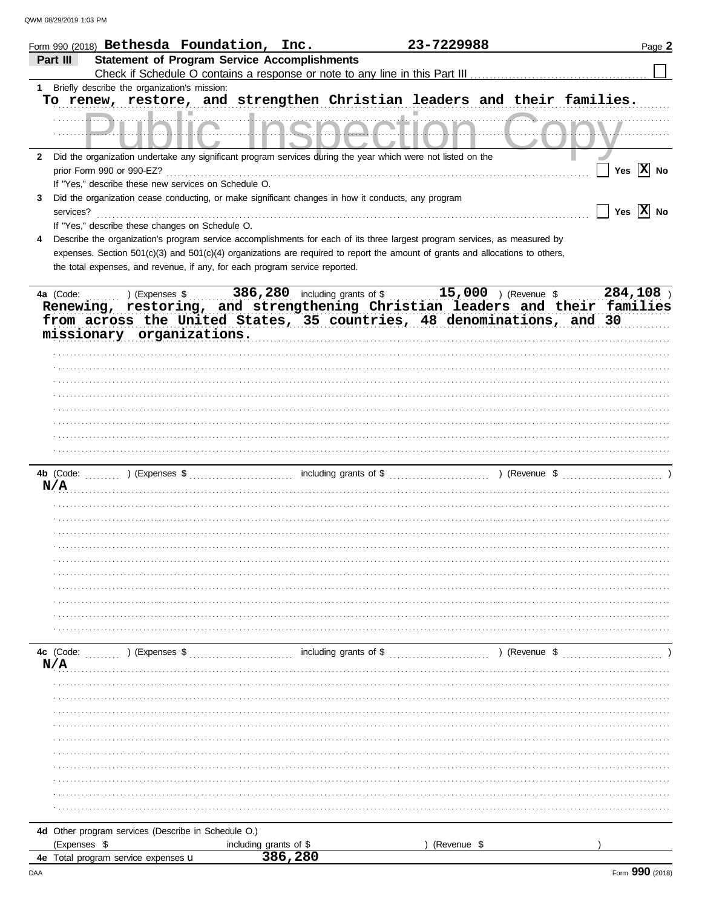|              |                           |                                                      | Form 990 (2018) Bethesda Foundation, Inc.                                   |                                                                                                    | 23-7229988                                                                                                                     | Page 2                                                                                                                                                                                                                        |
|--------------|---------------------------|------------------------------------------------------|-----------------------------------------------------------------------------|----------------------------------------------------------------------------------------------------|--------------------------------------------------------------------------------------------------------------------------------|-------------------------------------------------------------------------------------------------------------------------------------------------------------------------------------------------------------------------------|
|              | Part III                  |                                                      | <b>Statement of Program Service Accomplishments</b>                         |                                                                                                    |                                                                                                                                |                                                                                                                                                                                                                               |
|              |                           |                                                      |                                                                             |                                                                                                    |                                                                                                                                |                                                                                                                                                                                                                               |
|              |                           | Briefly describe the organization's mission:         |                                                                             |                                                                                                    |                                                                                                                                |                                                                                                                                                                                                                               |
|              |                           |                                                      |                                                                             |                                                                                                    | To renew, restore, and strengthen Christian leaders and their families.                                                        |                                                                                                                                                                                                                               |
|              |                           |                                                      |                                                                             |                                                                                                    |                                                                                                                                |                                                                                                                                                                                                                               |
| $\mathbf{2}$ |                           |                                                      |                                                                             |                                                                                                    | Did the organization undertake any significant program services during the year which were not listed on the                   |                                                                                                                                                                                                                               |
|              | prior Form 990 or 990-EZ? |                                                      |                                                                             |                                                                                                    |                                                                                                                                | Yes $\overline{X}$ No                                                                                                                                                                                                         |
|              |                           | If "Yes," describe these new services on Schedule O. |                                                                             |                                                                                                    |                                                                                                                                |                                                                                                                                                                                                                               |
| 3            |                           |                                                      |                                                                             | Did the organization cease conducting, or make significant changes in how it conducts, any program |                                                                                                                                |                                                                                                                                                                                                                               |
|              | services?                 |                                                      |                                                                             |                                                                                                    |                                                                                                                                | Yes $\overline{X}$ No                                                                                                                                                                                                         |
|              |                           | If "Yes," describe these changes on Schedule O.      |                                                                             |                                                                                                    |                                                                                                                                |                                                                                                                                                                                                                               |
|              |                           |                                                      |                                                                             |                                                                                                    | Describe the organization's program service accomplishments for each of its three largest program services, as measured by     |                                                                                                                                                                                                                               |
|              |                           |                                                      |                                                                             |                                                                                                    | expenses. Section 501(c)(3) and 501(c)(4) organizations are required to report the amount of grants and allocations to others, |                                                                                                                                                                                                                               |
|              |                           |                                                      | the total expenses, and revenue, if any, for each program service reported. |                                                                                                    |                                                                                                                                |                                                                                                                                                                                                                               |
|              |                           |                                                      |                                                                             |                                                                                                    |                                                                                                                                |                                                                                                                                                                                                                               |
|              | 4a (Code:                 |                                                      |                                                                             |                                                                                                    |                                                                                                                                | 4a (Code: ) (Expenses \$386,280 including grants of \$15,000 ) (Revenue \$284,108 ) Renewing, restoring, and strengthening Christian leaders and their families                                                               |
|              |                           |                                                      |                                                                             |                                                                                                    |                                                                                                                                |                                                                                                                                                                                                                               |
|              |                           |                                                      |                                                                             |                                                                                                    | from across the United States, 35 countries, 48 denominations, and 30                                                          |                                                                                                                                                                                                                               |
|              |                           | missionary organizations.                            |                                                                             |                                                                                                    |                                                                                                                                |                                                                                                                                                                                                                               |
|              |                           |                                                      |                                                                             |                                                                                                    |                                                                                                                                |                                                                                                                                                                                                                               |
|              |                           |                                                      |                                                                             |                                                                                                    |                                                                                                                                |                                                                                                                                                                                                                               |
|              |                           |                                                      |                                                                             |                                                                                                    |                                                                                                                                |                                                                                                                                                                                                                               |
|              |                           |                                                      |                                                                             |                                                                                                    |                                                                                                                                |                                                                                                                                                                                                                               |
|              |                           |                                                      |                                                                             |                                                                                                    |                                                                                                                                |                                                                                                                                                                                                                               |
|              |                           |                                                      |                                                                             |                                                                                                    |                                                                                                                                |                                                                                                                                                                                                                               |
|              |                           |                                                      |                                                                             |                                                                                                    |                                                                                                                                |                                                                                                                                                                                                                               |
|              |                           |                                                      |                                                                             |                                                                                                    |                                                                                                                                |                                                                                                                                                                                                                               |
|              |                           |                                                      |                                                                             |                                                                                                    |                                                                                                                                |                                                                                                                                                                                                                               |
|              | 4b (Code:                 |                                                      |                                                                             |                                                                                                    |                                                                                                                                | ) (Expenses $\$$ (expenses $\$$ (expenses $\$$ (expenses $\$$ (expenses $\$$ (expenses $\$$ (expenses $\$$ (expenses $\$$ (expenses $\$$ (expenses $\$$ (expenses $\$$ (expenses $\$$ (expenses $\$$ (expenses $\$$ (expenses |
|              | N/A                       |                                                      |                                                                             |                                                                                                    |                                                                                                                                |                                                                                                                                                                                                                               |
|              |                           |                                                      |                                                                             |                                                                                                    |                                                                                                                                |                                                                                                                                                                                                                               |
|              |                           |                                                      |                                                                             |                                                                                                    |                                                                                                                                |                                                                                                                                                                                                                               |
|              |                           |                                                      |                                                                             |                                                                                                    |                                                                                                                                |                                                                                                                                                                                                                               |
|              |                           |                                                      |                                                                             |                                                                                                    |                                                                                                                                |                                                                                                                                                                                                                               |
|              |                           |                                                      |                                                                             |                                                                                                    |                                                                                                                                |                                                                                                                                                                                                                               |
|              |                           |                                                      |                                                                             |                                                                                                    |                                                                                                                                |                                                                                                                                                                                                                               |
|              |                           |                                                      |                                                                             |                                                                                                    |                                                                                                                                |                                                                                                                                                                                                                               |
|              |                           |                                                      |                                                                             |                                                                                                    |                                                                                                                                |                                                                                                                                                                                                                               |
|              |                           |                                                      |                                                                             |                                                                                                    |                                                                                                                                |                                                                                                                                                                                                                               |
|              |                           |                                                      |                                                                             |                                                                                                    |                                                                                                                                |                                                                                                                                                                                                                               |
|              |                           |                                                      |                                                                             |                                                                                                    |                                                                                                                                |                                                                                                                                                                                                                               |
|              | 4c (Code:                 | ) (Expenses \$                                       |                                                                             | including grants of \$                                                                             |                                                                                                                                | ) (Revenue \$                                                                                                                                                                                                                 |
|              | N/A                       |                                                      |                                                                             |                                                                                                    |                                                                                                                                |                                                                                                                                                                                                                               |
|              |                           |                                                      |                                                                             |                                                                                                    |                                                                                                                                |                                                                                                                                                                                                                               |
|              |                           |                                                      |                                                                             |                                                                                                    |                                                                                                                                |                                                                                                                                                                                                                               |
|              |                           |                                                      |                                                                             |                                                                                                    |                                                                                                                                |                                                                                                                                                                                                                               |
|              |                           |                                                      |                                                                             |                                                                                                    |                                                                                                                                |                                                                                                                                                                                                                               |
|              |                           |                                                      |                                                                             |                                                                                                    |                                                                                                                                |                                                                                                                                                                                                                               |
|              |                           |                                                      |                                                                             |                                                                                                    |                                                                                                                                |                                                                                                                                                                                                                               |
|              |                           |                                                      |                                                                             |                                                                                                    |                                                                                                                                |                                                                                                                                                                                                                               |
|              |                           |                                                      |                                                                             |                                                                                                    |                                                                                                                                |                                                                                                                                                                                                                               |
|              |                           |                                                      |                                                                             |                                                                                                    |                                                                                                                                |                                                                                                                                                                                                                               |
|              |                           |                                                      |                                                                             |                                                                                                    |                                                                                                                                |                                                                                                                                                                                                                               |
|              |                           |                                                      |                                                                             |                                                                                                    |                                                                                                                                |                                                                                                                                                                                                                               |
|              |                           |                                                      |                                                                             |                                                                                                    |                                                                                                                                |                                                                                                                                                                                                                               |
|              |                           | 4d Other program services (Describe in Schedule O.)  |                                                                             |                                                                                                    |                                                                                                                                |                                                                                                                                                                                                                               |
|              | (Expenses \$              |                                                      | including grants of \$<br>386,280                                           |                                                                                                    | (Revenue \$                                                                                                                    |                                                                                                                                                                                                                               |
|              |                           | 4e Total program service expenses u                  |                                                                             |                                                                                                    |                                                                                                                                |                                                                                                                                                                                                                               |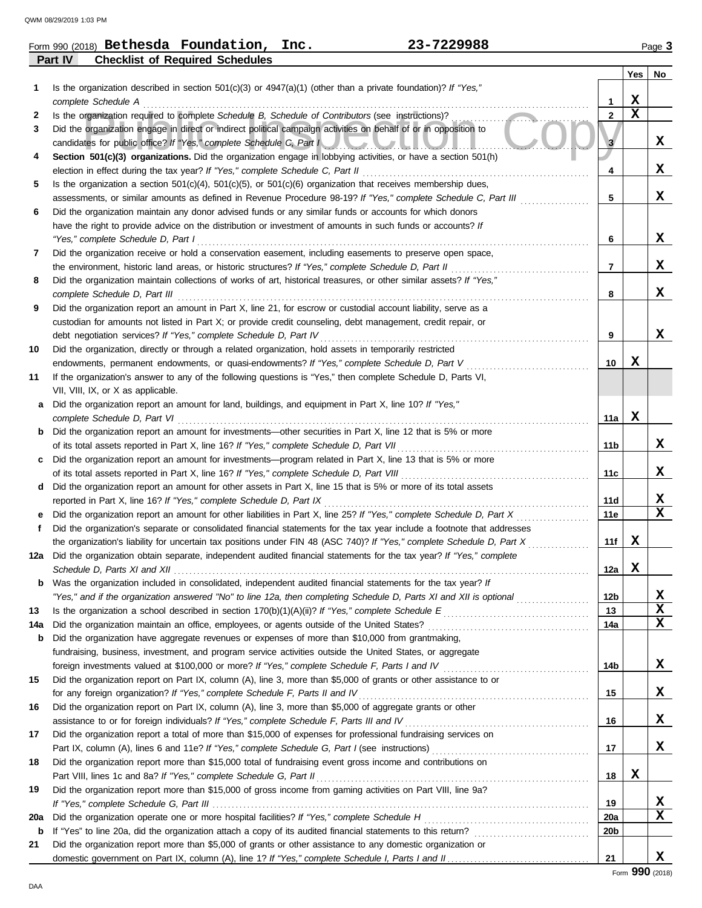|                | Form 990 (2018) $\texttt{Bethesda}$ $\texttt{Foundation}$ , | 23-7229988                                                                                                       |     | Page $3$  |
|----------------|-------------------------------------------------------------|------------------------------------------------------------------------------------------------------------------|-----|-----------|
| <b>Part IV</b> | <b>Checklist of Required Schedules</b>                      |                                                                                                                  |     |           |
|                |                                                             |                                                                                                                  | Yes | <b>No</b> |
|                |                                                             | Is the organization described in section $501(c)(3)$ or $4947(a)(1)$ (other than a private foundation)? If "Ves" |     |           |

|     | is the organization described in section 501(c)(3) or 4347(a)(1) (other than a private foundation): if $\tau$ res,                                                                      |                 |             |   |
|-----|-----------------------------------------------------------------------------------------------------------------------------------------------------------------------------------------|-----------------|-------------|---|
|     | complete Schedule A                                                                                                                                                                     | 1               | х           |   |
| 2   | Is the organization required to complete Schedule B, Schedule of Contributors (see instructions)?                                                                                       | $\overline{2}$  | $\mathbf x$ |   |
| 3   | Did the organization engage in direct or indirect political campaign activities on behalf of or in opposition to<br>candidates for public office? If "Yes," complete Schedule C, Part I | 3               |             | X |
| 4   | Section 501(c)(3) organizations. Did the organization engage in lobbying activities, or have a section 501(h)                                                                           |                 |             |   |
|     | election in effect during the tax year? If "Yes," complete Schedule C, Part II                                                                                                          | 4               |             | x |
| 5   | Is the organization a section $501(c)(4)$ , $501(c)(5)$ , or $501(c)(6)$ organization that receives membership dues,                                                                    |                 |             |   |
|     | assessments, or similar amounts as defined in Revenue Procedure 98-19? If "Yes," complete Schedule C, Part III                                                                          | 5               |             | X |
| 6   | Did the organization maintain any donor advised funds or any similar funds or accounts for which donors                                                                                 |                 |             |   |
|     | have the right to provide advice on the distribution or investment of amounts in such funds or accounts? If                                                                             |                 |             |   |
|     | "Yes," complete Schedule D, Part I                                                                                                                                                      | 6               |             | X |
| 7   | Did the organization receive or hold a conservation easement, including easements to preserve open space,                                                                               |                 |             |   |
|     | the environment, historic land areas, or historic structures? If "Yes," complete Schedule D, Part II                                                                                    | 7               |             | X |
| 8   | Did the organization maintain collections of works of art, historical treasures, or other similar assets? If "Yes,"                                                                     |                 |             |   |
|     | complete Schedule D, Part III                                                                                                                                                           | 8               |             | X |
| 9   | Did the organization report an amount in Part X, line 21, for escrow or custodial account liability, serve as a                                                                         |                 |             |   |
|     | custodian for amounts not listed in Part X; or provide credit counseling, debt management, credit repair, or                                                                            |                 |             |   |
|     | debt negotiation services? If "Yes," complete Schedule D, Part IV                                                                                                                       | 9               |             | X |
| 10  | Did the organization, directly or through a related organization, hold assets in temporarily restricted                                                                                 |                 |             |   |
|     | endowments, permanent endowments, or quasi-endowments? If "Yes," complete Schedule D, Part V                                                                                            | 10              | х           |   |
| 11  | If the organization's answer to any of the following questions is "Yes," then complete Schedule D, Parts VI,                                                                            |                 |             |   |
|     | VII, VIII, IX, or X as applicable.                                                                                                                                                      |                 |             |   |
| а   | Did the organization report an amount for land, buildings, and equipment in Part X, line 10? If "Yes,"                                                                                  |                 |             |   |
|     | complete Schedule D, Part VI                                                                                                                                                            | 11a             | X           |   |
|     | Did the organization report an amount for investments—other securities in Part X, line 12 that is 5% or more                                                                            |                 |             |   |
|     | of its total assets reported in Part X, line 16? If "Yes," complete Schedule D, Part VII                                                                                                | 11b             |             | X |
|     | Did the organization report an amount for investments—program related in Part X, line 13 that is 5% or more                                                                             |                 |             |   |
|     | of its total assets reported in Part X, line 16? If "Yes," complete Schedule D, Part VIII                                                                                               | 11c             |             | X |
| d   | Did the organization report an amount for other assets in Part X, line 15 that is 5% or more of its total assets                                                                        |                 |             |   |
|     | reported in Part X, line 16? If "Yes," complete Schedule D, Part IX                                                                                                                     | 11d             |             | X |
|     | Did the organization report an amount for other liabilities in Part X, line 25? If "Yes," complete Schedule D, Part X                                                                   | 11e             |             | X |
| f   | Did the organization's separate or consolidated financial statements for the tax year include a footnote that addresses                                                                 |                 |             |   |
|     | the organization's liability for uncertain tax positions under FIN 48 (ASC 740)? If "Yes," complete Schedule D, Part X                                                                  | 11f             | X           |   |
| 12a | Did the organization obtain separate, independent audited financial statements for the tax year? If "Yes," complete                                                                     |                 |             |   |
|     |                                                                                                                                                                                         | 12a             | X           |   |
|     | Was the organization included in consolidated, independent audited financial statements for the tax year? If                                                                            |                 |             |   |
|     | "Yes," and if the organization answered "No" to line 12a, then completing Schedule D, Parts XI and XII is optional                                                                      | 12 <sub>b</sub> |             | X |
| 13  |                                                                                                                                                                                         | 13              |             | X |
| 14a | Did the organization maintain an office, employees, or agents outside of the United States?                                                                                             | 14a             |             | X |
| b   | Did the organization have aggregate revenues or expenses of more than \$10,000 from grantmaking,                                                                                        |                 |             |   |
|     | fundraising, business, investment, and program service activities outside the United States, or aggregate                                                                               |                 |             |   |
|     |                                                                                                                                                                                         | 14b             |             | X |
| 15  | Did the organization report on Part IX, column (A), line 3, more than \$5,000 of grants or other assistance to or                                                                       |                 |             |   |
|     | for any foreign organization? If "Yes," complete Schedule F, Parts II and IV                                                                                                            | 15              |             | X |
| 16  | Did the organization report on Part IX, column (A), line 3, more than \$5,000 of aggregate grants or other                                                                              |                 |             |   |
|     | assistance to or for foreign individuals? If "Yes," complete Schedule F, Parts III and IV                                                                                               | 16              |             | X |
| 17  | Did the organization report a total of more than \$15,000 of expenses for professional fundraising services on                                                                          |                 |             |   |
|     |                                                                                                                                                                                         | 17              |             | X |
|     | Part IX, column (A), lines 6 and 11e? If "Yes," complete Schedule G, Part I (see instructions)                                                                                          |                 |             |   |
| 18  | Did the organization report more than \$15,000 total of fundraising event gross income and contributions on                                                                             |                 |             |   |
|     | Part VIII, lines 1c and 8a? If "Yes," complete Schedule G, Part II                                                                                                                      | 18              | X           |   |
| 19  | Did the organization report more than \$15,000 of gross income from gaming activities on Part VIII, line 9a?                                                                            |                 |             |   |
|     |                                                                                                                                                                                         | 19              |             | X |
| 20a |                                                                                                                                                                                         | 20a             |             | X |
| b   | If "Yes" to line 20a, did the organization attach a copy of its audited financial statements to this return?                                                                            | 20 <sub>b</sub> |             |   |
| 21  | Did the organization report more than \$5,000 of grants or other assistance to any domestic organization or                                                                             |                 |             | X |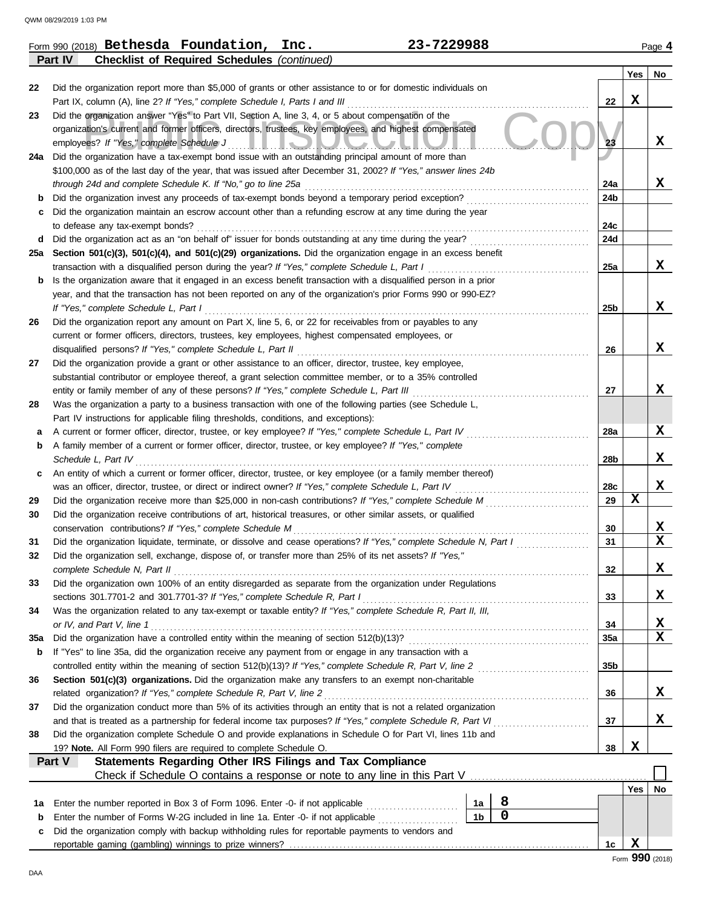|          | 23-7229988<br>Form 990 (2018) Bethesda Foundation,<br>Inc.                                                                                                                                                         |                 |             | Page 4          |
|----------|--------------------------------------------------------------------------------------------------------------------------------------------------------------------------------------------------------------------|-----------------|-------------|-----------------|
|          | Part IV<br><b>Checklist of Required Schedules (continued)</b>                                                                                                                                                      |                 |             |                 |
|          |                                                                                                                                                                                                                    |                 | Yes         | No              |
| 22       | Did the organization report more than \$5,000 of grants or other assistance to or for domestic individuals on<br>Part IX, column (A), line 2? If "Yes," complete Schedule I, Parts I and III                       | 22              | X           |                 |
| 23       | Did the organization answer "Yes" to Part VII, Section A, line 3, 4, or 5 about compensation of the                                                                                                                |                 |             |                 |
|          | organization's current and former officers, directors, trustees, key employees, and highest compensated                                                                                                            |                 |             |                 |
|          | employees? If "Yes," complete Schedule J<br><u>LLIONZUUN</u>                                                                                                                                                       | 23              |             | X               |
|          | 24a Did the organization have a tax-exempt bond issue with an outstanding principal amount of more than                                                                                                            |                 |             |                 |
|          | \$100,000 as of the last day of the year, that was issued after December 31, 2002? If "Yes," answer lines 24b                                                                                                      |                 |             |                 |
|          | through 24d and complete Schedule K. If "No," go to line 25a                                                                                                                                                       | 24a             |             | X               |
| b        | Did the organization invest any proceeds of tax-exempt bonds beyond a temporary period exception?                                                                                                                  | 24b             |             |                 |
| c        | Did the organization maintain an escrow account other than a refunding escrow at any time during the year                                                                                                          |                 |             |                 |
|          | to defease any tax-exempt bonds?                                                                                                                                                                                   | 24c             |             |                 |
|          | d Did the organization act as an "on behalf of" issuer for bonds outstanding at any time during the year?                                                                                                          | 24d             |             |                 |
|          | 25a Section 501(c)(3), 501(c)(4), and 501(c)(29) organizations. Did the organization engage in an excess benefit                                                                                                   |                 |             |                 |
|          | transaction with a disqualified person during the year? If "Yes," complete Schedule L, Part I                                                                                                                      | 25a             |             | X               |
| b        | Is the organization aware that it engaged in an excess benefit transaction with a disqualified person in a prior                                                                                                   |                 |             |                 |
|          | year, and that the transaction has not been reported on any of the organization's prior Forms 990 or 990-EZ?                                                                                                       |                 |             |                 |
|          | If "Yes," complete Schedule L, Part I                                                                                                                                                                              | 25 <sub>b</sub> |             | X               |
| 26       | Did the organization report any amount on Part X, line 5, 6, or 22 for receivables from or payables to any                                                                                                         |                 |             |                 |
|          | current or former officers, directors, trustees, key employees, highest compensated employees, or                                                                                                                  |                 |             |                 |
|          | disqualified persons? If "Yes," complete Schedule L, Part II                                                                                                                                                       | 26              |             | X               |
| 27       | Did the organization provide a grant or other assistance to an officer, director, trustee, key employee,                                                                                                           |                 |             |                 |
|          | substantial contributor or employee thereof, a grant selection committee member, or to a 35% controlled                                                                                                            |                 |             |                 |
|          | entity or family member of any of these persons? If "Yes," complete Schedule L, Part III                                                                                                                           | 27              |             | X               |
| 28       | Was the organization a party to a business transaction with one of the following parties (see Schedule L,                                                                                                          |                 |             |                 |
|          | Part IV instructions for applicable filing thresholds, conditions, and exceptions):                                                                                                                                |                 |             |                 |
| а        | A current or former officer, director, trustee, or key employee? If "Yes," complete Schedule L, Part IV                                                                                                            | 28a             |             | X               |
| b        | A family member of a current or former officer, director, trustee, or key employee? If "Yes," complete                                                                                                             |                 |             | X               |
|          | Schedule L, Part IV                                                                                                                                                                                                | 28b             |             |                 |
| c        | An entity of which a current or former officer, director, trustee, or key employee (or a family member thereof)                                                                                                    |                 |             | X               |
|          | was an officer, director, trustee, or direct or indirect owner? If "Yes," complete Schedule L, Part IV<br>Did the organization receive more than \$25,000 in non-cash contributions? If "Yes," complete Schedule M | 28c<br>29       | $\mathbf x$ |                 |
| 29<br>30 | Did the organization receive contributions of art, historical treasures, or other similar assets, or qualified                                                                                                     |                 |             |                 |
|          | conservation contributions? If "Yes," complete Schedule M                                                                                                                                                          | 30              |             | X               |
| 31       | Did the organization liquidate, terminate, or dissolve and cease operations? If "Yes," complete Schedule N, Part I                                                                                                 | 31              |             | $\mathbf x$     |
|          | Did the organization sell, exchange, dispose of, or transfer more than 25% of its net assets? If "Yes,"                                                                                                            |                 |             |                 |
|          | complete Schedule N, Part II                                                                                                                                                                                       | 32              |             | X               |
| 33       | Did the organization own 100% of an entity disregarded as separate from the organization under Regulations                                                                                                         |                 |             |                 |
|          | sections 301.7701-2 and 301.7701-3? If "Yes," complete Schedule R, Part I                                                                                                                                          | 33              |             | X               |
| 34       | Was the organization related to any tax-exempt or taxable entity? If "Yes," complete Schedule R, Part II, III,                                                                                                     |                 |             |                 |
|          | or IV, and Part V, line 1                                                                                                                                                                                          | 34              |             | X               |
| 35a      | Did the organization have a controlled entity within the meaning of section 512(b)(13)?                                                                                                                            | 35a             |             | $\mathbf x$     |
| b        | If "Yes" to line 35a, did the organization receive any payment from or engage in any transaction with a                                                                                                            |                 |             |                 |
|          | controlled entity within the meaning of section 512(b)(13)? If "Yes," complete Schedule R, Part V, line 2                                                                                                          | 35 <sub>b</sub> |             |                 |
| 36       | Section 501(c)(3) organizations. Did the organization make any transfers to an exempt non-charitable                                                                                                               |                 |             |                 |
|          | related organization? If "Yes," complete Schedule R, Part V, line 2                                                                                                                                                | 36              |             | X               |
| 37       | Did the organization conduct more than 5% of its activities through an entity that is not a related organization                                                                                                   |                 |             |                 |
|          | and that is treated as a partnership for federal income tax purposes? If "Yes," complete Schedule R, Part VI                                                                                                       | 37              |             | X               |
| 38       | Did the organization complete Schedule O and provide explanations in Schedule O for Part VI, lines 11b and                                                                                                         |                 |             |                 |
|          | 19? Note. All Form 990 filers are required to complete Schedule O.                                                                                                                                                 | 38              | X           |                 |
|          | Statements Regarding Other IRS Filings and Tax Compliance<br>Part V                                                                                                                                                |                 |             |                 |
|          |                                                                                                                                                                                                                    |                 |             |                 |
|          |                                                                                                                                                                                                                    |                 | Yes         | No              |
| 1a       | 8<br>Enter the number reported in Box 3 of Form 1096. Enter -0- if not applicable<br>1a                                                                                                                            |                 |             |                 |
| b        | $\mathbf 0$<br>1 <sub>b</sub><br>Enter the number of Forms W-2G included in line 1a. Enter -0- if not applicable                                                                                                   |                 |             |                 |
| c        | Did the organization comply with backup withholding rules for reportable payments to vendors and                                                                                                                   |                 |             |                 |
|          |                                                                                                                                                                                                                    | 1c              | X           |                 |
|          |                                                                                                                                                                                                                    |                 |             | Form 990 (2018) |

**990** (2018)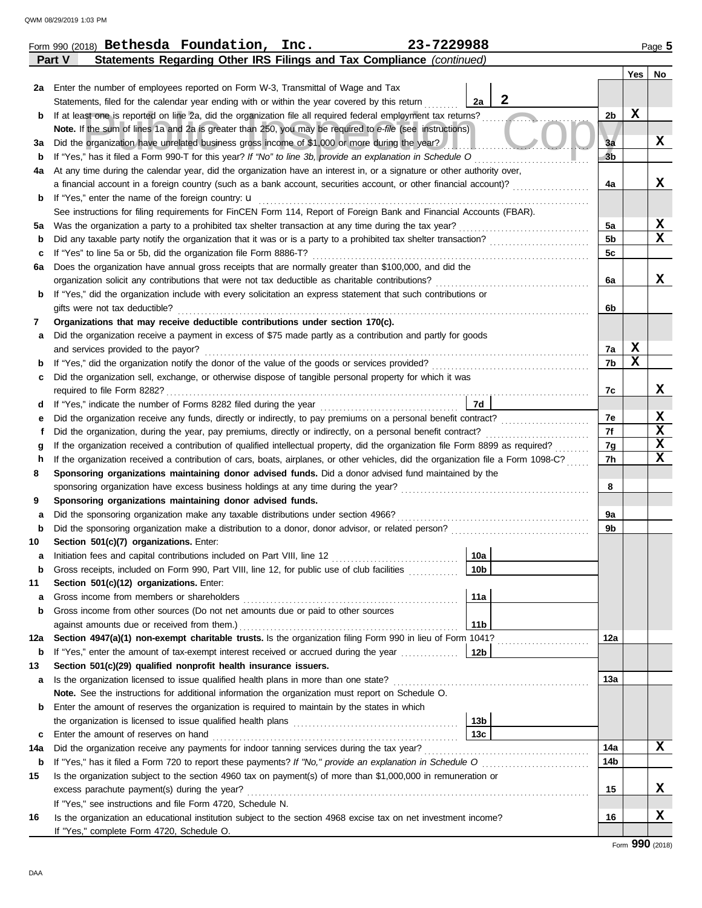|             | Form 990 (2018) Bethesda Foundation, Inc.<br>23-7229988                                                                                                                                                                                                                |                        |                      |             | Page 5      |
|-------------|------------------------------------------------------------------------------------------------------------------------------------------------------------------------------------------------------------------------------------------------------------------------|------------------------|----------------------|-------------|-------------|
|             | Statements Regarding Other IRS Filings and Tax Compliance (continued)<br>Part V                                                                                                                                                                                        |                        |                      |             |             |
|             |                                                                                                                                                                                                                                                                        |                        |                      | Yes         | No          |
|             | 2a Enter the number of employees reported on Form W-3, Transmittal of Wage and Tax                                                                                                                                                                                     |                        |                      |             |             |
|             | Statements, filed for the calendar year ending with or within the year covered by this return                                                                                                                                                                          | $\mathbf{2}$<br>2a     |                      | $\mathbf x$ |             |
| b           | If at least one is reported on line 2a, did the organization file all required federal employment tax returns?                                                                                                                                                         |                        | 2 <sub>b</sub>       |             |             |
|             | Note. If the sum of lines 1a and 2a is greater than 250, you may be required to e-file (see instructions)                                                                                                                                                              |                        |                      |             | X           |
| За          | Did the organization have unrelated business gross income of \$1,000 or more during the year?<br>If "Yes," has it filed a Form 990-T for this year? If "No" to line 3b, provide an explanation in Schedule O                                                           |                        | 3a<br>3 <sub>b</sub> |             |             |
| b<br>4a     | At any time during the calendar year, did the organization have an interest in, or a signature or other authority over,                                                                                                                                                |                        |                      |             |             |
|             | a financial account in a foreign country (such as a bank account, securities account, or other financial account)?                                                                                                                                                     |                        | 4a                   |             | x           |
| b           | If "Yes," enter the name of the foreign country: <b>u</b>                                                                                                                                                                                                              |                        |                      |             |             |
|             | See instructions for filing requirements for FinCEN Form 114, Report of Foreign Bank and Financial Accounts (FBAR).                                                                                                                                                    |                        |                      |             |             |
| 5а          | Was the organization a party to a prohibited tax shelter transaction at any time during the tax year?                                                                                                                                                                  |                        | 5a                   |             | X           |
| b           | Did any taxable party notify the organization that it was or is a party to a prohibited tax shelter transaction?                                                                                                                                                       |                        | 5 <sub>b</sub>       |             | $\mathbf x$ |
| с           | If "Yes" to line 5a or 5b, did the organization file Form 8886-T?                                                                                                                                                                                                      |                        | 5c                   |             |             |
| 6а          | Does the organization have annual gross receipts that are normally greater than \$100,000, and did the                                                                                                                                                                 |                        |                      |             |             |
|             | organization solicit any contributions that were not tax deductible as charitable contributions?                                                                                                                                                                       |                        | 6a                   |             | x           |
| b           | If "Yes," did the organization include with every solicitation an express statement that such contributions or                                                                                                                                                         |                        |                      |             |             |
|             | gifts were not tax deductible?                                                                                                                                                                                                                                         |                        | 6b                   |             |             |
| 7           | Organizations that may receive deductible contributions under section 170(c).                                                                                                                                                                                          |                        |                      |             |             |
| а           | Did the organization receive a payment in excess of \$75 made partly as a contribution and partly for goods                                                                                                                                                            |                        |                      |             |             |
|             | and services provided to the payor?                                                                                                                                                                                                                                    |                        | 7a                   | X           |             |
| $\mathbf b$ | If "Yes," did the organization notify the donor of the value of the goods or services provided?                                                                                                                                                                        |                        | 7b                   | $\mathbf x$ |             |
| с           | Did the organization sell, exchange, or otherwise dispose of tangible personal property for which it was                                                                                                                                                               |                        |                      |             |             |
|             | required to file Form 8282?                                                                                                                                                                                                                                            |                        | 7c                   |             | X           |
| d           |                                                                                                                                                                                                                                                                        | 7d                     |                      |             |             |
| е           | Did the organization receive any funds, directly or indirectly, to pay premiums on a personal benefit contract?                                                                                                                                                        |                        | 7e                   |             | X<br>X      |
|             | Did the organization, during the year, pay premiums, directly or indirectly, on a personal benefit contract?                                                                                                                                                           |                        | 7f                   |             | X           |
| g           | If the organization received a contribution of qualified intellectual property, did the organization file Form 8899 as required?<br>If the organization received a contribution of cars, boats, airplanes, or other vehicles, did the organization file a Form 1098-C? |                        | 7g<br>7h             |             | $\mathbf x$ |
| h<br>8      | Sponsoring organizations maintaining donor advised funds. Did a donor advised fund maintained by the                                                                                                                                                                   |                        |                      |             |             |
|             |                                                                                                                                                                                                                                                                        |                        | 8                    |             |             |
| 9           | Sponsoring organizations maintaining donor advised funds.                                                                                                                                                                                                              |                        |                      |             |             |
| а           | Did the sponsoring organization make any taxable distributions under section 4966?                                                                                                                                                                                     |                        | 9a                   |             |             |
| b           |                                                                                                                                                                                                                                                                        |                        | 9b                   |             |             |
| 10          | Section 501(c)(7) organizations. Enter:                                                                                                                                                                                                                                |                        |                      |             |             |
|             | Initiation fees and capital contributions included on Part VIII, line 12 [11] [11] [11] [12] [11] [11] [12] [1                                                                                                                                                         | 10a                    |                      |             |             |
| b           | Gross receipts, included on Form 990, Part VIII, line 12, for public use of club facilities                                                                                                                                                                            | 10 <sub>b</sub>        |                      |             |             |
| 11          | Section 501(c)(12) organizations. Enter:                                                                                                                                                                                                                               |                        |                      |             |             |
| а           | Gross income from members or shareholders                                                                                                                                                                                                                              | 11a                    |                      |             |             |
| b           | Gross income from other sources (Do not net amounts due or paid to other sources                                                                                                                                                                                       |                        |                      |             |             |
|             | against amounts due or received from them.)                                                                                                                                                                                                                            | 11 <sub>b</sub>        |                      |             |             |
| 12a         | Section 4947(a)(1) non-exempt charitable trusts. Is the organization filing Form 990 in lieu of Form 1041?                                                                                                                                                             |                        | 12a                  |             |             |
| b           | If "Yes," enter the amount of tax-exempt interest received or accrued during the year <i>minimizion</i> .                                                                                                                                                              | 12b                    |                      |             |             |
| 13          | Section 501(c)(29) qualified nonprofit health insurance issuers.                                                                                                                                                                                                       |                        |                      |             |             |
| a           | Is the organization licensed to issue qualified health plans in more than one state?                                                                                                                                                                                   |                        | 13a                  |             |             |
|             | Note. See the instructions for additional information the organization must report on Schedule O.                                                                                                                                                                      |                        |                      |             |             |
| b           | Enter the amount of reserves the organization is required to maintain by the states in which                                                                                                                                                                           |                        |                      |             |             |
|             |                                                                                                                                                                                                                                                                        | 13b<br>13 <sub>c</sub> |                      |             |             |
| c<br>14a    | Enter the amount of reserves on hand<br>Did the organization receive any payments for indoor tanning services during the tax year?                                                                                                                                     |                        | 14a                  |             | X           |
| b           | If "Yes," has it filed a Form 720 to report these payments? If "No," provide an explanation in Schedule O                                                                                                                                                              |                        | 14b                  |             |             |
| 15          | Is the organization subject to the section 4960 tax on payment(s) of more than \$1,000,000 in remuneration or                                                                                                                                                          |                        |                      |             |             |
|             | excess parachute payment(s) during the year?                                                                                                                                                                                                                           |                        | 15                   |             | x           |
|             | If "Yes," see instructions and file Form 4720, Schedule N.                                                                                                                                                                                                             |                        |                      |             |             |
| 16          | Is the organization an educational institution subject to the section 4968 excise tax on net investment income?                                                                                                                                                        |                        | 16                   |             | X           |
|             | If "Yes," complete Form 4720, Schedule O.                                                                                                                                                                                                                              |                        |                      |             |             |

| 29988 |  |  |
|-------|--|--|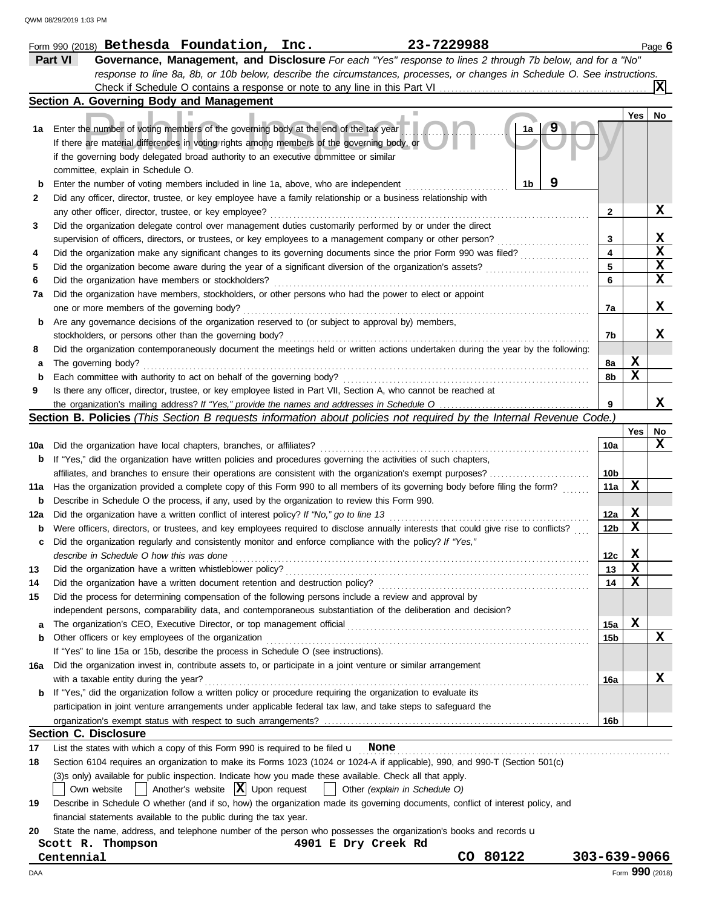|             | 23-7229988<br>Form 990 (2018) $Bethesda$ $Foundation, Inc.$                                                                         |                 |             | Page 6          |
|-------------|-------------------------------------------------------------------------------------------------------------------------------------|-----------------|-------------|-----------------|
|             | Part VI<br>Governance, Management, and Disclosure For each "Yes" response to lines 2 through 7b below, and for a "No"               |                 |             |                 |
|             | response to line 8a, 8b, or 10b below, describe the circumstances, processes, or changes in Schedule O. See instructions.           |                 |             |                 |
|             |                                                                                                                                     |                 |             |                 |
|             | Section A. Governing Body and Management                                                                                            |                 |             |                 |
|             |                                                                                                                                     |                 | Yes         | No              |
| 1а          | Enter the number of voting members of the governing body at the end of the tax year                                                 |                 |             |                 |
|             | If there are material differences in voting rights among members of the governing body, or                                          |                 |             |                 |
|             | if the governing body delegated broad authority to an executive committee or similar                                                |                 |             |                 |
|             | committee, explain in Schedule O.                                                                                                   |                 |             |                 |
|             | Enter the number of voting members included in line 1a, above, who are independent<br>1b                                            |                 |             |                 |
| 2           | Did any officer, director, trustee, or key employee have a family relationship or a business relationship with                      |                 |             |                 |
|             | any other officer, director, trustee, or key employee?                                                                              | 2               |             | x               |
| 3           | Did the organization delegate control over management duties customarily performed by or under the direct                           |                 |             |                 |
|             | supervision of officers, directors, or trustees, or key employees to a management company or other person?                          | 3               |             | X               |
| 4           | Did the organization make any significant changes to its governing documents since the prior Form 990 was filed?                    | 4               |             | $\mathbf x$     |
| 5           | Did the organization become aware during the year of a significant diversion of the organization's assets?                          | 5               |             | $\mathbf x$     |
| 6           | Did the organization have members or stockholders?                                                                                  | 6               |             | X               |
| 7а          | Did the organization have members, stockholders, or other persons who had the power to elect or appoint                             |                 |             |                 |
|             | one or more members of the governing body?                                                                                          | 7a              |             | x               |
| b           | Are any governance decisions of the organization reserved to (or subject to approval by) members,                                   |                 |             |                 |
|             | stockholders, or persons other than the governing body?                                                                             | 7b              |             | x               |
| 8           | Did the organization contemporaneously document the meetings held or written actions undertaken during the year by the following:   |                 |             |                 |
|             | The governing body?                                                                                                                 | 8a              | X           |                 |
| $\mathbf b$ | Each committee with authority to act on behalf of the governing body?                                                               | 8b              | $\mathbf x$ |                 |
| 9           | Is there any officer, director, trustee, or key employee listed in Part VII, Section A, who cannot be reached at                    |                 |             |                 |
|             |                                                                                                                                     | 9               |             | x               |
|             | Section B. Policies (This Section B requests information about policies not required by the Internal Revenue Code.)                 |                 |             |                 |
|             |                                                                                                                                     |                 | Yes         | No              |
| 10a         | Did the organization have local chapters, branches, or affiliates?                                                                  | 10a             |             | X               |
| b           | If "Yes," did the organization have written policies and procedures governing the activities of such chapters,                      |                 |             |                 |
|             | affiliates, and branches to ensure their operations are consistent with the organization's exempt purposes?                         | 10b             |             |                 |
| 11a         | Has the organization provided a complete copy of this Form 990 to all members of its governing body before filing the form?         | 11a             | X           |                 |
| b           | Describe in Schedule O the process, if any, used by the organization to review this Form 990.                                       |                 |             |                 |
| 12a         | Did the organization have a written conflict of interest policy? If "No," go to line 13                                             | 12a             | X           |                 |
| b           | Were officers, directors, or trustees, and key employees required to disclose annually interests that could give rise to conflicts? | 12 <sub>b</sub> | X           |                 |
|             | Did the organization regularly and consistently monitor and enforce compliance with the policy? If "Yes,"                           |                 |             |                 |
|             | describe in Schedule O how this was done                                                                                            | 12c             | X           |                 |
| 13          | Did the organization have a written whistleblower policy?                                                                           | 13              | X           |                 |
| 14          | Did the organization have a written document retention and destruction policy?                                                      | 14              | X           |                 |
| 15          | Did the process for determining compensation of the following persons include a review and approval by                              |                 |             |                 |
|             | independent persons, comparability data, and contemporaneous substantiation of the deliberation and decision?                       |                 |             |                 |
| а           | The organization's CEO, Executive Director, or top management official                                                              | 15a             | х           |                 |
| b           | Other officers or key employees of the organization                                                                                 | 15b             |             | X               |
|             | If "Yes" to line 15a or 15b, describe the process in Schedule O (see instructions).                                                 |                 |             |                 |
| 16a         | Did the organization invest in, contribute assets to, or participate in a joint venture or similar arrangement                      |                 |             |                 |
|             | with a taxable entity during the year?                                                                                              | 16a             |             | х               |
| b           | If "Yes," did the organization follow a written policy or procedure requiring the organization to evaluate its                      |                 |             |                 |
|             | participation in joint venture arrangements under applicable federal tax law, and take steps to safeguard the                       |                 |             |                 |
|             |                                                                                                                                     | 16b             |             |                 |
|             |                                                                                                                                     |                 |             |                 |
|             | <b>Section C. Disclosure</b>                                                                                                        |                 |             |                 |
| 17          | List the states with which a copy of this Form 990 is required to be filed $\mathbf u$ None                                         |                 |             |                 |
| 18          | Section 6104 requires an organization to make its Forms 1023 (1024 or 1024-A if applicable), 990, and 990-T (Section 501(c)         |                 |             |                 |
|             | (3)s only) available for public inspection. Indicate how you made these available. Check all that apply.                            |                 |             |                 |
|             | Another's website $ \mathbf{X} $ Upon request<br>Other (explain in Schedule O)<br>Own website                                       |                 |             |                 |
| 19          | Describe in Schedule O whether (and if so, how) the organization made its governing documents, conflict of interest policy, and     |                 |             |                 |
|             | financial statements available to the public during the tax year.                                                                   |                 |             |                 |
| 20          | State the name, address, and telephone number of the person who possesses the organization's books and records u                    |                 |             |                 |
|             | 4901 E Dry Creek Rd<br>Scott R. Thompson                                                                                            |                 |             |                 |
|             | CO 80122<br>Centennial                                                                                                              | 303-639-9066    |             |                 |
| DAA         |                                                                                                                                     |                 |             | Form 990 (2018) |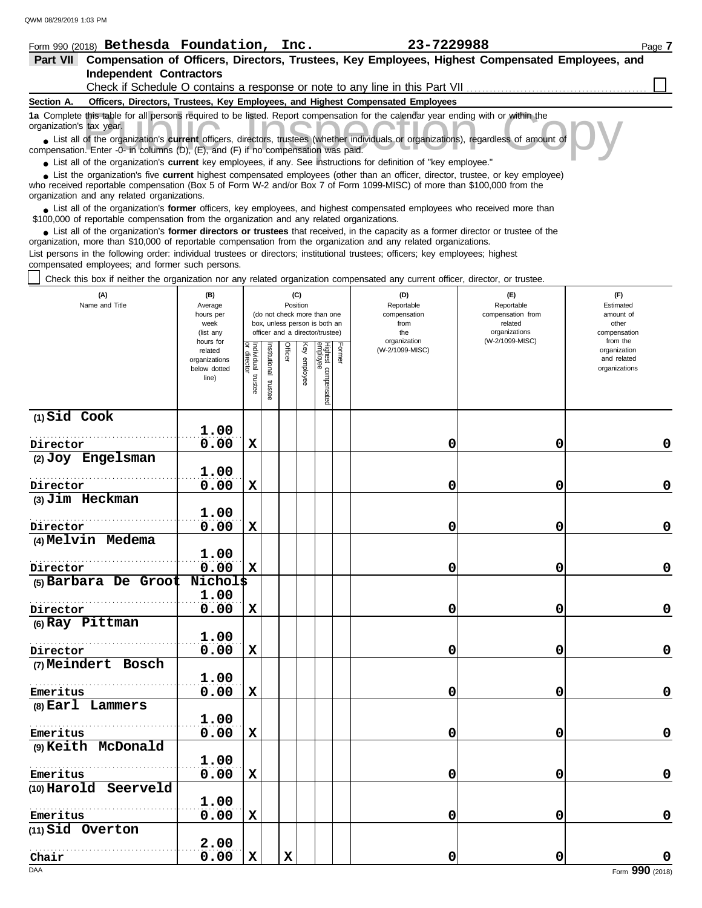|                 | 23-7229988<br>Form 990 (2018) <b>Bethesda Foundation,</b><br>Inc.                                                                                                                                                                                                                                          | Page 7 |
|-----------------|------------------------------------------------------------------------------------------------------------------------------------------------------------------------------------------------------------------------------------------------------------------------------------------------------------|--------|
| <b>Part VII</b> | Compensation of Officers, Directors, Trustees, Key Employees, Highest Compensated Employees, and                                                                                                                                                                                                           |        |
|                 | <b>Independent Contractors</b>                                                                                                                                                                                                                                                                             |        |
|                 | Check if Schedule O contains a response or note to any line in this Part VII <i>concerentially</i>                                                                                                                                                                                                         |        |
| Section A.      | Officers, Directors, Trustees, Key Employees, and Highest Compensated Employees                                                                                                                                                                                                                            |        |
|                 | 1a Complete this table for all persons required to be listed. Report compensation for the calendar year ending with or within the<br>organization's tax year.                                                                                                                                              |        |
|                 | • List all of the organization's current officers, directors, trustees (whether individuals or organizations), regardless of amount of<br>compensation. Enter -0- in columns (D), (E), and (F) if no compensation was paid.                                                                                |        |
|                 | • List all of the organization's <b>current</b> key employees, if any. See instructions for definition of "key employee."                                                                                                                                                                                  |        |
|                 | • List the organization's five current highest compensated employees (other than an officer, director, trustee, or key employee)<br>who received reportable compensation (Box 5 of Form W-2 and/or Box 7 of Form 1099-MISC) of more than \$100,000 from the<br>organization and any related organizations. |        |
|                 | • List all of the organization's former officers, key employees, and highest compensated employees who received more than<br>\$100,000 of reportable compensation from the organization and any related organizations.                                                                                     |        |
|                 | • List all of the organization's former directors or trustees that received, in the capacity as a former director or trustee of the<br>organization, more than \$10,000 of reportable compensation from the organization and any related organizations.                                                    |        |
|                 | List persons in the following order: individual trustees or directors; institutional trustees; officers; key employees; highest<br>compensated employees; and former such persons.                                                                                                                         |        |
|                 | Chock this boy if poitbor the erganization per any related erganization compensated any current efficer director, or tructoo                                                                                                                                                                               |        |

Check this box if neither the organization nor any related organization compensated any current officer, director, or trustee.

| (A)<br>Name and Title          | (B)<br>Average<br>hours per<br>week<br>(list any               |                                      |                         | Position    | (C)          | (do not check more than one<br>box, unless person is both an<br>officer and a director/trustee) |        | (D)<br>Reportable<br>compensation<br>from<br>the | (E)<br>Reportable<br>Estimated<br>compensation from<br>amount of<br>related<br>organizations<br>compensation |                                                          |  |
|--------------------------------|----------------------------------------------------------------|--------------------------------------|-------------------------|-------------|--------------|-------------------------------------------------------------------------------------------------|--------|--------------------------------------------------|--------------------------------------------------------------------------------------------------------------|----------------------------------------------------------|--|
|                                | hours for<br>related<br>organizations<br>below dotted<br>line) | Individual<br>or director<br>trustee | nstitutional<br>trustee | Officer     | Key employee | Highest compensated<br>employee                                                                 | Former | organization<br>(W-2/1099-MISC)                  | (W-2/1099-MISC)                                                                                              | from the<br>organization<br>and related<br>organizations |  |
| $(1)$ Sid Cook                 |                                                                |                                      |                         |             |              |                                                                                                 |        |                                                  |                                                                                                              |                                                          |  |
| Director                       | 1.00<br>0.00                                                   | $\mathbf x$                          |                         |             |              |                                                                                                 |        | 0                                                | 0                                                                                                            | 0                                                        |  |
| (2) Joy Engelsman              |                                                                |                                      |                         |             |              |                                                                                                 |        |                                                  |                                                                                                              |                                                          |  |
|                                | 1.00                                                           |                                      |                         |             |              |                                                                                                 |        |                                                  |                                                                                                              |                                                          |  |
| Director                       | 0.00                                                           | $\mathbf x$                          |                         |             |              |                                                                                                 |        | 0                                                | 0                                                                                                            | $\mathbf 0$                                              |  |
| (3) Jim Heckman                |                                                                |                                      |                         |             |              |                                                                                                 |        |                                                  |                                                                                                              |                                                          |  |
|                                | 1.00                                                           |                                      |                         |             |              |                                                                                                 |        |                                                  |                                                                                                              |                                                          |  |
| Director                       | 0.00                                                           | $\mathbf x$                          |                         |             |              |                                                                                                 |        | 0                                                | 0                                                                                                            | $\mathbf 0$                                              |  |
| (4) Melvin Medema              |                                                                |                                      |                         |             |              |                                                                                                 |        |                                                  |                                                                                                              |                                                          |  |
|                                | 1.00                                                           |                                      |                         |             |              |                                                                                                 |        |                                                  |                                                                                                              |                                                          |  |
| Director                       | 0.00<br>Nichol\$                                               | $\mathbf x$                          |                         |             |              |                                                                                                 |        | 0                                                | 0                                                                                                            | $\mathbf 0$                                              |  |
| (5) Barbara De Groot           | 1.00                                                           |                                      |                         |             |              |                                                                                                 |        |                                                  |                                                                                                              |                                                          |  |
| Director                       | 0.00                                                           | $\mathbf x$                          |                         |             |              |                                                                                                 |        | 0                                                | 0                                                                                                            | $\mathbf 0$                                              |  |
| (6) Ray Pittman                |                                                                |                                      |                         |             |              |                                                                                                 |        |                                                  |                                                                                                              |                                                          |  |
|                                | 1.00                                                           |                                      |                         |             |              |                                                                                                 |        |                                                  |                                                                                                              |                                                          |  |
| Director                       | 0.00                                                           | X                                    |                         |             |              |                                                                                                 |        | 0                                                | $\mathbf 0$                                                                                                  | $\pmb{0}$                                                |  |
| (7) Meindert Bosch             |                                                                |                                      |                         |             |              |                                                                                                 |        |                                                  |                                                                                                              |                                                          |  |
|                                | 1.00                                                           |                                      |                         |             |              |                                                                                                 |        |                                                  |                                                                                                              |                                                          |  |
| Emeritus                       | 0.00                                                           | $\mathbf x$                          |                         |             |              |                                                                                                 |        | 0                                                | 0                                                                                                            | $\mathbf 0$                                              |  |
| (8) Earl Lammers               |                                                                |                                      |                         |             |              |                                                                                                 |        |                                                  |                                                                                                              |                                                          |  |
|                                | 1.00                                                           |                                      |                         |             |              |                                                                                                 |        |                                                  |                                                                                                              |                                                          |  |
| Emeritus<br>(9) Keith McDonald | 0.00                                                           | $\mathbf x$                          |                         |             |              |                                                                                                 |        | 0                                                | $\mathbf 0$                                                                                                  | $\mathbf 0$                                              |  |
|                                | 1.00                                                           |                                      |                         |             |              |                                                                                                 |        |                                                  |                                                                                                              |                                                          |  |
| Emeritus                       | 0.00                                                           | $\mathbf x$                          |                         |             |              |                                                                                                 |        | 0                                                | 0                                                                                                            | $\mathbf 0$                                              |  |
| (10) Harold Seerveld           |                                                                |                                      |                         |             |              |                                                                                                 |        |                                                  |                                                                                                              |                                                          |  |
|                                | 1.00                                                           |                                      |                         |             |              |                                                                                                 |        |                                                  |                                                                                                              |                                                          |  |
| Emeritus                       | 0.00                                                           | $\mathbf x$                          |                         |             |              |                                                                                                 |        | 0                                                | 0                                                                                                            | $\mathbf 0$                                              |  |
| (11) Sid Overton               |                                                                |                                      |                         |             |              |                                                                                                 |        |                                                  |                                                                                                              |                                                          |  |
|                                | 2.00                                                           |                                      |                         |             |              |                                                                                                 |        |                                                  |                                                                                                              |                                                          |  |
| Chair                          | 0.00                                                           | $\mathbf x$                          |                         | $\mathbf x$ |              |                                                                                                 |        | 0                                                | 0                                                                                                            | $\mathbf 0$                                              |  |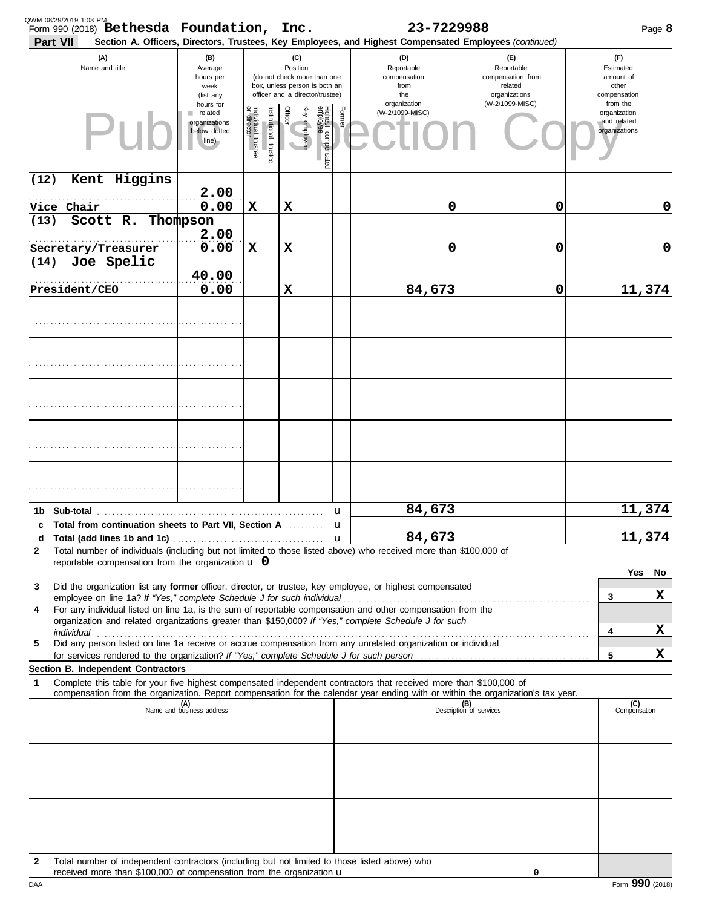| Part VII           | Form 990 (2018) Bethesda Foundation, Inc.                                                                                                                                       |                                                                     |                                   |                       |                 |                 |                                                                                                 |        | 23-7229988<br>Section A. Officers, Directors, Trustees, Key Employees, and Highest Compensated Employees (continued)                                                                                                                                   |                                                                               | Page 8                                                   |
|--------------------|---------------------------------------------------------------------------------------------------------------------------------------------------------------------------------|---------------------------------------------------------------------|-----------------------------------|-----------------------|-----------------|-----------------|-------------------------------------------------------------------------------------------------|--------|--------------------------------------------------------------------------------------------------------------------------------------------------------------------------------------------------------------------------------------------------------|-------------------------------------------------------------------------------|----------------------------------------------------------|
|                    | (A)<br>Name and title                                                                                                                                                           | (B)<br>Average<br>hours per<br>week<br>(list any                    |                                   |                       | (C)<br>Position |                 | (do not check more than one<br>box, unless person is both an<br>officer and a director/trustee) |        | (D)<br>Reportable<br>compensation<br>from<br>the                                                                                                                                                                                                       | $(\mathsf{F})$<br>Reportable<br>compensation from<br>related<br>organizations | (F)<br>Estimated<br>amount of<br>other<br>compensation   |
|                    | PII                                                                                                                                                                             | hours for<br>related<br>ш<br>organizations<br>below dotted<br>line) | Individual trustee<br>or director | Institutional trustee | Officer         | Ķey<br>employee | Highest compensated<br>employee                                                                 | Former | organization<br>(W-2/1099-MISC)                                                                                                                                                                                                                        | (W-2/1099-MISC)                                                               | from the<br>organization<br>and related<br>organizations |
| (12)               | Kent Higgins                                                                                                                                                                    | 2.00                                                                |                                   |                       |                 |                 |                                                                                                 |        |                                                                                                                                                                                                                                                        |                                                                               |                                                          |
| Vice Chair<br>(13) | Scott R. Thompson                                                                                                                                                               | 0.00<br>2.00                                                        | X                                 |                       | X               |                 |                                                                                                 |        | 0                                                                                                                                                                                                                                                      | 0                                                                             | 0                                                        |
| (14)               | Secretary/Treasurer<br>Joe Spelic                                                                                                                                               | 0.00<br>40.00                                                       | X                                 |                       | X               |                 |                                                                                                 |        | 0                                                                                                                                                                                                                                                      | 0                                                                             | 0                                                        |
| President/CEO      |                                                                                                                                                                                 | 0.00                                                                |                                   |                       | X               |                 |                                                                                                 |        | 84,673                                                                                                                                                                                                                                                 | 0                                                                             | 11,374                                                   |
|                    |                                                                                                                                                                                 |                                                                     |                                   |                       |                 |                 |                                                                                                 |        |                                                                                                                                                                                                                                                        |                                                                               |                                                          |
|                    |                                                                                                                                                                                 |                                                                     |                                   |                       |                 |                 |                                                                                                 |        |                                                                                                                                                                                                                                                        |                                                                               |                                                          |
|                    |                                                                                                                                                                                 |                                                                     |                                   |                       |                 |                 |                                                                                                 |        |                                                                                                                                                                                                                                                        |                                                                               |                                                          |
|                    |                                                                                                                                                                                 |                                                                     |                                   |                       |                 |                 |                                                                                                 |        |                                                                                                                                                                                                                                                        |                                                                               |                                                          |
|                    |                                                                                                                                                                                 |                                                                     |                                   |                       |                 |                 |                                                                                                 |        |                                                                                                                                                                                                                                                        |                                                                               |                                                          |
|                    | c Total from continuation sheets to Part VII, Section A                                                                                                                         |                                                                     |                                   |                       |                 |                 |                                                                                                 | u<br>п | 84,673                                                                                                                                                                                                                                                 |                                                                               | 11,374                                                   |
| d<br>2             | reportable compensation from the organization $\bf{u}$ 0                                                                                                                        |                                                                     |                                   |                       |                 |                 |                                                                                                 | u      | 84,673<br>Total number of individuals (including but not limited to those listed above) who received more than \$100,000 of                                                                                                                            |                                                                               | 11,374                                                   |
| 3                  | employee on line 1a? If "Yes," complete Schedule J for such individual                                                                                                          |                                                                     |                                   |                       |                 |                 |                                                                                                 |        | Did the organization list any former officer, director, or trustee, key employee, or highest compensated                                                                                                                                               |                                                                               | Yes<br>No<br>x<br>3                                      |
| 4                  |                                                                                                                                                                                 |                                                                     |                                   |                       |                 |                 |                                                                                                 |        | For any individual listed on line 1a, is the sum of reportable compensation and other compensation from the<br>organization and related organizations greater than \$150,000? If "Yes," complete Schedule J for such                                   |                                                                               | X<br>4                                                   |
| 5                  | Section B. Independent Contractors                                                                                                                                              |                                                                     |                                   |                       |                 |                 |                                                                                                 |        | Did any person listed on line 1a receive or accrue compensation from any unrelated organization or individual                                                                                                                                          |                                                                               | x<br>5                                                   |
| 1                  |                                                                                                                                                                                 |                                                                     |                                   |                       |                 |                 |                                                                                                 |        | Complete this table for your five highest compensated independent contractors that received more than \$100,000 of<br>compensation from the organization. Report compensation for the calendar year ending with or within the organization's tax year. |                                                                               |                                                          |
|                    |                                                                                                                                                                                 | (A)<br>Name and business address                                    |                                   |                       |                 |                 |                                                                                                 |        |                                                                                                                                                                                                                                                        | (B)<br>Description of services                                                | (C)<br>Compensation                                      |
|                    |                                                                                                                                                                                 |                                                                     |                                   |                       |                 |                 |                                                                                                 |        |                                                                                                                                                                                                                                                        |                                                                               |                                                          |
|                    |                                                                                                                                                                                 |                                                                     |                                   |                       |                 |                 |                                                                                                 |        |                                                                                                                                                                                                                                                        |                                                                               |                                                          |
|                    |                                                                                                                                                                                 |                                                                     |                                   |                       |                 |                 |                                                                                                 |        |                                                                                                                                                                                                                                                        |                                                                               |                                                          |
| 2                  | Total number of independent contractors (including but not limited to those listed above) who<br>received more than \$100,000 of compensation from the organization $\mathbf u$ |                                                                     |                                   |                       |                 |                 |                                                                                                 |        |                                                                                                                                                                                                                                                        | 0                                                                             |                                                          |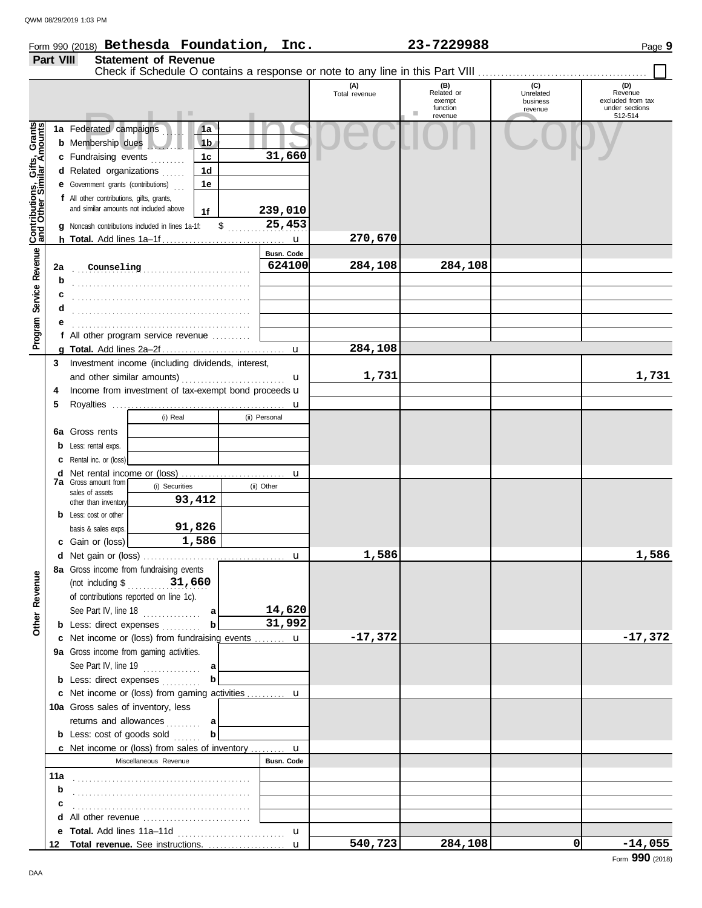DAA

## Form 990 (2018) Page **9 Bethesda Foundation, Inc. 23-7229988 Part VIII Statement of Revenue**

|                                                                  |     |                                                                                                                                   | .                                                                                                       |                                              |                         | (A)<br>Total revenue | (B)<br>Related or<br>exempt<br>function<br>revenue | (C)<br>Unrelated<br>business<br>revenue | (D)<br>Revenue<br>excluded from tax<br>under sections<br>512-514 |
|------------------------------------------------------------------|-----|-----------------------------------------------------------------------------------------------------------------------------------|---------------------------------------------------------------------------------------------------------|----------------------------------------------|-------------------------|----------------------|----------------------------------------------------|-----------------------------------------|------------------------------------------------------------------|
| <b>Contributions, Gifts, Grants</b><br>and Other Similar Amounts |     | 1a Federated campaigns<br><b>b</b> Membership dues<br>c Fundraising events<br>d Related organizations                             |                                                                                                         | 1a<br>1 <sub>b</sub><br>1 <sub>c</sub><br>1d | 31,660                  |                      |                                                    |                                         |                                                                  |
|                                                                  |     | <b>e</b> Government grants (contributions)<br>f All other contributions, gifts, grants,<br>and similar amounts not included above | <b>q</b> Noncash contributions included in lines 1a-1f:                                                 | 1e<br>1f                                     | \$<br>239,010<br>25,453 |                      |                                                    |                                         |                                                                  |
|                                                                  |     |                                                                                                                                   |                                                                                                         |                                              |                         | 270,670              |                                                    |                                         |                                                                  |
| Program Service Revenue                                          | 2a  | Counseling                                                                                                                        |                                                                                                         |                                              | Busn. Code<br>624100    | 284,108              | 284,108                                            |                                         |                                                                  |
|                                                                  | b   |                                                                                                                                   |                                                                                                         |                                              |                         |                      |                                                    |                                         |                                                                  |
|                                                                  | с   |                                                                                                                                   |                                                                                                         |                                              |                         |                      |                                                    |                                         |                                                                  |
|                                                                  | d   |                                                                                                                                   |                                                                                                         |                                              |                         |                      |                                                    |                                         |                                                                  |
|                                                                  | е   |                                                                                                                                   |                                                                                                         |                                              |                         |                      |                                                    |                                         |                                                                  |
|                                                                  |     |                                                                                                                                   | f All other program service revenue $\ldots$                                                            |                                              |                         |                      |                                                    |                                         |                                                                  |
|                                                                  |     |                                                                                                                                   |                                                                                                         |                                              |                         | 284,108              |                                                    |                                         |                                                                  |
|                                                                  | 3   |                                                                                                                                   | Investment income (including dividends, interest,                                                       |                                              |                         |                      |                                                    |                                         |                                                                  |
|                                                                  |     |                                                                                                                                   |                                                                                                         |                                              | u                       | 1,731                |                                                    |                                         | 1,731                                                            |
|                                                                  | 4   |                                                                                                                                   | Income from investment of tax-exempt bond proceeds u                                                    |                                              |                         |                      |                                                    |                                         |                                                                  |
|                                                                  | 5   |                                                                                                                                   | (i) Real                                                                                                |                                              | u<br>(ii) Personal      |                      |                                                    |                                         |                                                                  |
|                                                                  |     | <b>6a</b> Gross rents                                                                                                             |                                                                                                         |                                              |                         |                      |                                                    |                                         |                                                                  |
|                                                                  |     | <b>b</b> Less: rental exps.                                                                                                       |                                                                                                         |                                              |                         |                      |                                                    |                                         |                                                                  |
|                                                                  |     | <b>c</b> Rental inc. or (loss)                                                                                                    |                                                                                                         |                                              |                         |                      |                                                    |                                         |                                                                  |
|                                                                  |     |                                                                                                                                   |                                                                                                         |                                              |                         |                      |                                                    |                                         |                                                                  |
|                                                                  |     | <b>7a</b> Gross amount from                                                                                                       | (i) Securities                                                                                          |                                              | (ii) Other              |                      |                                                    |                                         |                                                                  |
|                                                                  |     | sales of assets<br>other than inventory                                                                                           |                                                                                                         | 93,412                                       |                         |                      |                                                    |                                         |                                                                  |
|                                                                  |     | <b>b</b> Less: cost or other                                                                                                      |                                                                                                         |                                              |                         |                      |                                                    |                                         |                                                                  |
|                                                                  |     | basis & sales exps.                                                                                                               |                                                                                                         | 91,826                                       |                         |                      |                                                    |                                         |                                                                  |
|                                                                  |     | c Gain or (loss)                                                                                                                  |                                                                                                         | 1,586                                        |                         |                      |                                                    |                                         |                                                                  |
|                                                                  |     |                                                                                                                                   |                                                                                                         |                                              |                         | 1,586                |                                                    |                                         | 1,586                                                            |
|                                                                  |     |                                                                                                                                   | 8a Gross income from fundraising events                                                                 |                                              |                         |                      |                                                    |                                         |                                                                  |
| enue<br>Rev                                                      |     | (not including \$                                                                                                                 | $\frac{31,660}{2}$<br>of contributions reported on line 1c).                                            |                                              |                         |                      |                                                    |                                         |                                                                  |
|                                                                  |     |                                                                                                                                   | See Part IV, line $18$                                                                                  | a                                            | 14,620                  |                      |                                                    |                                         |                                                                  |
| Other                                                            |     |                                                                                                                                   | <b>b</b> Less: direct expenses                                                                          | b                                            | 31,992                  |                      |                                                    |                                         |                                                                  |
|                                                                  |     |                                                                                                                                   | c Net income or (loss) from fundraising events  u                                                       |                                              |                         | $-17,372$            |                                                    |                                         | $-17,372$                                                        |
|                                                                  |     |                                                                                                                                   | 9a Gross income from gaming activities.                                                                 |                                              |                         |                      |                                                    |                                         |                                                                  |
|                                                                  |     |                                                                                                                                   | See Part IV, line 19 $\ldots$                                                                           | al                                           |                         |                      |                                                    |                                         |                                                                  |
|                                                                  |     |                                                                                                                                   | <b>b</b> Less: direct expenses                                                                          | b                                            |                         |                      |                                                    |                                         |                                                                  |
|                                                                  |     |                                                                                                                                   | c Net income or (loss) from gaming activities  u                                                        |                                              |                         |                      |                                                    |                                         |                                                                  |
|                                                                  |     |                                                                                                                                   | 10a Gross sales of inventory, less                                                                      |                                              |                         |                      |                                                    |                                         |                                                                  |
|                                                                  |     |                                                                                                                                   | returns and allowances                                                                                  | a<br>b                                       |                         |                      |                                                    |                                         |                                                                  |
|                                                                  |     |                                                                                                                                   | <b>b</b> Less: cost of goods sold<br><b>c</b> Net income or (loss) from sales of inventory $\mathbf{u}$ |                                              |                         |                      |                                                    |                                         |                                                                  |
|                                                                  |     |                                                                                                                                   | Miscellaneous Revenue                                                                                   |                                              | Busn. Code              |                      |                                                    |                                         |                                                                  |
|                                                                  | 11a |                                                                                                                                   |                                                                                                         |                                              |                         |                      |                                                    |                                         |                                                                  |
|                                                                  | b   |                                                                                                                                   |                                                                                                         |                                              |                         |                      |                                                    |                                         |                                                                  |
|                                                                  | c   |                                                                                                                                   |                                                                                                         |                                              |                         |                      |                                                    |                                         |                                                                  |
|                                                                  | d   |                                                                                                                                   | All other revenue                                                                                       |                                              |                         |                      |                                                    |                                         |                                                                  |
|                                                                  |     |                                                                                                                                   |                                                                                                         |                                              | u                       |                      |                                                    |                                         |                                                                  |
|                                                                  | 12  |                                                                                                                                   | Total revenue. See instructions.                                                                        |                                              | $\mathbf{u}$            | 540,723              | 284,108                                            | 0                                       | $-14,055$                                                        |
|                                                                  |     |                                                                                                                                   |                                                                                                         |                                              |                         |                      |                                                    |                                         | Form 990 (2018)                                                  |

Check if Schedule O contains a response or note to any line in this Part VIII . . . . . . . . . . . . . . . . . . . . . . . . . . . . . . . . . . . . . . . . . . . .

 $\Box$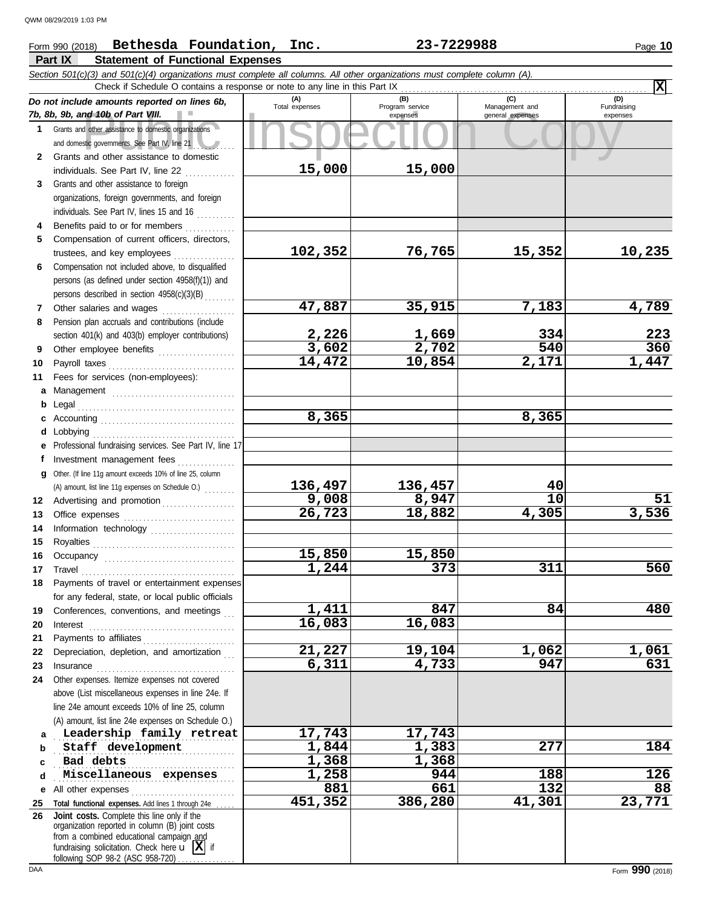### nd 10b of Part VIII.<br>
dother assistance to domestic organizations<br>
and other assistance to domestic<br>
and other assistance to domestic **Part IX Statement of Functional Expenses** Form 990 (2018) Page **10 Bethesda Foundation, Inc. 23-7229988** *Section 501(c)(3) and 501(c)(4) organizations must complete all columns. All other organizations must complete column (A). Do not include amounts reported on lines 6b, 7b, 8b, 9b, and 10b of Part VIII.* **1 2 3** Grants and other assistance to domestic organizations and domestic governments. See Part IV, line 21 Grants and other assistance to domestic individuals. See Part IV, line 22  $\ldots$ ......... Grants and other assistance to foreign **(A) (B) (C) (D)** Total expenses Program service Management and expenses general expenses (D)<br>Fundraising expenses Check if Schedule O contains a response or note to any line in this Part IX **15,000 15,000**

|              | 2 Grants and other assistance to domestic                                                                                                                                                                                                             |                 |                |                  |        |
|--------------|-------------------------------------------------------------------------------------------------------------------------------------------------------------------------------------------------------------------------------------------------------|-----------------|----------------|------------------|--------|
|              | individuals. See Part IV, line 22                                                                                                                                                                                                                     | 15,000          | 15,000         |                  |        |
| 3            | Grants and other assistance to foreign                                                                                                                                                                                                                |                 |                |                  |        |
|              | organizations, foreign governments, and foreign                                                                                                                                                                                                       |                 |                |                  |        |
|              | individuals. See Part IV, lines 15 and 16                                                                                                                                                                                                             |                 |                |                  |        |
| 4            | Benefits paid to or for members                                                                                                                                                                                                                       |                 |                |                  |        |
| 5            | Compensation of current officers, directors,                                                                                                                                                                                                          |                 |                |                  |        |
|              |                                                                                                                                                                                                                                                       | 102,352         | 76,765         | 15,352           | 10,235 |
| 6            | Compensation not included above, to disqualified                                                                                                                                                                                                      |                 |                |                  |        |
|              | persons (as defined under section 4958(f)(1)) and                                                                                                                                                                                                     |                 |                |                  |        |
|              | persons described in section 4958(c)(3)(B)                                                                                                                                                                                                            |                 |                |                  |        |
| $\mathbf{7}$ | Other salaries and wages                                                                                                                                                                                                                              | 47,887          | 35,915         | 7,183            | 4,789  |
| 8            | Pension plan accruals and contributions (include                                                                                                                                                                                                      |                 |                |                  | 223    |
|              | section 401(k) and 403(b) employer contributions)                                                                                                                                                                                                     | 2,226           | 1,669<br>2,702 | 334<br>540       | 360    |
| 9            | Other employee benefits                                                                                                                                                                                                                               | 3,602<br>14,472 |                | 2,171            | 1,447  |
| 10           |                                                                                                                                                                                                                                                       |                 | 10,854         |                  |        |
| 11           | Fees for services (non-employees):                                                                                                                                                                                                                    |                 |                |                  |        |
|              | a Management                                                                                                                                                                                                                                          |                 |                |                  |        |
|              | <b>b</b> Legal $\ldots$ . $\ldots$ . $\ldots$ . $\ldots$ . $\ldots$ . $\ldots$ . $\ldots$ . $\ldots$ . $\ldots$ . $\ldots$                                                                                                                            | 8,365           |                | 8,365            |        |
|              | c Accounting $\ldots$                                                                                                                                                                                                                                 |                 |                |                  |        |
|              |                                                                                                                                                                                                                                                       |                 |                |                  |        |
|              | e Professional fundraising services. See Part IV, line 17                                                                                                                                                                                             |                 |                |                  |        |
|              | f Investment management fees                                                                                                                                                                                                                          |                 |                |                  |        |
|              | g Other. (If line 11g amount exceeds 10% of line 25, column                                                                                                                                                                                           | 136,497         | 136,457        | 40               |        |
|              | (A) amount, list line 11g expenses on Schedule O.)                                                                                                                                                                                                    | 9,008           | 8,947          | $\overline{10}$  | 51     |
|              | 12 Advertising and promotion                                                                                                                                                                                                                          | 26,723          | 18,882         | 4,305            | 3,536  |
| 13<br>14     |                                                                                                                                                                                                                                                       |                 |                |                  |        |
| 15           | Information technology                                                                                                                                                                                                                                |                 |                |                  |        |
| 16           |                                                                                                                                                                                                                                                       | 15,850          | 15,850         |                  |        |
| 17           |                                                                                                                                                                                                                                                       | 1,244           | 373            | 311              | 560    |
| 18           | $\begin{minipage}{0.5\textwidth} \centering \begin{tabular}{@{}c@{}} \textbf{True} & \textbf{True} \\ \textbf{True} & \textbf{True} \\ \textbf{True} & \textbf{True} \\ \end{tabular} \end{minipage}$<br>Payments of travel or entertainment expenses |                 |                |                  |        |
|              | for any federal, state, or local public officials                                                                                                                                                                                                     |                 |                |                  |        |
| 19           | Conferences, conventions, and meetings                                                                                                                                                                                                                | 1,411           | 847            | 84               | 480    |
| 20           |                                                                                                                                                                                                                                                       | 16,083          | 16,083         |                  |        |
| 21           |                                                                                                                                                                                                                                                       |                 |                |                  |        |
| 22           | Depreciation, depletion, and amortization                                                                                                                                                                                                             | 21,227          | 19,104         | 1,062            | 1,061  |
| 23           | Insurance                                                                                                                                                                                                                                             | 6,311           | 4,733          | $\overline{947}$ | 631    |
| 24           | Other expenses. Itemize expenses not covered                                                                                                                                                                                                          |                 |                |                  |        |
|              | above (List miscellaneous expenses in line 24e. If                                                                                                                                                                                                    |                 |                |                  |        |
|              | line 24e amount exceeds 10% of line 25, column                                                                                                                                                                                                        |                 |                |                  |        |
|              | (A) amount, list line 24e expenses on Schedule O.)                                                                                                                                                                                                    |                 |                |                  |        |
| a            | Leadership family retreat                                                                                                                                                                                                                             | 17,743          | 17,743         |                  |        |
| b            | Staff development                                                                                                                                                                                                                                     | 1,844           | 1,383          | 277              | 184    |
| c            | Bad debts                                                                                                                                                                                                                                             | 1,368           | 1,368          |                  |        |
| d            | Miscellaneous expenses                                                                                                                                                                                                                                | 1,258           | 944            | 188              | 126    |
|              |                                                                                                                                                                                                                                                       | 881             | 661            | $\overline{132}$ | 88     |
| 25           | Total functional expenses. Add lines 1 through 24e                                                                                                                                                                                                    | 451,352         | 386,280        | 41,301           | 23,771 |
| 26           | Joint costs. Complete this line only if the                                                                                                                                                                                                           |                 |                |                  |        |
|              | organization reported in column (B) joint costs                                                                                                                                                                                                       |                 |                |                  |        |
|              | from a combined educational campaign and                                                                                                                                                                                                              |                 |                |                  |        |
|              | fundraising solicitation. Check here $\mathbf{u}$   $\mathbf{X}$   if<br>following SOP 98-2 (ASC 958-720)                                                                                                                                             |                 |                |                  |        |

**X**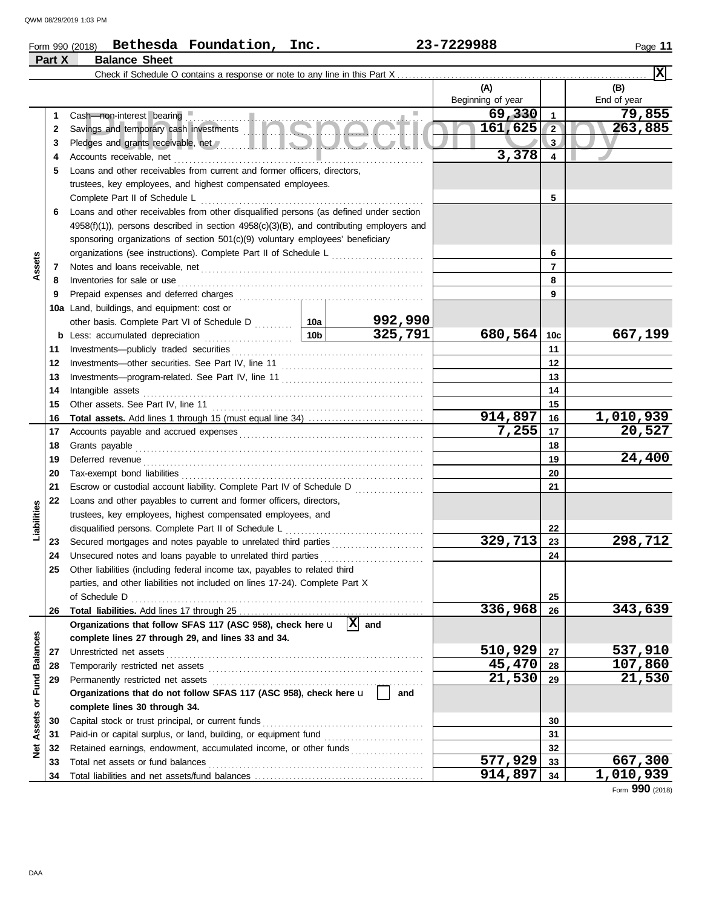# Form 990 (2018) Page **11 Bethesda Foundation, Inc. 23-7229988 Part X Balance Sheet**

| (A)<br>(B)<br>Beginning of year<br>End of year<br>69,330<br>79,855<br>1<br>1.<br>Cash—non-interest bearing<br>Savings and temporary cash investments<br>161,625<br>263,885<br>$\overline{2}$<br>2<br>3<br>3<br>3,378<br>Accounts receivable, net<br>4<br>4<br>Loans and other receivables from current and former officers, directors,<br>5<br>trustees, key employees, and highest compensated employees.<br>5<br>Loans and other receivables from other disqualified persons (as defined under section<br>6<br>$4958(f)(1)$ ), persons described in section $4958(c)(3)(B)$ , and contributing employers and<br>sponsoring organizations of section 501(c)(9) voluntary employees' beneficiary<br>organizations (see instructions). Complete Part II of Schedule L<br>6<br>Assets<br>7<br>7<br>Inventories for sale or use <i>communication</i> and the state or use of the contract of the state or use of the state or the state or the state or the state or the state or the state of the state or the state or the state or t<br>8<br>8<br>9<br>9<br>10a Land, buildings, and equipment: cost or<br>992,990<br>325,791<br>680,564<br>667,199<br>10c<br>11<br>11<br>12<br>12<br>13<br>13<br>Intangible assets<br>14<br>14<br>15<br>15<br>914,897<br>1,010,939<br>Total assets. Add lines 1 through 15 (must equal line 34)<br>16<br>16 |  |
|----------------------------------------------------------------------------------------------------------------------------------------------------------------------------------------------------------------------------------------------------------------------------------------------------------------------------------------------------------------------------------------------------------------------------------------------------------------------------------------------------------------------------------------------------------------------------------------------------------------------------------------------------------------------------------------------------------------------------------------------------------------------------------------------------------------------------------------------------------------------------------------------------------------------------------------------------------------------------------------------------------------------------------------------------------------------------------------------------------------------------------------------------------------------------------------------------------------------------------------------------------------------------------------------------------------------------------------------|--|
|                                                                                                                                                                                                                                                                                                                                                                                                                                                                                                                                                                                                                                                                                                                                                                                                                                                                                                                                                                                                                                                                                                                                                                                                                                                                                                                                              |  |
|                                                                                                                                                                                                                                                                                                                                                                                                                                                                                                                                                                                                                                                                                                                                                                                                                                                                                                                                                                                                                                                                                                                                                                                                                                                                                                                                              |  |
|                                                                                                                                                                                                                                                                                                                                                                                                                                                                                                                                                                                                                                                                                                                                                                                                                                                                                                                                                                                                                                                                                                                                                                                                                                                                                                                                              |  |
|                                                                                                                                                                                                                                                                                                                                                                                                                                                                                                                                                                                                                                                                                                                                                                                                                                                                                                                                                                                                                                                                                                                                                                                                                                                                                                                                              |  |
|                                                                                                                                                                                                                                                                                                                                                                                                                                                                                                                                                                                                                                                                                                                                                                                                                                                                                                                                                                                                                                                                                                                                                                                                                                                                                                                                              |  |
|                                                                                                                                                                                                                                                                                                                                                                                                                                                                                                                                                                                                                                                                                                                                                                                                                                                                                                                                                                                                                                                                                                                                                                                                                                                                                                                                              |  |
|                                                                                                                                                                                                                                                                                                                                                                                                                                                                                                                                                                                                                                                                                                                                                                                                                                                                                                                                                                                                                                                                                                                                                                                                                                                                                                                                              |  |
|                                                                                                                                                                                                                                                                                                                                                                                                                                                                                                                                                                                                                                                                                                                                                                                                                                                                                                                                                                                                                                                                                                                                                                                                                                                                                                                                              |  |
|                                                                                                                                                                                                                                                                                                                                                                                                                                                                                                                                                                                                                                                                                                                                                                                                                                                                                                                                                                                                                                                                                                                                                                                                                                                                                                                                              |  |
|                                                                                                                                                                                                                                                                                                                                                                                                                                                                                                                                                                                                                                                                                                                                                                                                                                                                                                                                                                                                                                                                                                                                                                                                                                                                                                                                              |  |
|                                                                                                                                                                                                                                                                                                                                                                                                                                                                                                                                                                                                                                                                                                                                                                                                                                                                                                                                                                                                                                                                                                                                                                                                                                                                                                                                              |  |
|                                                                                                                                                                                                                                                                                                                                                                                                                                                                                                                                                                                                                                                                                                                                                                                                                                                                                                                                                                                                                                                                                                                                                                                                                                                                                                                                              |  |
|                                                                                                                                                                                                                                                                                                                                                                                                                                                                                                                                                                                                                                                                                                                                                                                                                                                                                                                                                                                                                                                                                                                                                                                                                                                                                                                                              |  |
|                                                                                                                                                                                                                                                                                                                                                                                                                                                                                                                                                                                                                                                                                                                                                                                                                                                                                                                                                                                                                                                                                                                                                                                                                                                                                                                                              |  |
|                                                                                                                                                                                                                                                                                                                                                                                                                                                                                                                                                                                                                                                                                                                                                                                                                                                                                                                                                                                                                                                                                                                                                                                                                                                                                                                                              |  |
|                                                                                                                                                                                                                                                                                                                                                                                                                                                                                                                                                                                                                                                                                                                                                                                                                                                                                                                                                                                                                                                                                                                                                                                                                                                                                                                                              |  |
|                                                                                                                                                                                                                                                                                                                                                                                                                                                                                                                                                                                                                                                                                                                                                                                                                                                                                                                                                                                                                                                                                                                                                                                                                                                                                                                                              |  |
|                                                                                                                                                                                                                                                                                                                                                                                                                                                                                                                                                                                                                                                                                                                                                                                                                                                                                                                                                                                                                                                                                                                                                                                                                                                                                                                                              |  |
|                                                                                                                                                                                                                                                                                                                                                                                                                                                                                                                                                                                                                                                                                                                                                                                                                                                                                                                                                                                                                                                                                                                                                                                                                                                                                                                                              |  |
|                                                                                                                                                                                                                                                                                                                                                                                                                                                                                                                                                                                                                                                                                                                                                                                                                                                                                                                                                                                                                                                                                                                                                                                                                                                                                                                                              |  |
|                                                                                                                                                                                                                                                                                                                                                                                                                                                                                                                                                                                                                                                                                                                                                                                                                                                                                                                                                                                                                                                                                                                                                                                                                                                                                                                                              |  |
|                                                                                                                                                                                                                                                                                                                                                                                                                                                                                                                                                                                                                                                                                                                                                                                                                                                                                                                                                                                                                                                                                                                                                                                                                                                                                                                                              |  |
|                                                                                                                                                                                                                                                                                                                                                                                                                                                                                                                                                                                                                                                                                                                                                                                                                                                                                                                                                                                                                                                                                                                                                                                                                                                                                                                                              |  |
|                                                                                                                                                                                                                                                                                                                                                                                                                                                                                                                                                                                                                                                                                                                                                                                                                                                                                                                                                                                                                                                                                                                                                                                                                                                                                                                                              |  |
|                                                                                                                                                                                                                                                                                                                                                                                                                                                                                                                                                                                                                                                                                                                                                                                                                                                                                                                                                                                                                                                                                                                                                                                                                                                                                                                                              |  |
| 7,255<br>20,527<br>17<br>17                                                                                                                                                                                                                                                                                                                                                                                                                                                                                                                                                                                                                                                                                                                                                                                                                                                                                                                                                                                                                                                                                                                                                                                                                                                                                                                  |  |
| Grants payable<br>18<br>18                                                                                                                                                                                                                                                                                                                                                                                                                                                                                                                                                                                                                                                                                                                                                                                                                                                                                                                                                                                                                                                                                                                                                                                                                                                                                                                   |  |
| 24,400<br>19<br>19                                                                                                                                                                                                                                                                                                                                                                                                                                                                                                                                                                                                                                                                                                                                                                                                                                                                                                                                                                                                                                                                                                                                                                                                                                                                                                                           |  |
| 20<br>20                                                                                                                                                                                                                                                                                                                                                                                                                                                                                                                                                                                                                                                                                                                                                                                                                                                                                                                                                                                                                                                                                                                                                                                                                                                                                                                                     |  |
| Escrow or custodial account liability. Complete Part IV of Schedule D<br>21<br>21                                                                                                                                                                                                                                                                                                                                                                                                                                                                                                                                                                                                                                                                                                                                                                                                                                                                                                                                                                                                                                                                                                                                                                                                                                                            |  |
| Loans and other payables to current and former officers, directors,<br>22                                                                                                                                                                                                                                                                                                                                                                                                                                                                                                                                                                                                                                                                                                                                                                                                                                                                                                                                                                                                                                                                                                                                                                                                                                                                    |  |
| trustees, key employees, highest compensated employees, and                                                                                                                                                                                                                                                                                                                                                                                                                                                                                                                                                                                                                                                                                                                                                                                                                                                                                                                                                                                                                                                                                                                                                                                                                                                                                  |  |
| Liabilities<br>disqualified persons. Complete Part II of Schedule L <sub>1111111111111111111111111111111</sub><br>22                                                                                                                                                                                                                                                                                                                                                                                                                                                                                                                                                                                                                                                                                                                                                                                                                                                                                                                                                                                                                                                                                                                                                                                                                         |  |
| 329,713<br>298,712<br>Secured mortgages and notes payable to unrelated third parties<br>23<br>23                                                                                                                                                                                                                                                                                                                                                                                                                                                                                                                                                                                                                                                                                                                                                                                                                                                                                                                                                                                                                                                                                                                                                                                                                                             |  |
| Unsecured notes and loans payable to unrelated third parties<br>24<br>24                                                                                                                                                                                                                                                                                                                                                                                                                                                                                                                                                                                                                                                                                                                                                                                                                                                                                                                                                                                                                                                                                                                                                                                                                                                                     |  |
| Other liabilities (including federal income tax, payables to related third<br>25                                                                                                                                                                                                                                                                                                                                                                                                                                                                                                                                                                                                                                                                                                                                                                                                                                                                                                                                                                                                                                                                                                                                                                                                                                                             |  |
| parties, and other liabilities not included on lines 17-24). Complete Part X                                                                                                                                                                                                                                                                                                                                                                                                                                                                                                                                                                                                                                                                                                                                                                                                                                                                                                                                                                                                                                                                                                                                                                                                                                                                 |  |
| of Schedule D<br>25<br>336,968                                                                                                                                                                                                                                                                                                                                                                                                                                                                                                                                                                                                                                                                                                                                                                                                                                                                                                                                                                                                                                                                                                                                                                                                                                                                                                               |  |
| 343,639<br>26<br>26                                                                                                                                                                                                                                                                                                                                                                                                                                                                                                                                                                                                                                                                                                                                                                                                                                                                                                                                                                                                                                                                                                                                                                                                                                                                                                                          |  |
| Organizations that follow SFAS 117 (ASC 958), check here $\mathbf{u}$ $\overline{X}$ and                                                                                                                                                                                                                                                                                                                                                                                                                                                                                                                                                                                                                                                                                                                                                                                                                                                                                                                                                                                                                                                                                                                                                                                                                                                     |  |
| complete lines 27 through 29, and lines 33 and 34.<br>510,929<br>537,910<br>27                                                                                                                                                                                                                                                                                                                                                                                                                                                                                                                                                                                                                                                                                                                                                                                                                                                                                                                                                                                                                                                                                                                                                                                                                                                               |  |
| Unrestricted net assets<br>27<br>45,470<br>107,860<br>28                                                                                                                                                                                                                                                                                                                                                                                                                                                                                                                                                                                                                                                                                                                                                                                                                                                                                                                                                                                                                                                                                                                                                                                                                                                                                     |  |
| or Fund Balances<br>28<br>21,530<br>21,530<br>29<br>Permanently restricted net assets<br>29                                                                                                                                                                                                                                                                                                                                                                                                                                                                                                                                                                                                                                                                                                                                                                                                                                                                                                                                                                                                                                                                                                                                                                                                                                                  |  |
| Organizations that do not follow SFAS 117 (ASC 958), check here u<br>and                                                                                                                                                                                                                                                                                                                                                                                                                                                                                                                                                                                                                                                                                                                                                                                                                                                                                                                                                                                                                                                                                                                                                                                                                                                                     |  |
| complete lines 30 through 34.                                                                                                                                                                                                                                                                                                                                                                                                                                                                                                                                                                                                                                                                                                                                                                                                                                                                                                                                                                                                                                                                                                                                                                                                                                                                                                                |  |
| Capital stock or trust principal, or current funds<br>30<br>30                                                                                                                                                                                                                                                                                                                                                                                                                                                                                                                                                                                                                                                                                                                                                                                                                                                                                                                                                                                                                                                                                                                                                                                                                                                                               |  |
| <b>Net Assets</b><br>Paid-in or capital surplus, or land, building, or equipment fund<br>31<br>31                                                                                                                                                                                                                                                                                                                                                                                                                                                                                                                                                                                                                                                                                                                                                                                                                                                                                                                                                                                                                                                                                                                                                                                                                                            |  |
| Retained earnings, endowment, accumulated income, or other funds<br>32<br>32                                                                                                                                                                                                                                                                                                                                                                                                                                                                                                                                                                                                                                                                                                                                                                                                                                                                                                                                                                                                                                                                                                                                                                                                                                                                 |  |
| 577,929<br>667,300<br>Total net assets or fund balances<br>33<br>33                                                                                                                                                                                                                                                                                                                                                                                                                                                                                                                                                                                                                                                                                                                                                                                                                                                                                                                                                                                                                                                                                                                                                                                                                                                                          |  |
| 914,897<br>1,010,939<br>34<br>34                                                                                                                                                                                                                                                                                                                                                                                                                                                                                                                                                                                                                                                                                                                                                                                                                                                                                                                                                                                                                                                                                                                                                                                                                                                                                                             |  |

Form **990** (2018)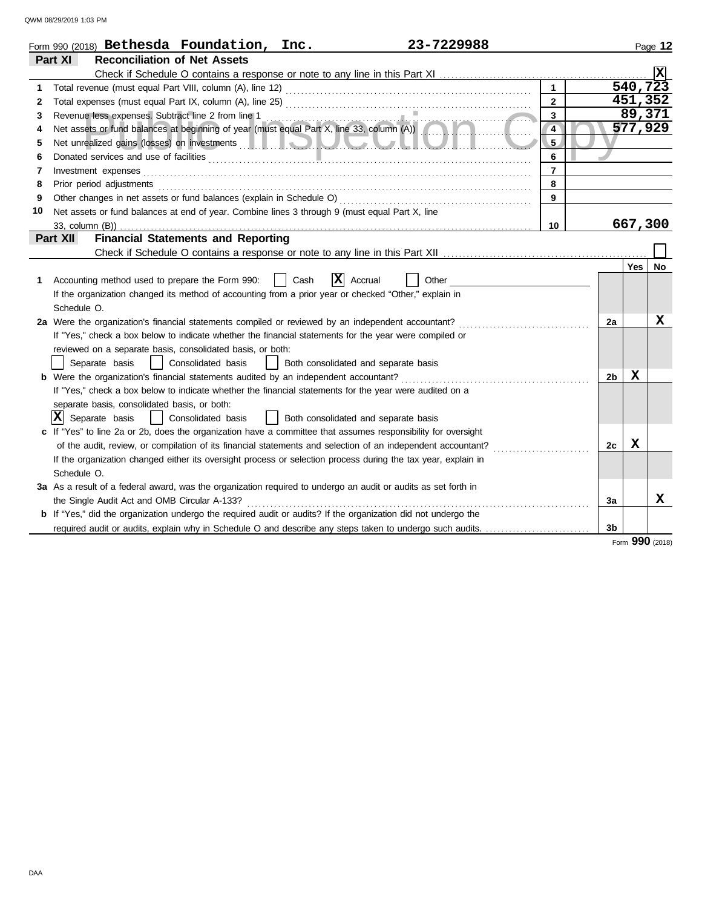|              | 23-7229988<br>Form 990 (2018) Bethesda Foundation, Inc.                                                                                         |                |                |                       | Page 12  |
|--------------|-------------------------------------------------------------------------------------------------------------------------------------------------|----------------|----------------|-----------------------|----------|
|              | Part XI<br><b>Reconciliation of Net Assets</b>                                                                                                  |                |                |                       |          |
|              |                                                                                                                                                 |                |                |                       | <b>X</b> |
| 1            |                                                                                                                                                 |                |                | $\overline{540, 723}$ |          |
| $\mathbf{2}$ |                                                                                                                                                 | $\overline{2}$ |                | 451,352               |          |
| 3            |                                                                                                                                                 | 3              |                | 89,371                |          |
| 4            | Revenue less expenses. Subtract line 2 from line 1<br>Net assets or fund balances at beginning of year (must equal Part X, line 33, column (A)) | $\overline{4}$ |                | 577,929               |          |
| 5            |                                                                                                                                                 | 5 <sub>1</sub> |                |                       |          |
| 6            |                                                                                                                                                 | 6              |                |                       |          |
| 7            | Investment expenses                                                                                                                             | $\overline{7}$ |                |                       |          |
| 8            | Prior period adjustments                                                                                                                        | 8              |                |                       |          |
| 9            | Other changes in net assets or fund balances (explain in Schedule O)                                                                            | 9              |                |                       |          |
| 10           | Net assets or fund balances at end of year. Combine lines 3 through 9 (must equal Part X, line                                                  |                |                |                       |          |
|              |                                                                                                                                                 | 10             |                | 667,300               |          |
|              | <b>Financial Statements and Reporting</b><br>Part XII                                                                                           |                |                |                       |          |
|              |                                                                                                                                                 |                |                |                       |          |
|              |                                                                                                                                                 |                |                | Yes                   | No       |
| 1            | x<br>Accounting method used to prepare the Form 990:<br>Cash<br>Accrual<br>Other                                                                |                |                |                       |          |
|              | If the organization changed its method of accounting from a prior year or checked "Other," explain in                                           |                |                |                       |          |
|              | Schedule O.                                                                                                                                     |                |                |                       |          |
|              | 2a Were the organization's financial statements compiled or reviewed by an independent accountant?                                              |                | 2a             |                       | х        |
|              | If "Yes," check a box below to indicate whether the financial statements for the year were compiled or                                          |                |                |                       |          |
|              | reviewed on a separate basis, consolidated basis, or both:                                                                                      |                |                |                       |          |
|              | Separate basis<br>Consolidated basis<br>Both consolidated and separate basis                                                                    |                |                |                       |          |
|              | <b>b</b> Were the organization's financial statements audited by an independent accountant?                                                     |                | 2 <sub>b</sub> | x                     |          |
|              | If "Yes," check a box below to indicate whether the financial statements for the year were audited on a                                         |                |                |                       |          |
|              | separate basis, consolidated basis, or both:                                                                                                    |                |                |                       |          |
|              | $ \mathbf{X} $ Separate basis<br>Consolidated basis<br>  Both consolidated and separate basis                                                   |                |                |                       |          |
|              | c If "Yes" to line 2a or 2b, does the organization have a committee that assumes responsibility for oversight                                   |                |                |                       |          |
|              | of the audit, review, or compilation of its financial statements and selection of an independent accountant?                                    |                | 2c             | X                     |          |
|              | If the organization changed either its oversight process or selection process during the tax year, explain in                                   |                |                |                       |          |
|              | Schedule O.                                                                                                                                     |                |                |                       |          |
|              | 3a As a result of a federal award, was the organization required to undergo an audit or audits as set forth in                                  |                |                |                       | x        |
|              | the Single Audit Act and OMB Circular A-133?                                                                                                    |                | 3a             |                       |          |
|              | <b>b</b> If "Yes," did the organization undergo the required audit or audits? If the organization did not undergo the                           |                |                |                       |          |
|              | required audit or audits, explain why in Schedule O and describe any steps taken to undergo such audits.                                        |                | 3 <sub>b</sub> |                       |          |

Form **990** (2018)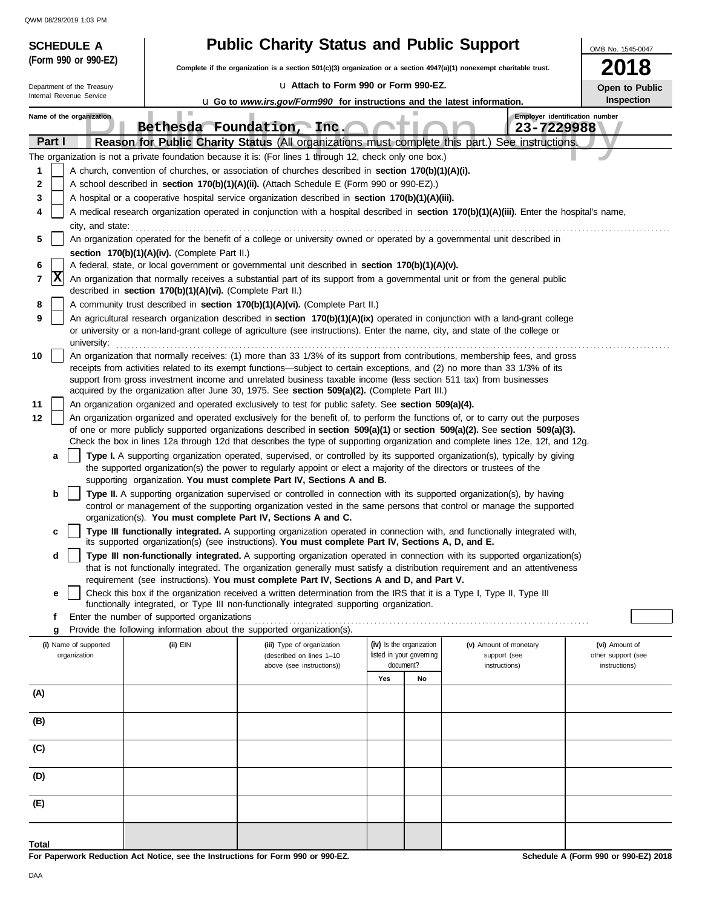|          | <b>SCHEDULE A</b>                                                                                                                                                                                                                                                                                                                                                                              |                                                            | <b>Public Charity Status and Public Support</b>                                                                                                                                                                                                                                                                                                       |                                                      |                                              | OMB No. 1545-0047                    |  |  |  |  |
|----------|------------------------------------------------------------------------------------------------------------------------------------------------------------------------------------------------------------------------------------------------------------------------------------------------------------------------------------------------------------------------------------------------|------------------------------------------------------------|-------------------------------------------------------------------------------------------------------------------------------------------------------------------------------------------------------------------------------------------------------------------------------------------------------------------------------------------------------|------------------------------------------------------|----------------------------------------------|--------------------------------------|--|--|--|--|
|          | (Form 990 or 990-EZ)                                                                                                                                                                                                                                                                                                                                                                           |                                                            | Complete if the organization is a section $501(c)(3)$ organization or a section $4947(a)(1)$ nonexempt charitable trust.                                                                                                                                                                                                                              |                                                      |                                              | 2018                                 |  |  |  |  |
|          | Department of the Treasury                                                                                                                                                                                                                                                                                                                                                                     |                                                            | La Attach to Form 990 or Form 990-EZ.                                                                                                                                                                                                                                                                                                                 |                                                      |                                              | Open to Public                       |  |  |  |  |
|          | Internal Revenue Service                                                                                                                                                                                                                                                                                                                                                                       |                                                            | <b>u</b> Go to <i>www.irs.gov/Form990</i> for instructions and the latest information.                                                                                                                                                                                                                                                                |                                                      |                                              | Inspection                           |  |  |  |  |
|          | Name of the organization                                                                                                                                                                                                                                                                                                                                                                       | ш                                                          |                                                                                                                                                                                                                                                                                                                                                       |                                                      | Employer identification number<br>23-7229988 |                                      |  |  |  |  |
| Part I   |                                                                                                                                                                                                                                                                                                                                                                                                |                                                            | Bethesda Foundation, Inc.<br>Reason for Public Charity Status (All organizations must complete this part.) See instructions.                                                                                                                                                                                                                          |                                                      |                                              |                                      |  |  |  |  |
|          |                                                                                                                                                                                                                                                                                                                                                                                                |                                                            | The organization is not a private foundation because it is: (For lines 1 through 12, check only one box.)                                                                                                                                                                                                                                             |                                                      |                                              |                                      |  |  |  |  |
| 1        |                                                                                                                                                                                                                                                                                                                                                                                                |                                                            | A church, convention of churches, or association of churches described in <b>section 170(b)(1)(A)(i).</b>                                                                                                                                                                                                                                             |                                                      |                                              |                                      |  |  |  |  |
| 2        |                                                                                                                                                                                                                                                                                                                                                                                                |                                                            | A school described in section 170(b)(1)(A)(ii). (Attach Schedule E (Form 990 or 990-EZ).)                                                                                                                                                                                                                                                             |                                                      |                                              |                                      |  |  |  |  |
| 3<br>4   | A hospital or a cooperative hospital service organization described in section 170(b)(1)(A)(iii).<br>A medical research organization operated in conjunction with a hospital described in section 170(b)(1)(A)(iii). Enter the hospital's name,                                                                                                                                                |                                                            |                                                                                                                                                                                                                                                                                                                                                       |                                                      |                                              |                                      |  |  |  |  |
|          | city, and state:                                                                                                                                                                                                                                                                                                                                                                               |                                                            |                                                                                                                                                                                                                                                                                                                                                       |                                                      |                                              |                                      |  |  |  |  |
| 5        | An organization operated for the benefit of a college or university owned or operated by a governmental unit described in                                                                                                                                                                                                                                                                      |                                                            |                                                                                                                                                                                                                                                                                                                                                       |                                                      |                                              |                                      |  |  |  |  |
| 6        |                                                                                                                                                                                                                                                                                                                                                                                                | section 170(b)(1)(A)(iv). (Complete Part II.)              | A federal, state, or local government or governmental unit described in section 170(b)(1)(A)(v).                                                                                                                                                                                                                                                      |                                                      |                                              |                                      |  |  |  |  |
| 7        | X                                                                                                                                                                                                                                                                                                                                                                                              | described in section 170(b)(1)(A)(vi). (Complete Part II.) | An organization that normally receives a substantial part of its support from a governmental unit or from the general public                                                                                                                                                                                                                          |                                                      |                                              |                                      |  |  |  |  |
| 8        |                                                                                                                                                                                                                                                                                                                                                                                                |                                                            | A community trust described in section 170(b)(1)(A)(vi). (Complete Part II.)                                                                                                                                                                                                                                                                          |                                                      |                                              |                                      |  |  |  |  |
| 9        |                                                                                                                                                                                                                                                                                                                                                                                                |                                                            | An agricultural research organization described in section 170(b)(1)(A)(ix) operated in conjunction with a land-grant college<br>or university or a non-land-grant college of agriculture (see instructions). Enter the name, city, and state of the college or                                                                                       |                                                      |                                              |                                      |  |  |  |  |
| 10       | university:<br>An organization that normally receives: (1) more than 33 1/3% of its support from contributions, membership fees, and gross<br>receipts from activities related to its exempt functions—subject to certain exceptions, and (2) no more than 33 1/3% of its<br>support from gross investment income and unrelated business taxable income (less section 511 tax) from businesses |                                                            |                                                                                                                                                                                                                                                                                                                                                       |                                                      |                                              |                                      |  |  |  |  |
|          |                                                                                                                                                                                                                                                                                                                                                                                                |                                                            | acquired by the organization after June 30, 1975. See section 509(a)(2). (Complete Part III.)                                                                                                                                                                                                                                                         |                                                      |                                              |                                      |  |  |  |  |
| 11<br>12 |                                                                                                                                                                                                                                                                                                                                                                                                |                                                            | An organization organized and operated exclusively to test for public safety. See section 509(a)(4).<br>An organization organized and operated exclusively for the benefit of, to perform the functions of, or to carry out the purposes                                                                                                              |                                                      |                                              |                                      |  |  |  |  |
|          |                                                                                                                                                                                                                                                                                                                                                                                                |                                                            | of one or more publicly supported organizations described in section 509(a)(1) or section 509(a)(2). See section 509(a)(3).                                                                                                                                                                                                                           |                                                      |                                              |                                      |  |  |  |  |
|          | a                                                                                                                                                                                                                                                                                                                                                                                              |                                                            | Check the box in lines 12a through 12d that describes the type of supporting organization and complete lines 12e, 12f, and 12g.<br>Type I. A supporting organization operated, supervised, or controlled by its supported organization(s), typically by giving                                                                                        |                                                      |                                              |                                      |  |  |  |  |
|          |                                                                                                                                                                                                                                                                                                                                                                                                |                                                            | the supported organization(s) the power to regularly appoint or elect a majority of the directors or trustees of the<br>supporting organization. You must complete Part IV, Sections A and B.                                                                                                                                                         |                                                      |                                              |                                      |  |  |  |  |
|          | b                                                                                                                                                                                                                                                                                                                                                                                              |                                                            | Type II. A supporting organization supervised or controlled in connection with its supported organization(s), by having<br>control or management of the supporting organization vested in the same persons that control or manage the supported                                                                                                       |                                                      |                                              |                                      |  |  |  |  |
|          | C                                                                                                                                                                                                                                                                                                                                                                                              |                                                            | organization(s). You must complete Part IV, Sections A and C.<br>Type III functionally integrated. A supporting organization operated in connection with, and functionally integrated with,                                                                                                                                                           |                                                      |                                              |                                      |  |  |  |  |
|          |                                                                                                                                                                                                                                                                                                                                                                                                |                                                            | its supported organization(s) (see instructions). You must complete Part IV, Sections A, D, and E.                                                                                                                                                                                                                                                    |                                                      |                                              |                                      |  |  |  |  |
|          | d                                                                                                                                                                                                                                                                                                                                                                                              |                                                            | Type III non-functionally integrated. A supporting organization operated in connection with its supported organization(s)<br>that is not functionally integrated. The organization generally must satisfy a distribution requirement and an attentiveness<br>requirement (see instructions). You must complete Part IV, Sections A and D, and Part V. |                                                      |                                              |                                      |  |  |  |  |
|          | е                                                                                                                                                                                                                                                                                                                                                                                              |                                                            | Check this box if the organization received a written determination from the IRS that it is a Type I, Type II, Type III                                                                                                                                                                                                                               |                                                      |                                              |                                      |  |  |  |  |
|          |                                                                                                                                                                                                                                                                                                                                                                                                |                                                            | functionally integrated, or Type III non-functionally integrated supporting organization.                                                                                                                                                                                                                                                             |                                                      |                                              |                                      |  |  |  |  |
|          | f<br>g                                                                                                                                                                                                                                                                                                                                                                                         | Enter the number of supported organizations                | Provide the following information about the supported organization(s).                                                                                                                                                                                                                                                                                |                                                      |                                              |                                      |  |  |  |  |
|          | (i) Name of supported<br>organization                                                                                                                                                                                                                                                                                                                                                          | (ii) EIN                                                   | (iii) Type of organization<br>(described on lines 1-10                                                                                                                                                                                                                                                                                                | (iv) Is the organization<br>listed in your governing | (v) Amount of monetary<br>support (see       | (vi) Amount of<br>other support (see |  |  |  |  |
|          |                                                                                                                                                                                                                                                                                                                                                                                                |                                                            | above (see instructions))                                                                                                                                                                                                                                                                                                                             | document?                                            | instructions)                                | instructions)                        |  |  |  |  |
| (A)      |                                                                                                                                                                                                                                                                                                                                                                                                |                                                            |                                                                                                                                                                                                                                                                                                                                                       | Yes<br>No                                            |                                              |                                      |  |  |  |  |
| (B)      |                                                                                                                                                                                                                                                                                                                                                                                                |                                                            |                                                                                                                                                                                                                                                                                                                                                       |                                                      |                                              |                                      |  |  |  |  |
| (C)      |                                                                                                                                                                                                                                                                                                                                                                                                |                                                            |                                                                                                                                                                                                                                                                                                                                                       |                                                      |                                              |                                      |  |  |  |  |
| (D)      |                                                                                                                                                                                                                                                                                                                                                                                                |                                                            |                                                                                                                                                                                                                                                                                                                                                       |                                                      |                                              |                                      |  |  |  |  |
| (E)      |                                                                                                                                                                                                                                                                                                                                                                                                |                                                            |                                                                                                                                                                                                                                                                                                                                                       |                                                      |                                              |                                      |  |  |  |  |
| Total    |                                                                                                                                                                                                                                                                                                                                                                                                |                                                            |                                                                                                                                                                                                                                                                                                                                                       |                                                      |                                              |                                      |  |  |  |  |
|          |                                                                                                                                                                                                                                                                                                                                                                                                |                                                            | For Paperwork Reduction Act Notice, see the Instructions for Form 990 or 990-EZ.                                                                                                                                                                                                                                                                      |                                                      |                                              | Schedule A (Form 990 or 990-EZ) 2018 |  |  |  |  |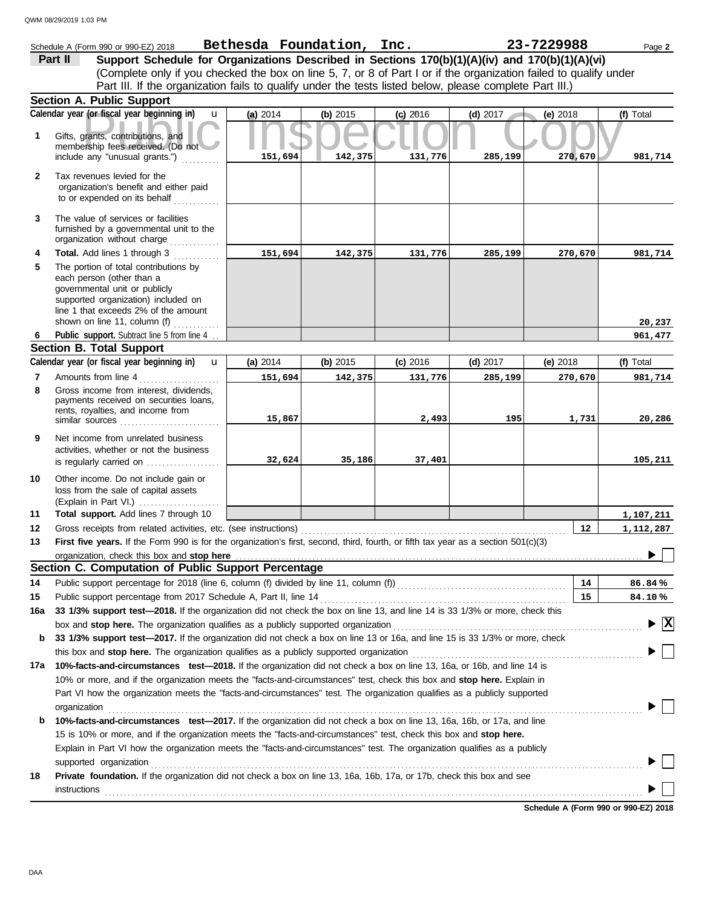|              | Schedule A (Form 990 or 990-EZ) 2018                                                                                                                                                                               | Bethesda Foundation, Inc. |          |            |            | 23-7229988 | Page 2           |  |
|--------------|--------------------------------------------------------------------------------------------------------------------------------------------------------------------------------------------------------------------|---------------------------|----------|------------|------------|------------|------------------|--|
|              | Support Schedule for Organizations Described in Sections 170(b)(1)(A)(iv) and 170(b)(1)(A)(vi)<br>Part II                                                                                                          |                           |          |            |            |            |                  |  |
|              | (Complete only if you checked the box on line 5, 7, or 8 of Part I or if the organization failed to qualify under                                                                                                  |                           |          |            |            |            |                  |  |
|              | Part III. If the organization fails to qualify under the tests listed below, please complete Part III.)                                                                                                            |                           |          |            |            |            |                  |  |
|              | Section A. Public Support                                                                                                                                                                                          |                           |          |            |            |            |                  |  |
|              | Calendar year (or fiscal year beginning in)<br>$\mathbf{u}$                                                                                                                                                        | (a) 2014                  | (b) 2015 | $(c)$ 2016 | $(d)$ 2017 | (e) 2018   | (f) Total        |  |
| 1            | Gifts, grants, contributions, and<br>membership fees received. (Do not<br>include any "unusual grants.")                                                                                                           | 151,694                   | 142,375  | 131,776    | 285,199    | 270,670    | 981,714          |  |
| $\mathbf{2}$ | Tax revenues levied for the<br>organization's benefit and either paid<br>to or expended on its behalf                                                                                                              |                           |          |            |            |            |                  |  |
| 3            | The value of services or facilities<br>furnished by a governmental unit to the<br>organization without charge                                                                                                      |                           |          |            |            |            |                  |  |
| 4            | <b>Total.</b> Add lines 1 through 3                                                                                                                                                                                | 151,694                   | 142,375  | 131,776    | 285,199    | 270,670    | 981,714          |  |
| 5            | The portion of total contributions by<br>each person (other than a<br>governmental unit or publicly<br>supported organization) included on<br>line 1 that exceeds 2% of the amount<br>shown on line 11, column (f) |                           |          |            |            |            | 20,237           |  |
| 6            | Public support. Subtract line 5 from line 4                                                                                                                                                                        |                           |          |            |            |            | 961,477          |  |
|              | <b>Section B. Total Support</b>                                                                                                                                                                                    |                           |          |            |            |            |                  |  |
|              | Calendar year (or fiscal year beginning in)<br>$\mathbf{u}$                                                                                                                                                        | (a) $2014$                | (b) 2015 | (c) 2016   | $(d)$ 2017 | (e) 2018   | (f) Total        |  |
| 7            | Amounts from line 4                                                                                                                                                                                                | 151,694                   | 142,375  | 131,776    | 285,199    | 270,670    | 981,714          |  |
| 8            | Gross income from interest, dividends,<br>payments received on securities loans,<br>rents, royalties, and income from<br>similar sources                                                                           | 15,867                    |          | 2,493      | 195        | 1,731      | 20,286           |  |
| 9            | Net income from unrelated business<br>activities, whether or not the business<br>is regularly carried on                                                                                                           | 32,624                    | 35,186   | 37,401     |            |            | 105,211          |  |
| 10           | Other income. Do not include gain or<br>loss from the sale of capital assets                                                                                                                                       |                           |          |            |            |            |                  |  |
| 11           | Total support. Add lines 7 through 10                                                                                                                                                                              |                           |          |            |            |            | 1,107,211        |  |
| 12           | Gross receipts from related activities, etc. (see instructions)                                                                                                                                                    |                           |          |            |            | 12         | 1,112,287        |  |
| 13           | First five years. If the Form 990 is for the organization's first, second, third, fourth, or fifth tax year as a section 501(c)(3)                                                                                 |                           |          |            |            |            |                  |  |
|              | organization, check this box and stop here<br>Section C. Computation of Public Support Percentage                                                                                                                  |                           |          |            |            |            |                  |  |
|              |                                                                                                                                                                                                                    |                           |          |            |            |            |                  |  |
| 14<br>15     | Public support percentage for 2018 (line 6, column (f) divided by line 11, column (f) [[[[[[[[[[[[[[[[[[[[[[[<br>Public support percentage from 2017 Schedule A, Part II, line 14                                  |                           |          |            |            | 14<br>15   | 86.84%<br>84.10% |  |
| 16a          | 33 1/3% support test-2018. If the organization did not check the box on line 13, and line 14 is 33 1/3% or more, check this                                                                                        |                           |          |            |            |            |                  |  |
|              | box and stop here. The organization qualifies as a publicly supported organization                                                                                                                                 |                           |          |            |            |            | $\mathbf{x}$     |  |
| b            | 33 1/3% support test-2017. If the organization did not check a box on line 13 or 16a, and line 15 is 33 1/3% or more, check                                                                                        |                           |          |            |            |            |                  |  |
|              | this box and <b>stop here.</b> The organization qualifies as a publicly supported organization                                                                                                                     |                           |          |            |            |            |                  |  |
| 17a          | 10%-facts-and-circumstances test-2018. If the organization did not check a box on line 13, 16a, or 16b, and line 14 is                                                                                             |                           |          |            |            |            |                  |  |
|              | 10% or more, and if the organization meets the "facts-and-circumstances" test, check this box and stop here. Explain in                                                                                            |                           |          |            |            |            |                  |  |
|              | Part VI how the organization meets the "facts-and-circumstances" test. The organization qualifies as a publicly supported                                                                                          |                           |          |            |            |            |                  |  |
|              | organization                                                                                                                                                                                                       |                           |          |            |            |            |                  |  |
| b            | 10%-facts-and-circumstances test-2017. If the organization did not check a box on line 13, 16a, 16b, or 17a, and line                                                                                              |                           |          |            |            |            |                  |  |
|              | 15 is 10% or more, and if the organization meets the "facts-and-circumstances" test, check this box and stop here.                                                                                                 |                           |          |            |            |            |                  |  |
|              | Explain in Part VI how the organization meets the "facts-and-circumstances" test. The organization qualifies as a publicly                                                                                         |                           |          |            |            |            |                  |  |
|              | supported organization                                                                                                                                                                                             |                           |          |            |            |            |                  |  |
| 18           | Private foundation. If the organization did not check a box on line 13, 16a, 16b, 17a, or 17b, check this box and see                                                                                              |                           |          |            |            |            |                  |  |
|              | instructions                                                                                                                                                                                                       |                           |          |            |            |            |                  |  |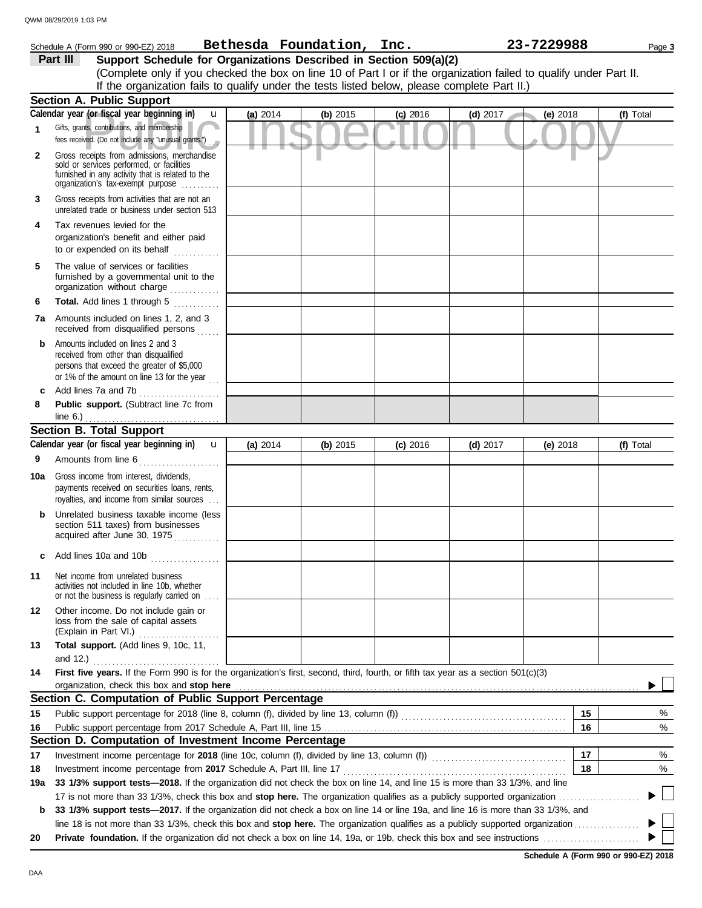|     | Schedule A (Form 990 or 990-EZ) 2018                                                                                                                                              |          | Bethesda Foundation, Inc. |            |            | 23-7229988 |          | Page 3    |
|-----|-----------------------------------------------------------------------------------------------------------------------------------------------------------------------------------|----------|---------------------------|------------|------------|------------|----------|-----------|
|     | Support Schedule for Organizations Described in Section 509(a)(2)<br>Part III                                                                                                     |          |                           |            |            |            |          |           |
|     | (Complete only if you checked the box on line 10 of Part I or if the organization failed to qualify under Part II.                                                                |          |                           |            |            |            |          |           |
|     | If the organization fails to qualify under the tests listed below, please complete Part II.)                                                                                      |          |                           |            |            |            |          |           |
|     | <b>Section A. Public Support</b>                                                                                                                                                  |          |                           |            |            |            |          |           |
|     | Calendar year (or fiscal year beginning in)<br>$\mathbf{u}$                                                                                                                       | (a) 2014 | (b) 2015                  | $(c)$ 2016 | (d) $2017$ | (e) $2018$ |          | (f) Total |
| 1   | Gifts, grants, contributions, and membership<br>fees received. (Do not include any "unusual grants.")                                                                             |          |                           |            |            |            |          |           |
| 2   | Gross receipts from admissions, merchandise<br>sold or services performed, or facilities<br>furnished in any activity that is related to the<br>organization's fax-exempt purpose |          |                           |            |            |            |          |           |
| 3   | Gross receipts from activities that are not an<br>unrelated trade or business under section 513                                                                                   |          |                           |            |            |            |          |           |
| 4   | Tax revenues levied for the<br>organization's benefit and either paid<br>to or expended on its behalf<br><u>.</u><br>.                                                            |          |                           |            |            |            |          |           |
| 5   | The value of services or facilities<br>furnished by a governmental unit to the<br>organization without charge                                                                     |          |                           |            |            |            |          |           |
| 6   | Total. Add lines 1 through 5                                                                                                                                                      |          |                           |            |            |            |          |           |
| 7a  | Amounts included on lines 1, 2, and 3<br>received from disqualified persons                                                                                                       |          |                           |            |            |            |          |           |
| b   | Amounts included on lines 2 and 3<br>received from other than disqualified<br>persons that exceed the greater of \$5,000<br>or 1% of the amount on line 13 for the year $\ldots$  |          |                           |            |            |            |          |           |
| c   | Add lines 7a and 7b                                                                                                                                                               |          |                           |            |            |            |          |           |
| 8   | Public support. (Subtract line 7c from                                                                                                                                            |          |                           |            |            |            |          |           |
|     | line $6.$ )<br>.                                                                                                                                                                  |          |                           |            |            |            |          |           |
|     | <b>Section B. Total Support</b><br>Calendar year (or fiscal year beginning in)<br>$\mathbf{u}$                                                                                    |          |                           |            |            |            |          |           |
|     |                                                                                                                                                                                   | (a) 2014 | (b) 2015                  | $(c)$ 2016 | $(d)$ 2017 | (e) 2018   |          | (f) Total |
| 9   | Amounts from line 6                                                                                                                                                               |          |                           |            |            |            |          |           |
| 10a | Gross income from interest, dividends,<br>payments received on securities loans, rents,<br>royalties, and income from similar sources                                             |          |                           |            |            |            |          |           |
| b   | Unrelated business taxable income (less<br>section 511 taxes) from businesses<br>acquired after June 30, 1975                                                                     |          |                           |            |            |            |          |           |
|     | Add lines 10a and 10b                                                                                                                                                             |          |                           |            |            |            |          |           |
| 11  | Net income from unrelated business<br>activities not included in line 10b, whether<br>or not the business is regularly carried on                                                 |          |                           |            |            |            |          |           |
| 12  | Other income. Do not include gain or<br>loss from the sale of capital assets<br>(Explain in Part VI.)                                                                             |          |                           |            |            |            |          |           |
| 13  | Total support. (Add lines 9, 10c, 11,<br>and $12.$ )                                                                                                                              |          |                           |            |            |            |          |           |
| 14  | First five years. If the Form 990 is for the organization's first, second, third, fourth, or fifth tax year as a section 501(c)(3)                                                |          |                           |            |            |            |          |           |
|     | organization, check this box and stop here<br>Section C. Computation of Public Support Percentage                                                                                 |          |                           |            |            |            |          |           |
|     |                                                                                                                                                                                   |          |                           |            |            |            |          |           |
| 15  |                                                                                                                                                                                   |          |                           |            |            |            | 15<br>16 | %         |
| 16  | Section D. Computation of Investment Income Percentage                                                                                                                            |          |                           |            |            |            |          | %         |
| 17  | Investment income percentage for 2018 (line 10c, column (f), divided by line 13, column (f)) [[[[[[[[[[[[[[[[                                                                     |          |                           |            |            |            | 17       | %         |
| 18  | Investment income percentage from 2017 Schedule A, Part III, line 17                                                                                                              |          |                           |            |            |            | 18       | %         |
| 19a | 33 1/3% support tests-2018. If the organization did not check the box on line 14, and line 15 is more than 33 1/3%, and line                                                      |          |                           |            |            |            |          |           |
|     |                                                                                                                                                                                   |          |                           |            |            |            |          |           |
| b   | 33 1/3% support tests-2017. If the organization did not check a box on line 14 or line 19a, and line 16 is more than 33 1/3%, and                                                 |          |                           |            |            |            |          |           |
|     |                                                                                                                                                                                   |          |                           |            |            |            |          |           |
| 20  |                                                                                                                                                                                   |          |                           |            |            |            |          |           |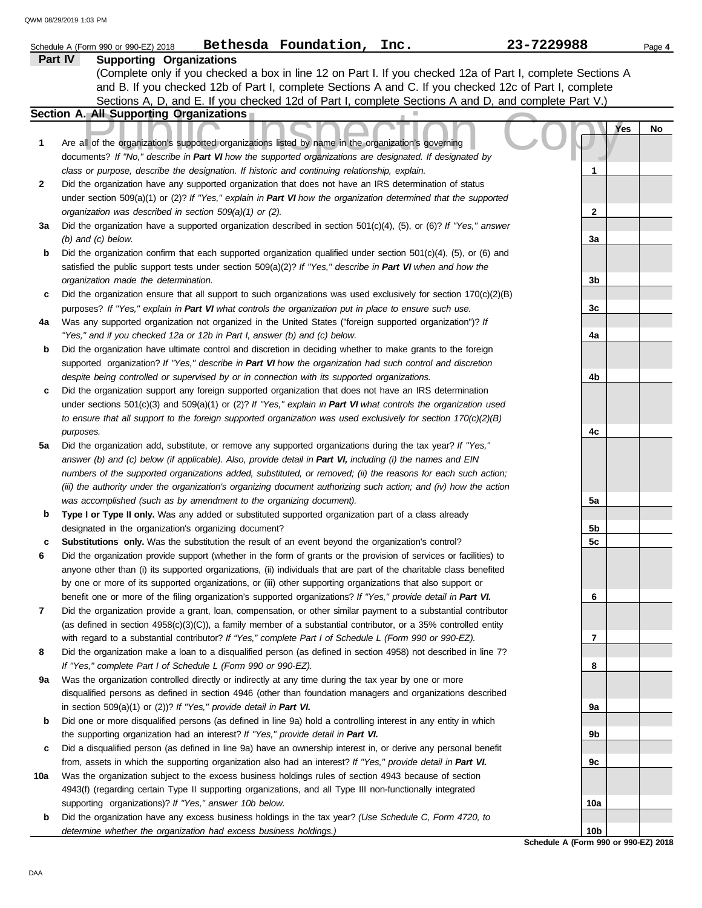|     | Bethesda Foundation, Inc.<br>Schedule A (Form 990 or 990-EZ) 2018                                                   | 23-7229988                                  | Page 4 |
|-----|---------------------------------------------------------------------------------------------------------------------|---------------------------------------------|--------|
|     | Part IV<br><b>Supporting Organizations</b>                                                                          |                                             |        |
|     | (Complete only if you checked a box in line 12 on Part I. If you checked 12a of Part I, complete Sections A         |                                             |        |
|     | and B. If you checked 12b of Part I, complete Sections A and C. If you checked 12c of Part I, complete              |                                             |        |
|     | Sections A, D, and E. If you checked 12d of Part I, complete Sections A and D, and complete Part V.)                |                                             |        |
|     | Section A. All Supporting Organizations                                                                             |                                             |        |
|     |                                                                                                                     | <b>Yes</b>                                  | No     |
| 1   | Are all of the organization's supported organizations listed by name in the organization's governing                |                                             |        |
|     | documents? If "No," describe in Part VI how the supported organizations are designated. If designated by            |                                             |        |
|     | class or purpose, describe the designation. If historic and continuing relationship, explain.                       | 1                                           |        |
| 2   | Did the organization have any supported organization that does not have an IRS determination of status              |                                             |        |
|     | under section 509(a)(1) or (2)? If "Yes," explain in Part VI how the organization determined that the supported     |                                             |        |
|     | organization was described in section 509(a)(1) or (2).                                                             | 2                                           |        |
| За  | Did the organization have a supported organization described in section $501(c)(4)$ , (5), or (6)? If "Yes," answer |                                             |        |
|     | $(b)$ and $(c)$ below.                                                                                              | 3a                                          |        |
| b   | Did the organization confirm that each supported organization qualified under section 501(c)(4), (5), or (6) and    |                                             |        |
|     | satisfied the public support tests under section 509(a)(2)? If "Yes," describe in Part VI when and how the          |                                             |        |
|     | organization made the determination.                                                                                | 3b                                          |        |
| c   | Did the organization ensure that all support to such organizations was used exclusively for section $170(c)(2)(B)$  |                                             |        |
|     | purposes? If "Yes," explain in Part VI what controls the organization put in place to ensure such use.              | 3c                                          |        |
| 4a  | Was any supported organization not organized in the United States ("foreign supported organization")? If            |                                             |        |
|     | "Yes," and if you checked 12a or 12b in Part I, answer (b) and (c) below.                                           | 4a                                          |        |
| b   | Did the organization have ultimate control and discretion in deciding whether to make grants to the foreign         |                                             |        |
|     | supported organization? If "Yes," describe in Part VI how the organization had such control and discretion          |                                             |        |
|     | despite being controlled or supervised by or in connection with its supported organizations.                        | 4b                                          |        |
| c   | Did the organization support any foreign supported organization that does not have an IRS determination             |                                             |        |
|     | under sections $501(c)(3)$ and $509(a)(1)$ or (2)? If "Yes," explain in Part VI what controls the organization used |                                             |        |
|     | to ensure that all support to the foreign supported organization was used exclusively for section $170(c)(2)(B)$    |                                             |        |
|     | purposes.                                                                                                           | 4c                                          |        |
| 5a  | Did the organization add, substitute, or remove any supported organizations during the tax year? If "Yes,"          |                                             |        |
|     | answer (b) and (c) below (if applicable). Also, provide detail in Part VI, including (i) the names and EIN          |                                             |        |
|     | numbers of the supported organizations added, substituted, or removed; (ii) the reasons for each such action;       |                                             |        |
|     | (iii) the authority under the organization's organizing document authorizing such action; and (iv) how the action   |                                             |        |
|     | was accomplished (such as by amendment to the organizing document).                                                 | 5a                                          |        |
| b   | Type I or Type II only. Was any added or substituted supported organization part of a class already                 |                                             |        |
|     | designated in the organization's organizing document?                                                               | 5b                                          |        |
| c   | Substitutions only. Was the substitution the result of an event beyond the organization's control?                  | 5c                                          |        |
| 6   | Did the organization provide support (whether in the form of grants or the provision of services or facilities) to  |                                             |        |
|     | anyone other than (i) its supported organizations, (ii) individuals that are part of the charitable class benefited |                                             |        |
|     | by one or more of its supported organizations, or (iii) other supporting organizations that also support or         |                                             |        |
|     | benefit one or more of the filing organization's supported organizations? If "Yes," provide detail in Part VI.      | 6                                           |        |
| 7   | Did the organization provide a grant, loan, compensation, or other similar payment to a substantial contributor     |                                             |        |
|     | (as defined in section $4958(c)(3)(C)$ ), a family member of a substantial contributor, or a 35% controlled entity  |                                             |        |
|     | with regard to a substantial contributor? If "Yes," complete Part I of Schedule L (Form 990 or 990-EZ).             | 7                                           |        |
| 8   | Did the organization make a loan to a disqualified person (as defined in section 4958) not described in line 7?     |                                             |        |
|     | If "Yes," complete Part I of Schedule L (Form 990 or 990-EZ).                                                       | 8                                           |        |
| 9а  | Was the organization controlled directly or indirectly at any time during the tax year by one or more               |                                             |        |
|     | disqualified persons as defined in section 4946 (other than foundation managers and organizations described         |                                             |        |
|     | in section $509(a)(1)$ or $(2)$ ? If "Yes," provide detail in Part VI.                                              | 9а                                          |        |
| b   | Did one or more disqualified persons (as defined in line 9a) hold a controlling interest in any entity in which     |                                             |        |
|     | the supporting organization had an interest? If "Yes," provide detail in Part VI.                                   | 9b                                          |        |
| c   | Did a disqualified person (as defined in line 9a) have an ownership interest in, or derive any personal benefit     |                                             |        |
|     | from, assets in which the supporting organization also had an interest? If "Yes," provide detail in Part VI.        | 9c                                          |        |
| 10a | Was the organization subject to the excess business holdings rules of section 4943 because of section               |                                             |        |
|     | 4943(f) (regarding certain Type II supporting organizations, and all Type III non-functionally integrated           |                                             |        |
|     | supporting organizations)? If "Yes," answer 10b below.                                                              | 10a                                         |        |
| b   | Did the organization have any excess business holdings in the tax year? (Use Schedule C, Form 4720, to              |                                             |        |
|     | determine whether the organization had excess business holdings.)                                                   | 10b<br>Schedule A (Form 990 or 990-EZ) 2018 |        |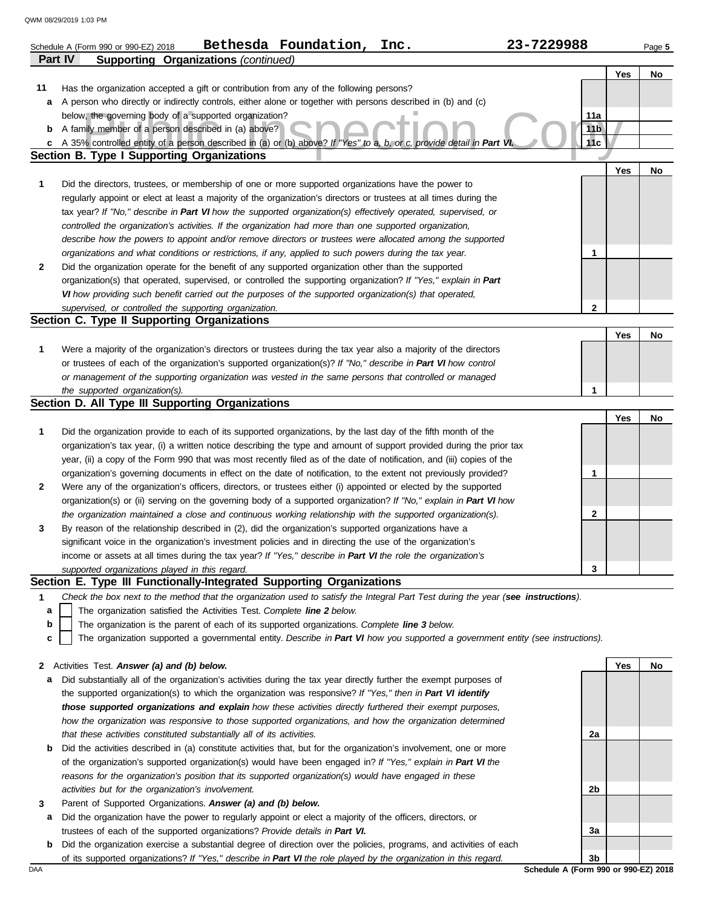|    | Bethesda Foundation,<br>23-7229988<br>Inc.<br>Schedule A (Form 990 or 990-EZ) 2018                                                                                        |                 |     | Page 5 |
|----|---------------------------------------------------------------------------------------------------------------------------------------------------------------------------|-----------------|-----|--------|
|    | <b>Supporting Organizations (continued)</b><br><b>Part IV</b>                                                                                                             |                 |     |        |
|    |                                                                                                                                                                           |                 | Yes | No     |
| 11 | Has the organization accepted a gift or contribution from any of the following persons?                                                                                   |                 |     |        |
| а  | A person who directly or indirectly controls, either alone or together with persons described in (b) and (c)                                                              |                 |     |        |
|    | below, the governing body of a supported organization?                                                                                                                    | 11a             |     |        |
| b  | A family member of a person described in (a) above?                                                                                                                       | 11 <sub>b</sub> |     |        |
| c  | A 35% controlled entity of a person described in (a) or (b) above? If "Yes" to a, b, or c, provide detail in Part VI<br><b>Section B. Type I Supporting Organizations</b> | 11c             |     |        |
|    |                                                                                                                                                                           |                 | Yes | No     |
| 1  | Did the directors, trustees, or membership of one or more supported organizations have the power to                                                                       |                 |     |        |
|    | regularly appoint or elect at least a majority of the organization's directors or trustees at all times during the                                                        |                 |     |        |
|    | tax year? If "No," describe in Part VI how the supported organization(s) effectively operated, supervised, or                                                             |                 |     |        |
|    | controlled the organization's activities. If the organization had more than one supported organization,                                                                   |                 |     |        |
|    | describe how the powers to appoint and/or remove directors or trustees were allocated among the supported                                                                 |                 |     |        |
|    | organizations and what conditions or restrictions, if any, applied to such powers during the tax year.                                                                    | 1               |     |        |
| 2  | Did the organization operate for the benefit of any supported organization other than the supported                                                                       |                 |     |        |
|    | organization(s) that operated, supervised, or controlled the supporting organization? If "Yes," explain in Part                                                           |                 |     |        |
|    | VI how providing such benefit carried out the purposes of the supported organization(s) that operated,                                                                    |                 |     |        |
|    | supervised, or controlled the supporting organization.                                                                                                                    | $\mathbf{2}$    |     |        |
|    | Section C. Type II Supporting Organizations                                                                                                                               |                 |     |        |
|    |                                                                                                                                                                           |                 | Yes | No     |
| 1  | Were a majority of the organization's directors or trustees during the tax year also a majority of the directors                                                          |                 |     |        |
|    | or trustees of each of the organization's supported organization(s)? If "No," describe in Part VI how control                                                             |                 |     |        |
|    | or management of the supporting organization was vested in the same persons that controlled or managed                                                                    |                 |     |        |
|    | the supported organization(s).                                                                                                                                            | 1               |     |        |
|    | Section D. All Type III Supporting Organizations                                                                                                                          |                 |     |        |
|    |                                                                                                                                                                           |                 | Yes | No     |
| 1  | Did the organization provide to each of its supported organizations, by the last day of the fifth month of the                                                            |                 |     |        |
|    | organization's tax year, (i) a written notice describing the type and amount of support provided during the prior tax                                                     |                 |     |        |
|    | year, (ii) a copy of the Form 990 that was most recently filed as of the date of notification, and (iii) copies of the                                                    |                 |     |        |
|    | organization's governing documents in effect on the date of notification, to the extent not previously provided?                                                          | 1               |     |        |
| 2  | Were any of the organization's officers, directors, or trustees either (i) appointed or elected by the supported                                                          |                 |     |        |
|    | organization(s) or (ii) serving on the governing body of a supported organization? If "No," explain in Part VI how                                                        |                 |     |        |
|    | the organization maintained a close and continuous working relationship with the supported organization(s).                                                               | 2               |     |        |
| 3  | By reason of the relationship described in (2), did the organization's supported organizations have a                                                                     |                 |     |        |
|    | significant voice in the organization's investment policies and in directing the use of the organization's                                                                |                 |     |        |
|    | income or assets at all times during the tax year? If "Yes," describe in Part VI the role the organization's                                                              |                 |     |        |
|    | supported organizations played in this regard.                                                                                                                            | 3               |     |        |
|    | Section E. Type III Functionally-Integrated Supporting Organizations                                                                                                      |                 |     |        |
| 1  | Check the box next to the method that the organization used to satisfy the Integral Part Test during the year (see instructions).                                         |                 |     |        |
| a  | The organization satisfied the Activities Test. Complete line 2 below.                                                                                                    |                 |     |        |
| b  | The organization is the parent of each of its supported organizations. Complete line 3 below.                                                                             |                 |     |        |
| с  | The organization supported a governmental entity. Describe in Part VI how you supported a government entity (see instructions).                                           |                 |     |        |
| 2  | Activities Test. Answer (a) and (b) below.                                                                                                                                |                 | Yes | No     |
| а  | Did substantially all of the organization's activities during the tax year directly further the exempt purposes of                                                        |                 |     |        |
|    | the supported organization(s) to which the organization was responsive? If "Yes," then in Part VI identify                                                                |                 |     |        |
|    | those supported organizations and explain how these activities directly furthered their exempt purposes,                                                                  |                 |     |        |
|    | how the organization was responsive to those supported organizations, and how the organization determined                                                                 |                 |     |        |
|    | that these activities constituted substantially all of its activities.                                                                                                    | 2a              |     |        |
| b  | Did the activities described in (a) constitute activities that, but for the organization's involvement, one or more                                                       |                 |     |        |
|    | of the organization's supported organization(s) would have been engaged in? If "Yes," explain in Part VI the                                                              |                 |     |        |
|    | reasons for the organization's position that its supported organization(s) would have engaged in these                                                                    |                 |     |        |
|    | activities but for the organization's involvement.                                                                                                                        | 2b              |     |        |
| 3  | Parent of Supported Organizations. Answer (a) and (b) below.                                                                                                              |                 |     |        |

- **a** Did the organization have the power to regularly appoint or elect a majority of the officers, directors, or trustees of each of the supported organizations? *Provide details in Part VI.*
- **b** Did the organization exercise a substantial degree of direction over the policies, programs, and activities of each of its supported organizations? *If "Yes," describe in Part VI the role played by the organization in this regard.*

DAA **Schedule A (Form 990 or 990-EZ) 2018 3b**

**3a**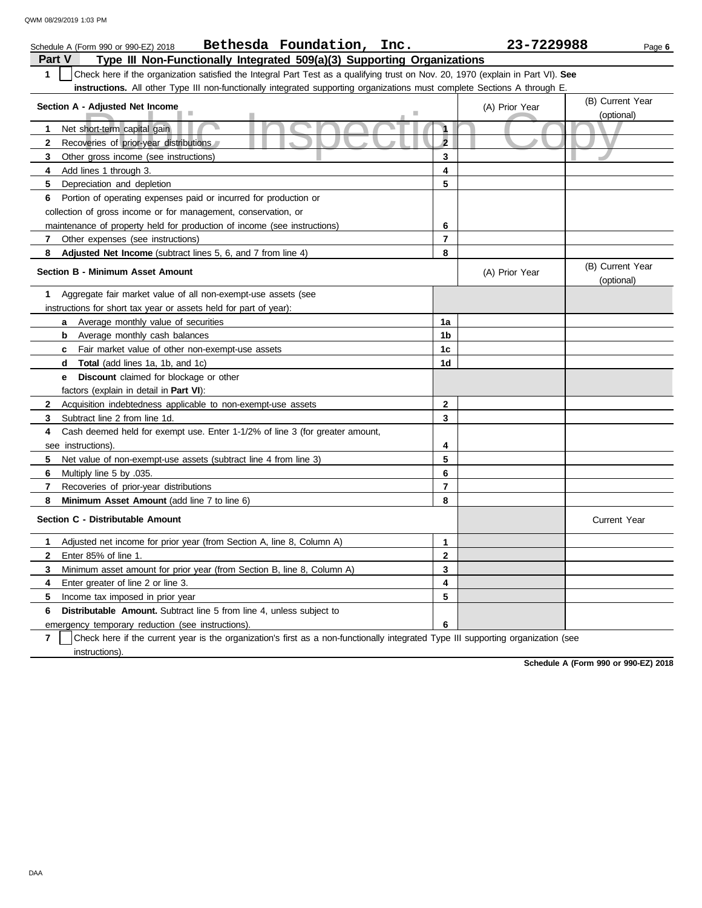| Bethesda Foundation, Inc.<br>Schedule A (Form 990 or 990-EZ) 2018                                                                                |                         | 23-7229988     | Page 6                         |
|--------------------------------------------------------------------------------------------------------------------------------------------------|-------------------------|----------------|--------------------------------|
| Type III Non-Functionally Integrated 509(a)(3) Supporting Organizations<br>Part V                                                                |                         |                |                                |
| $\mathbf{1}$<br>Check here if the organization satisfied the Integral Part Test as a qualifying trust on Nov. 20, 1970 (explain in Part VI). See |                         |                |                                |
| instructions. All other Type III non-functionally integrated supporting organizations must complete Sections A through E.                        |                         |                |                                |
| Section A - Adjusted Net Income                                                                                                                  |                         | (A) Prior Year | (B) Current Year               |
|                                                                                                                                                  |                         |                | (optional)                     |
| Net short-term capital gain<br>1.                                                                                                                | $\mathbf{1}$            |                |                                |
| Recoveries of prior-year distributions<br>$\mathbf{2}$                                                                                           | $\overline{\mathbf{2}}$ |                |                                |
| 3<br>Other gross income (see instructions)                                                                                                       | 3                       |                |                                |
| 4<br>Add lines 1 through 3.                                                                                                                      | 4                       |                |                                |
| 5<br>Depreciation and depletion                                                                                                                  | 5                       |                |                                |
| Portion of operating expenses paid or incurred for production or<br>6                                                                            |                         |                |                                |
| collection of gross income or for management, conservation, or                                                                                   |                         |                |                                |
| maintenance of property held for production of income (see instructions)                                                                         | 6                       |                |                                |
| Other expenses (see instructions)<br>$\mathbf{7}$                                                                                                | $\overline{7}$          |                |                                |
| 8<br><b>Adjusted Net Income</b> (subtract lines 5, 6, and 7 from line 4)                                                                         | 8                       |                |                                |
| <b>Section B - Minimum Asset Amount</b>                                                                                                          |                         | (A) Prior Year | (B) Current Year<br>(optional) |
| Aggregate fair market value of all non-exempt-use assets (see<br>1                                                                               |                         |                |                                |
| instructions for short tax year or assets held for part of year):                                                                                |                         |                |                                |
| Average monthly value of securities<br>a                                                                                                         | 1a                      |                |                                |
| <b>b</b> Average monthly cash balances                                                                                                           | 1b                      |                |                                |
| Fair market value of other non-exempt-use assets<br>c.                                                                                           | 1c                      |                |                                |
| Total (add lines 1a, 1b, and 1c)<br>d                                                                                                            | 1d                      |                |                                |
| <b>Discount</b> claimed for blockage or other<br>е                                                                                               |                         |                |                                |
| factors (explain in detail in <b>Part VI</b> ):                                                                                                  |                         |                |                                |
| $\mathbf{2}$<br>Acquisition indebtedness applicable to non-exempt-use assets                                                                     | $\mathbf{2}$            |                |                                |
| 3<br>Subtract line 2 from line 1d.                                                                                                               | 3                       |                |                                |
| 4<br>Cash deemed held for exempt use. Enter 1-1/2% of line 3 (for greater amount,                                                                |                         |                |                                |
| see instructions)                                                                                                                                | 4                       |                |                                |
| 5<br>Net value of non-exempt-use assets (subtract line 4 from line 3)                                                                            | 5                       |                |                                |
| 6<br>Multiply line 5 by .035.                                                                                                                    | 6                       |                |                                |
| 7<br>Recoveries of prior-year distributions                                                                                                      | $\overline{7}$          |                |                                |
| Minimum Asset Amount (add line 7 to line 6)<br>8                                                                                                 | 8                       |                |                                |
| Section C - Distributable Amount                                                                                                                 |                         |                | <b>Current Year</b>            |
| 1<br>Adjusted net income for prior year (from Section A, line 8, Column A)                                                                       | $\mathbf{1}$            |                |                                |
| $\mathbf{2}$<br>Enter 85% of line 1.                                                                                                             | $\mathbf{2}$            |                |                                |
| 3<br>Minimum asset amount for prior year (from Section B, line 8, Column A)                                                                      | 3                       |                |                                |
| 4<br>Enter greater of line 2 or line 3.                                                                                                          | 4                       |                |                                |
| 5<br>Income tax imposed in prior year                                                                                                            | 5                       |                |                                |
| <b>Distributable Amount.</b> Subtract line 5 from line 4, unless subject to<br>6                                                                 |                         |                |                                |
| emergency temporary reduction (see instructions).                                                                                                | 6                       |                |                                |

emergency temporary reduction (see instructions).

**7** instructions). Check here if the current year is the organization's first as a non-functionally integrated Type III supporting organization (see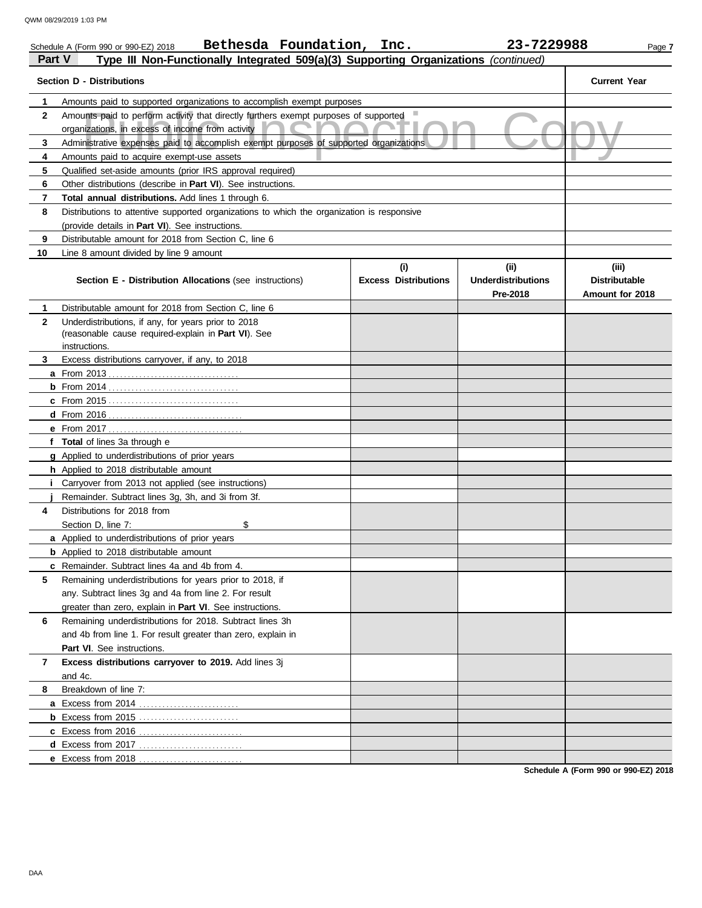| Part V                      | Bethesda Foundation, Inc.<br>Schedule A (Form 990 or 990-EZ) 2018<br>Type III Non-Functionally Integrated 509(a)(3) Supporting Organizations (continued)                                                          |                                    | 23-7229988                                    | Page 7                                           |  |  |  |
|-----------------------------|-------------------------------------------------------------------------------------------------------------------------------------------------------------------------------------------------------------------|------------------------------------|-----------------------------------------------|--------------------------------------------------|--|--|--|
|                             | <b>Section D - Distributions</b>                                                                                                                                                                                  |                                    |                                               | <b>Current Year</b>                              |  |  |  |
| $\mathbf 1$<br>$\mathbf{2}$ | Amounts paid to supported organizations to accomplish exempt purposes<br>Amounts paid to perform activity that directly furthers exempt purposes of supported<br>organizations, in excess of income from activity |                                    |                                               |                                                  |  |  |  |
| 3                           | Administrative expenses paid to accomplish exempt purposes of supported organizations                                                                                                                             |                                    |                                               |                                                  |  |  |  |
| 4                           | Amounts paid to acquire exempt-use assets                                                                                                                                                                         |                                    |                                               |                                                  |  |  |  |
| 5                           | Qualified set-aside amounts (prior IRS approval required)                                                                                                                                                         |                                    |                                               |                                                  |  |  |  |
| 6                           | Other distributions (describe in <b>Part VI</b> ). See instructions.                                                                                                                                              |                                    |                                               |                                                  |  |  |  |
| 7                           | Total annual distributions. Add lines 1 through 6.                                                                                                                                                                |                                    |                                               |                                                  |  |  |  |
| 8                           | Distributions to attentive supported organizations to which the organization is responsive                                                                                                                        |                                    |                                               |                                                  |  |  |  |
|                             | (provide details in Part VI). See instructions.                                                                                                                                                                   |                                    |                                               |                                                  |  |  |  |
| 9                           | Distributable amount for 2018 from Section C, line 6                                                                                                                                                              |                                    |                                               |                                                  |  |  |  |
| 10                          | Line 8 amount divided by line 9 amount                                                                                                                                                                            |                                    |                                               |                                                  |  |  |  |
|                             | Section E - Distribution Allocations (see instructions)                                                                                                                                                           | (i)<br><b>Excess Distributions</b> | (ii)<br><b>Underdistributions</b><br>Pre-2018 | (iii)<br><b>Distributable</b><br>Amount for 2018 |  |  |  |
| $\mathbf 1$                 | Distributable amount for 2018 from Section C. line 6                                                                                                                                                              |                                    |                                               |                                                  |  |  |  |
| $\mathbf{2}$                | Underdistributions, if any, for years prior to 2018                                                                                                                                                               |                                    |                                               |                                                  |  |  |  |
|                             | (reasonable cause required-explain in Part VI). See                                                                                                                                                               |                                    |                                               |                                                  |  |  |  |
|                             | instructions.                                                                                                                                                                                                     |                                    |                                               |                                                  |  |  |  |
| 3                           | Excess distributions carryover, if any, to 2018                                                                                                                                                                   |                                    |                                               |                                                  |  |  |  |
|                             |                                                                                                                                                                                                                   |                                    |                                               |                                                  |  |  |  |
|                             |                                                                                                                                                                                                                   |                                    |                                               |                                                  |  |  |  |
|                             |                                                                                                                                                                                                                   |                                    |                                               |                                                  |  |  |  |
|                             |                                                                                                                                                                                                                   |                                    |                                               |                                                  |  |  |  |
|                             | <b>e</b> From 2017                                                                                                                                                                                                |                                    |                                               |                                                  |  |  |  |
|                             | f Total of lines 3a through e                                                                                                                                                                                     |                                    |                                               |                                                  |  |  |  |
|                             | <b>g</b> Applied to underdistributions of prior years                                                                                                                                                             |                                    |                                               |                                                  |  |  |  |
|                             | h Applied to 2018 distributable amount                                                                                                                                                                            |                                    |                                               |                                                  |  |  |  |
|                             | <i>i</i> Carryover from 2013 not applied (see instructions)                                                                                                                                                       |                                    |                                               |                                                  |  |  |  |
|                             | Remainder. Subtract lines 3g, 3h, and 3i from 3f.                                                                                                                                                                 |                                    |                                               |                                                  |  |  |  |
| 4                           | Distributions for 2018 from                                                                                                                                                                                       |                                    |                                               |                                                  |  |  |  |
|                             | \$<br>Section D, line 7:                                                                                                                                                                                          |                                    |                                               |                                                  |  |  |  |
|                             | a Applied to underdistributions of prior years                                                                                                                                                                    |                                    |                                               |                                                  |  |  |  |
|                             | <b>b</b> Applied to 2018 distributable amount                                                                                                                                                                     |                                    |                                               |                                                  |  |  |  |
|                             | <b>c</b> Remainder. Subtract lines 4a and 4b from 4.                                                                                                                                                              |                                    |                                               |                                                  |  |  |  |
| 5                           | Remaining underdistributions for years prior to 2018, if                                                                                                                                                          |                                    |                                               |                                                  |  |  |  |
|                             | any. Subtract lines 3g and 4a from line 2. For result                                                                                                                                                             |                                    |                                               |                                                  |  |  |  |
|                             | greater than zero, explain in <b>Part VI</b> . See instructions.                                                                                                                                                  |                                    |                                               |                                                  |  |  |  |
| 6                           | Remaining underdistributions for 2018. Subtract lines 3h                                                                                                                                                          |                                    |                                               |                                                  |  |  |  |
|                             | and 4b from line 1. For result greater than zero, explain in                                                                                                                                                      |                                    |                                               |                                                  |  |  |  |
|                             | <b>Part VI.</b> See instructions.                                                                                                                                                                                 |                                    |                                               |                                                  |  |  |  |
| 7                           | Excess distributions carryover to 2019. Add lines 3j                                                                                                                                                              |                                    |                                               |                                                  |  |  |  |
|                             | and 4c.                                                                                                                                                                                                           |                                    |                                               |                                                  |  |  |  |
| 8                           | Breakdown of line 7:                                                                                                                                                                                              |                                    |                                               |                                                  |  |  |  |
|                             | a Excess from 2014                                                                                                                                                                                                |                                    |                                               |                                                  |  |  |  |
|                             | <b>b</b> Excess from 2015                                                                                                                                                                                         |                                    |                                               |                                                  |  |  |  |
|                             | c Excess from 2016                                                                                                                                                                                                |                                    |                                               |                                                  |  |  |  |
|                             | d Excess from 2017<br>.                                                                                                                                                                                           |                                    |                                               |                                                  |  |  |  |
|                             | e Excess from 2018                                                                                                                                                                                                |                                    |                                               |                                                  |  |  |  |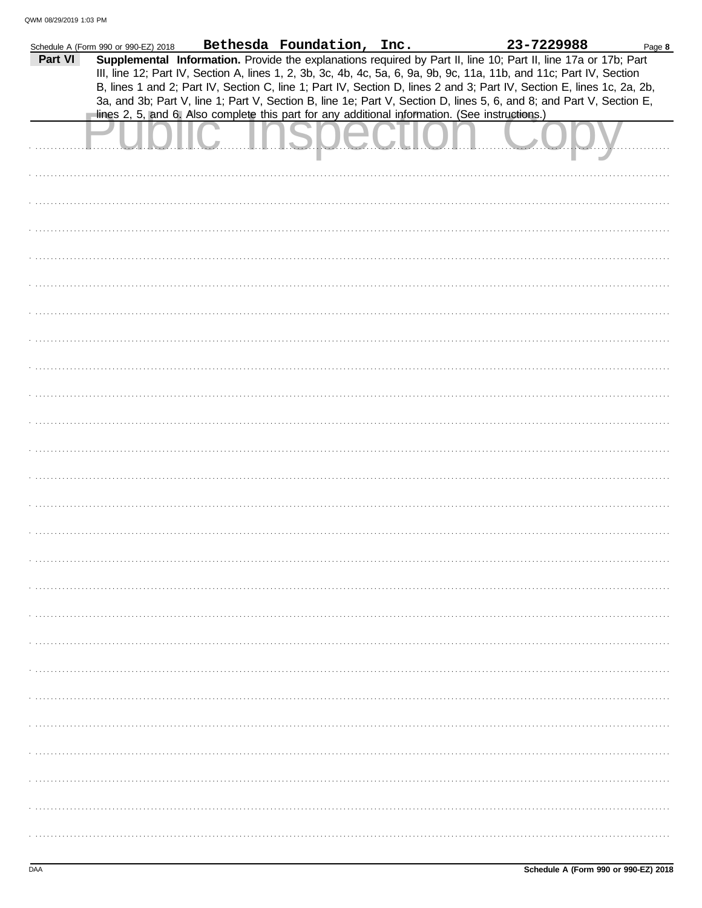|         | Schedule A (Form 990 or 990-EZ) 2018 | Bethesda Foundation, Inc.                                                                      | 23-7229988                                                                                                             | Page 8 |
|---------|--------------------------------------|------------------------------------------------------------------------------------------------|------------------------------------------------------------------------------------------------------------------------|--------|
| Part VI |                                      |                                                                                                | Supplemental Information. Provide the explanations required by Part II, line 10; Part II, line 17a or 17b; Part        |        |
|         |                                      |                                                                                                | III, line 12; Part IV, Section A, lines 1, 2, 3b, 3c, 4b, 4c, 5a, 6, 9a, 9b, 9c, 11a, 11b, and 11c; Part IV, Section   |        |
|         |                                      |                                                                                                |                                                                                                                        |        |
|         |                                      |                                                                                                | B, lines 1 and 2; Part IV, Section C, line 1; Part IV, Section D, lines 2 and 3; Part IV, Section E, lines 1c, 2a, 2b, |        |
|         |                                      |                                                                                                | 3a, and 3b; Part V, line 1; Part V, Section B, line 1e; Part V, Section D, lines 5, 6, and 8; and Part V, Section E,   |        |
|         |                                      | lines 2, 5, and 6. Also complete this part for any additional information. (See instructions.) |                                                                                                                        |        |
|         |                                      |                                                                                                |                                                                                                                        |        |
|         |                                      | <u>UNUMURI I</u>                                                                               |                                                                                                                        |        |
|         |                                      |                                                                                                |                                                                                                                        |        |
|         |                                      |                                                                                                |                                                                                                                        |        |
|         |                                      |                                                                                                |                                                                                                                        |        |
|         |                                      |                                                                                                |                                                                                                                        |        |
|         |                                      |                                                                                                |                                                                                                                        |        |
|         |                                      |                                                                                                |                                                                                                                        |        |
|         |                                      |                                                                                                |                                                                                                                        |        |
|         |                                      |                                                                                                |                                                                                                                        |        |
|         |                                      |                                                                                                |                                                                                                                        |        |
|         |                                      |                                                                                                |                                                                                                                        |        |
|         |                                      |                                                                                                |                                                                                                                        |        |
|         |                                      |                                                                                                |                                                                                                                        |        |
|         |                                      |                                                                                                |                                                                                                                        |        |
|         |                                      |                                                                                                |                                                                                                                        |        |
|         |                                      |                                                                                                |                                                                                                                        |        |
|         |                                      |                                                                                                |                                                                                                                        |        |
|         |                                      |                                                                                                |                                                                                                                        |        |
|         |                                      |                                                                                                |                                                                                                                        |        |
|         |                                      |                                                                                                |                                                                                                                        |        |
|         |                                      |                                                                                                |                                                                                                                        |        |
|         |                                      |                                                                                                |                                                                                                                        |        |
|         |                                      |                                                                                                |                                                                                                                        |        |
|         |                                      |                                                                                                |                                                                                                                        |        |
|         |                                      |                                                                                                |                                                                                                                        |        |
|         |                                      |                                                                                                |                                                                                                                        |        |
|         |                                      |                                                                                                |                                                                                                                        |        |
|         |                                      |                                                                                                |                                                                                                                        |        |
|         |                                      |                                                                                                |                                                                                                                        |        |
|         |                                      |                                                                                                |                                                                                                                        |        |
|         |                                      |                                                                                                |                                                                                                                        |        |
|         |                                      |                                                                                                |                                                                                                                        |        |
|         |                                      |                                                                                                |                                                                                                                        |        |
|         |                                      |                                                                                                |                                                                                                                        |        |
|         |                                      |                                                                                                |                                                                                                                        |        |
|         |                                      |                                                                                                |                                                                                                                        |        |
|         |                                      |                                                                                                |                                                                                                                        |        |
|         |                                      |                                                                                                |                                                                                                                        |        |
|         |                                      |                                                                                                |                                                                                                                        |        |
|         |                                      |                                                                                                |                                                                                                                        |        |
|         |                                      |                                                                                                |                                                                                                                        |        |
|         |                                      |                                                                                                |                                                                                                                        |        |
|         |                                      |                                                                                                |                                                                                                                        |        |
|         |                                      |                                                                                                |                                                                                                                        |        |
|         |                                      |                                                                                                |                                                                                                                        |        |
|         |                                      |                                                                                                |                                                                                                                        |        |
|         |                                      |                                                                                                |                                                                                                                        |        |
|         |                                      |                                                                                                |                                                                                                                        |        |
|         |                                      |                                                                                                |                                                                                                                        |        |
|         |                                      |                                                                                                |                                                                                                                        |        |
|         |                                      |                                                                                                |                                                                                                                        |        |
|         |                                      |                                                                                                |                                                                                                                        |        |
|         |                                      |                                                                                                |                                                                                                                        |        |
|         |                                      |                                                                                                |                                                                                                                        |        |
|         |                                      |                                                                                                |                                                                                                                        |        |
|         |                                      |                                                                                                |                                                                                                                        |        |
|         |                                      |                                                                                                |                                                                                                                        |        |
|         |                                      |                                                                                                |                                                                                                                        |        |
|         |                                      |                                                                                                |                                                                                                                        |        |
|         |                                      |                                                                                                |                                                                                                                        |        |
|         |                                      |                                                                                                |                                                                                                                        |        |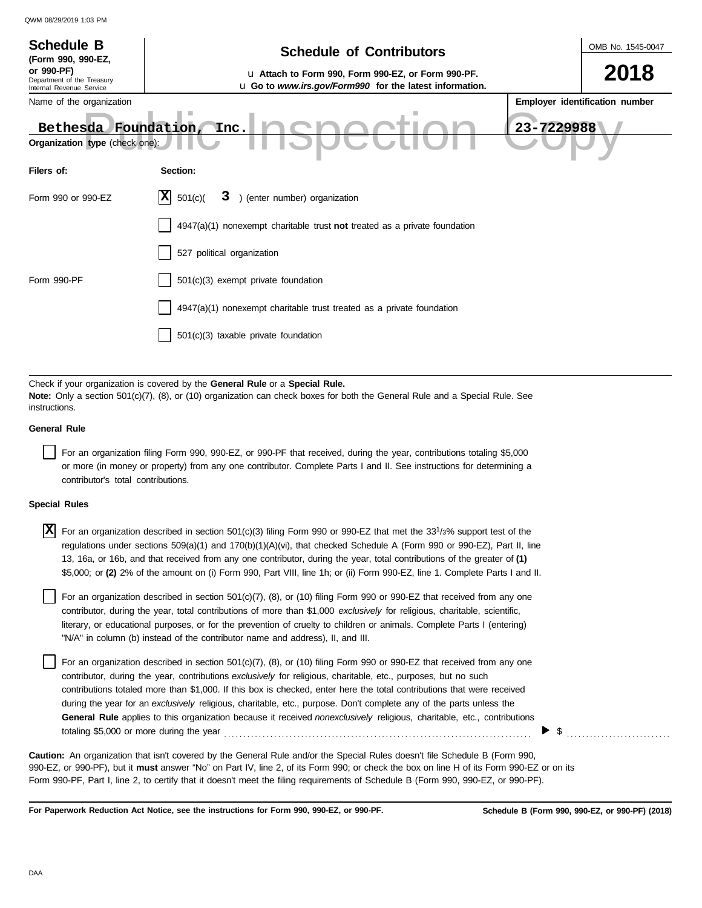| <b>Schedule B</b><br>(Form 990, 990-EZ,<br>or 990-PF)<br>Department of the Treasury<br>Internal Revenue Service<br>Name of the organization<br>Bethesda Foundation,<br>Organization type (check one): | OMB No. 1545-0047<br>2018<br>Employer identification number<br>23-7229988                                                                                                                                                                                                           |  |  |  |  |  |  |
|-------------------------------------------------------------------------------------------------------------------------------------------------------------------------------------------------------|-------------------------------------------------------------------------------------------------------------------------------------------------------------------------------------------------------------------------------------------------------------------------------------|--|--|--|--|--|--|
| Filers of:                                                                                                                                                                                            | Section:                                                                                                                                                                                                                                                                            |  |  |  |  |  |  |
| Form 990 or 990-EZ                                                                                                                                                                                    | 3 ) (enter number) organization<br> X<br>501(c)                                                                                                                                                                                                                                     |  |  |  |  |  |  |
|                                                                                                                                                                                                       | $4947(a)(1)$ nonexempt charitable trust not treated as a private foundation                                                                                                                                                                                                         |  |  |  |  |  |  |
|                                                                                                                                                                                                       | 527 political organization                                                                                                                                                                                                                                                          |  |  |  |  |  |  |
| Form 990-PF                                                                                                                                                                                           | 501(c)(3) exempt private foundation                                                                                                                                                                                                                                                 |  |  |  |  |  |  |
|                                                                                                                                                                                                       | 4947(a)(1) nonexempt charitable trust treated as a private foundation                                                                                                                                                                                                               |  |  |  |  |  |  |
|                                                                                                                                                                                                       | 501(c)(3) taxable private foundation                                                                                                                                                                                                                                                |  |  |  |  |  |  |
|                                                                                                                                                                                                       |                                                                                                                                                                                                                                                                                     |  |  |  |  |  |  |
| instructions.                                                                                                                                                                                         | Check if your organization is covered by the General Rule or a Special Rule.<br>Note: Only a section 501(c)(7), (8), or (10) organization can check boxes for both the General Rule and a Special Rule. See                                                                         |  |  |  |  |  |  |
| <b>General Rule</b>                                                                                                                                                                                   |                                                                                                                                                                                                                                                                                     |  |  |  |  |  |  |
|                                                                                                                                                                                                       | For an organization filing Form 990, 990-EZ, or 990-PF that received, during the year, contributions totaling \$5,000<br>or more (in money or property) from any one contributor. Complete Parts I and II. See instructions for determining a<br>contributor's total contributions. |  |  |  |  |  |  |
| <b>Special Rules</b>                                                                                                                                                                                  |                                                                                                                                                                                                                                                                                     |  |  |  |  |  |  |
|                                                                                                                                                                                                       |                                                                                                                                                                                                                                                                                     |  |  |  |  |  |  |

| $\boxed{\mathbf{X}}$ For an organization described in section 501(c)(3) filing Form 990 or 990-EZ that met the 33 <sup>1</sup> /3% support test of the |
|--------------------------------------------------------------------------------------------------------------------------------------------------------|
| regulations under sections 509(a)(1) and 170(b)(1)(A)(vi), that checked Schedule A (Form 990 or 990-EZ), Part II, line                                 |
| 13, 16a, or 16b, and that received from any one contributor, during the year, total contributions of the greater of (1)                                |
| \$5,000; or (2) 2% of the amount on (i) Form 990, Part VIII, line 1h; or (ii) Form 990-EZ, line 1. Complete Parts I and II.                            |

literary, or educational purposes, or for the prevention of cruelty to children or animals. Complete Parts I (entering) For an organization described in section 501(c)(7), (8), or (10) filing Form 990 or 990-EZ that received from any one contributor, during the year, total contributions of more than \$1,000 *exclusively* for religious, charitable, scientific, "N/A" in column (b) instead of the contributor name and address), II, and III.

For an organization described in section 501(c)(7), (8), or (10) filing Form 990 or 990-EZ that received from any one contributor, during the year, contributions *exclusively* for religious, charitable, etc., purposes, but no such contributions totaled more than \$1,000. If this box is checked, enter here the total contributions that were received during the year for an *exclusively* religious, charitable, etc., purpose. Don't complete any of the parts unless the **General Rule** applies to this organization because it received *nonexclusively* religious, charitable, etc., contributions totaling \$5,000 or more during the year . . . . . . . . . . . . . . . . . . . . . . . . . . . . . . . . . . . . . . . . . . . . . . . . . . . . . . . . . . . . . . . . . . . . . . . . . . . . . . . .

990-EZ, or 990-PF), but it **must** answer "No" on Part IV, line 2, of its Form 990; or check the box on line H of its Form 990-EZ or on its Form 990-PF, Part I, line 2, to certify that it doesn't meet the filing requirements of Schedule B (Form 990, 990-EZ, or 990-PF). **Caution:** An organization that isn't covered by the General Rule and/or the Special Rules doesn't file Schedule B (Form 990,

**For Paperwork Reduction Act Notice, see the instructions for Form 990, 990-EZ, or 990-PF.**

 $\triangleright$  \$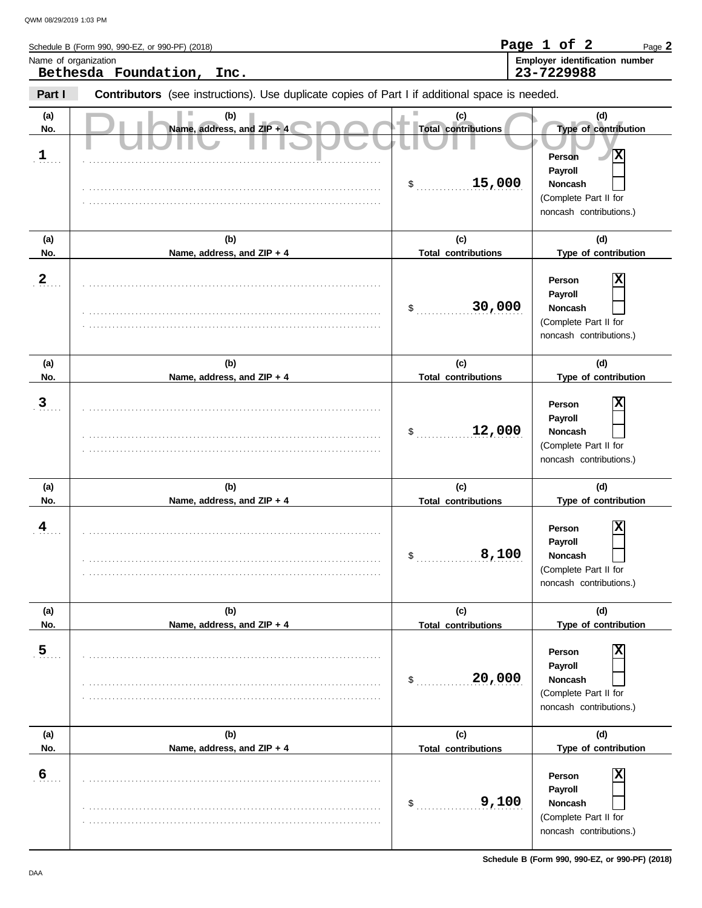|                            | Schedule B (Form 990, 990-EZ, or 990-PF) (2018)<br>Name of organization<br>Bethesda Foundation,<br>Inc. |                                                   | Employer identification number<br>23-7229988                                                                                       |
|----------------------------|---------------------------------------------------------------------------------------------------------|---------------------------------------------------|------------------------------------------------------------------------------------------------------------------------------------|
| Part I                     | Contributors (see instructions). Use duplicate copies of Part I if additional space is needed.          |                                                   |                                                                                                                                    |
| (a)<br>No.<br>$\mathbf{1}$ | (b)<br>Name, address, and ZIP + 4                                                                       | (c)<br><b>Total contributions</b><br>15,000<br>\$ | (d)<br>Type of contribution<br>X<br><b>Person</b><br>Payroll<br><b>Noncash</b><br>(Complete Part II for<br>noncash contributions.) |
| (a)                        | (b)                                                                                                     | (c)                                               | (d)                                                                                                                                |
| No.<br>$\overline{2}$      | Name, address, and ZIP + 4                                                                              | <b>Total contributions</b><br>30,000<br>$\sim$    | Type of contribution<br>х<br>Person<br>Payroll<br><b>Noncash</b><br>(Complete Part II for<br>noncash contributions.)               |
| (a)<br>No.                 | (b)<br>Name, address, and ZIP + 4                                                                       | (c)<br><b>Total contributions</b>                 | (d)<br>Type of contribution                                                                                                        |
| $\overline{3}$             |                                                                                                         | 12,000<br>\$                                      | Person<br>Payroll<br><b>Noncash</b><br>(Complete Part II for<br>noncash contributions.)                                            |
| (a)<br>No.                 | (b)<br>Name, address, and ZIP + 4                                                                       | (c)<br><b>Total contributions</b>                 | (d)<br>Type of contribution                                                                                                        |
| 4                          |                                                                                                         | 8,100<br>\$                                       | X<br>Person<br><b>Pavroll</b><br>Noncash<br>(Complete Part II for<br>noncash contributions.)                                       |
| (a)<br>No.                 | (b)<br>Name, address, and ZIP + 4                                                                       | (c)<br><b>Total contributions</b>                 | (d)<br>Type of contribution                                                                                                        |
| $\overline{5}$             |                                                                                                         | 20,000<br>\$                                      | Person<br>Payroll<br>Noncash<br>(Complete Part II for<br>noncash contributions.)                                                   |
| (a)<br>No.                 | (b)<br>Name, address, and ZIP + 4                                                                       | (c)<br><b>Total contributions</b>                 | (d)<br>Type of contribution                                                                                                        |
| 6                          |                                                                                                         | 9,100<br>\$                                       | Person<br>Payroll<br><b>Noncash</b><br>(Complete Part II for<br>noncash contributions.)                                            |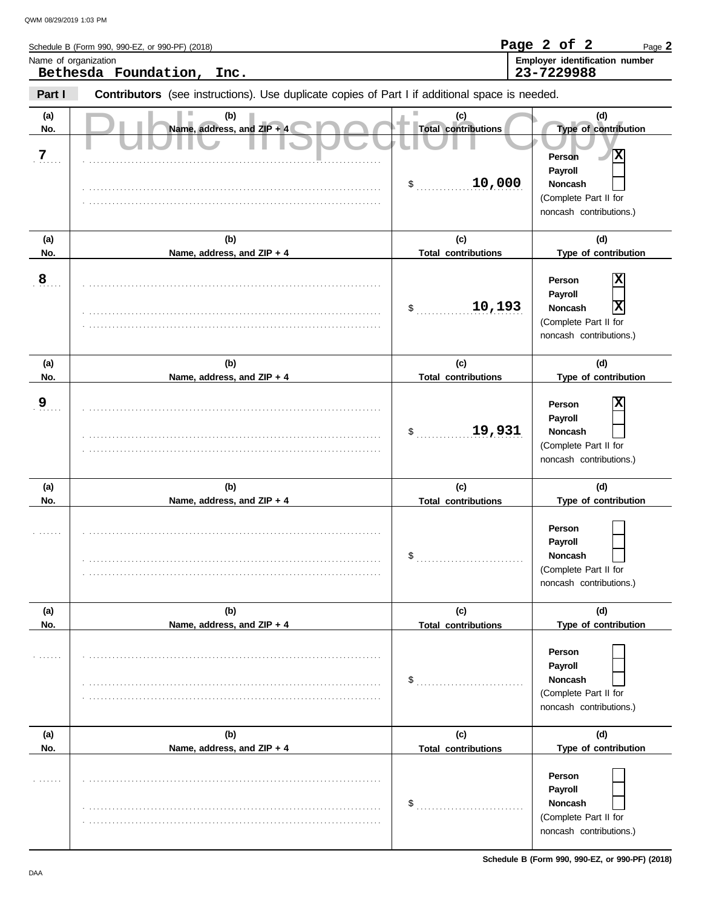| Name of organization | Schedule B (Form 990, 990-EZ, or 990-PF) (2018)                                                |                                   | Page 2 of 2<br>Page 2<br>Employer identification number                                                         |
|----------------------|------------------------------------------------------------------------------------------------|-----------------------------------|-----------------------------------------------------------------------------------------------------------------|
|                      | Bethesda Foundation,<br>Inc.                                                                   |                                   | 23-7229988                                                                                                      |
| Part I               | Contributors (see instructions). Use duplicate copies of Part I if additional space is needed. |                                   |                                                                                                                 |
| (a)<br>No.           | (b)<br>Name, address, and ZIP + 4                                                              | (c)<br><b>Total contributions</b> | (d)<br>Type of contribution                                                                                     |
| 7                    |                                                                                                | 10,000<br>$\frac{1}{2}$           | X<br><b>Person</b><br>Payroll<br><b>Noncash</b><br>(Complete Part II for<br>noncash contributions.)             |
| (a)                  | (b)                                                                                            | (c)                               | (d)                                                                                                             |
| No.                  | Name, address, and ZIP + 4                                                                     | <b>Total contributions</b>        | Type of contribution                                                                                            |
| 8                    |                                                                                                | 10,193<br>\$                      | х<br>Person<br>Payroll<br>X<br><b>Noncash</b><br>(Complete Part II for<br>noncash contributions.)               |
| (a)                  | (b)                                                                                            | (c)                               | (d)                                                                                                             |
| No.                  | Name, address, and ZIP + 4                                                                     | <b>Total contributions</b>        | Type of contribution                                                                                            |
| 9                    |                                                                                                | 19,931<br>\$                      | Person<br>Payroll<br><b>Noncash</b><br>(Complete Part II for<br>noncash contributions.)                         |
| (a)                  | (b)                                                                                            | (c)                               | (d)                                                                                                             |
| No.                  | Name, address, and ZIP + 4                                                                     | <b>Total contributions</b>        | Type of contribution                                                                                            |
|                      |                                                                                                | \$                                | Person<br>Payroll<br>Noncash<br>(Complete Part II for<br>noncash contributions.)                                |
| (a)                  | (b)                                                                                            | (c)                               | (d)                                                                                                             |
| No.                  | Name, address, and ZIP + 4                                                                     | <b>Total contributions</b><br>\$  | Type of contribution<br>Person<br>Payroll<br><b>Noncash</b><br>(Complete Part II for<br>noncash contributions.) |
| (a)                  | (b)                                                                                            | (c)                               | (d)                                                                                                             |
| No.                  | Name, address, and ZIP + 4                                                                     | <b>Total contributions</b>        | Type of contribution                                                                                            |
|                      |                                                                                                | \$                                | Person<br>Payroll<br>Noncash<br>(Complete Part II for<br>noncash contributions.)                                |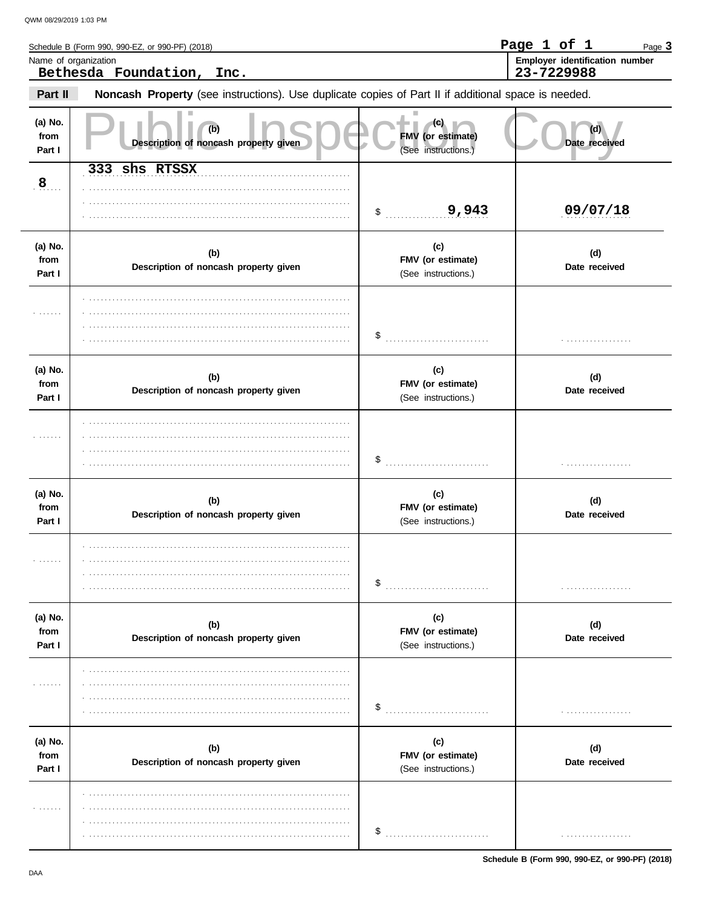$\overline{\phantom{a}}$ 

|                           | Schedule B (Form 990, 990-EZ, or 990-PF) (2018)                                                     |                                                 | Page 1 of 1<br>Page 3                        |
|---------------------------|-----------------------------------------------------------------------------------------------------|-------------------------------------------------|----------------------------------------------|
|                           | Name of organization<br>Bethesda Foundation,<br>Inc.                                                |                                                 | Employer identification number<br>23-7229988 |
| Part II                   | Noncash Property (see instructions). Use duplicate copies of Part II if additional space is needed. |                                                 |                                              |
| (a) No.<br>from<br>Part I | (b)<br>Description of noncash property given                                                        | (C)<br>FMV (or estimate)<br>(See instructions.) | Date received                                |
| $\mathbf{8}$              | 333 shs RTSSX                                                                                       | 9,943<br>$\sim$                                 | 09/07/18                                     |
| (a) No.<br>from<br>Part I | (b)<br>Description of noncash property given                                                        | (c)<br>FMV (or estimate)<br>(See instructions.) | (d)<br>Date received                         |
|                           |                                                                                                     | \$                                              | .                                            |
| (a) No.<br>from<br>Part I | (b)<br>Description of noncash property given                                                        | (c)<br>FMV (or estimate)<br>(See instructions.) | (d)<br>Date received                         |
| .                         |                                                                                                     | \$                                              | .                                            |
| (a) No.<br>from<br>Part I | (b)<br>Description of noncash property given                                                        | (c)<br>FMV (or estimate)<br>(See instructions.) | (d)<br>Date received                         |
|                           |                                                                                                     | \$                                              |                                              |
| (a) No.<br>from<br>Part I | (b)<br>Description of noncash property given                                                        | (c)<br>FMV (or estimate)<br>(See instructions.) | (d)<br>Date received                         |
|                           |                                                                                                     | \$                                              |                                              |
| (a) No.<br>from<br>Part I | (b)<br>Description of noncash property given                                                        | (c)<br>FMV (or estimate)<br>(See instructions.) | (d)<br>Date received                         |
|                           |                                                                                                     | \$                                              | .                                            |

Schedule B (Form 990, 990-EZ, or 990-PF) (2018)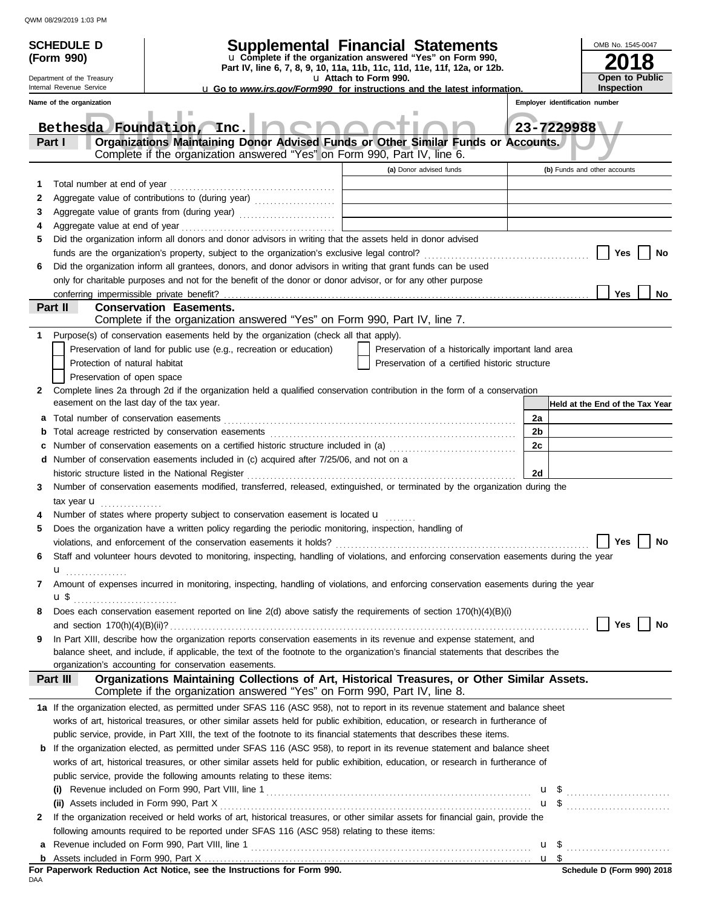|   | <b>SCHEDULE D</b><br>(Form 990)<br>Department of the Treasury<br>Internal Revenue Service                                        | Part IV, line 6, 7, 8, 9, 10, 11a, 11b, 11c, 11d, 11e, 11f, 12a, or 12b.<br><b>u</b> Go to www.irs.gov/Form990 for instructions and the latest information.               | OMB No. 1545-0047<br>Open to Public<br><b>Inspection</b> |                |                                        |  |  |
|---|----------------------------------------------------------------------------------------------------------------------------------|---------------------------------------------------------------------------------------------------------------------------------------------------------------------------|----------------------------------------------------------|----------------|----------------------------------------|--|--|
|   | Name of the organization                                                                                                         |                                                                                                                                                                           |                                                          |                | Employer identification number         |  |  |
|   |                                                                                                                                  | Bethesda Foundation, Inc.                                                                                                                                                 |                                                          |                | 23-7229988                             |  |  |
|   | Part I                                                                                                                           | Organizations Maintaining Donor Advised Funds or Other Similar Funds or Accounts.<br>Complete if the organization answered "Yes" on Form 990, Part IV, line 6.            |                                                          |                |                                        |  |  |
|   |                                                                                                                                  |                                                                                                                                                                           | (a) Donor advised funds                                  |                | (b) Funds and other accounts           |  |  |
| 1 |                                                                                                                                  |                                                                                                                                                                           |                                                          |                |                                        |  |  |
| 2 |                                                                                                                                  | Aggregate value of contributions to (during year)                                                                                                                         |                                                          |                |                                        |  |  |
| 3 |                                                                                                                                  |                                                                                                                                                                           |                                                          |                |                                        |  |  |
| 4 |                                                                                                                                  |                                                                                                                                                                           |                                                          |                |                                        |  |  |
| 5 |                                                                                                                                  | Did the organization inform all donors and donor advisors in writing that the assets held in donor advised                                                                |                                                          |                |                                        |  |  |
|   |                                                                                                                                  |                                                                                                                                                                           |                                                          |                | Yes<br>No                              |  |  |
| 6 |                                                                                                                                  | Did the organization inform all grantees, donors, and donor advisors in writing that grant funds can be used                                                              |                                                          |                |                                        |  |  |
|   |                                                                                                                                  | only for charitable purposes and not for the benefit of the donor or donor advisor, or for any other purpose                                                              |                                                          |                |                                        |  |  |
|   |                                                                                                                                  |                                                                                                                                                                           |                                                          |                | Yes<br>No                              |  |  |
|   | Part II                                                                                                                          | <b>Conservation Easements.</b><br>Complete if the organization answered "Yes" on Form 990, Part IV, line 7.                                                               |                                                          |                |                                        |  |  |
| 1 |                                                                                                                                  | Purpose(s) of conservation easements held by the organization (check all that apply).                                                                                     |                                                          |                |                                        |  |  |
|   |                                                                                                                                  | Preservation of land for public use (e.g., recreation or education)                                                                                                       | Preservation of a historically important land area       |                |                                        |  |  |
|   | Protection of natural habitat                                                                                                    |                                                                                                                                                                           | Preservation of a certified historic structure           |                |                                        |  |  |
|   | Preservation of open space                                                                                                       |                                                                                                                                                                           |                                                          |                |                                        |  |  |
| 2 | easement on the last day of the tax year.                                                                                        | Complete lines 2a through 2d if the organization held a qualified conservation contribution in the form of a conservation                                                 |                                                          |                | Held at the End of the Tax Year        |  |  |
| а |                                                                                                                                  |                                                                                                                                                                           |                                                          | 2a             |                                        |  |  |
| b |                                                                                                                                  |                                                                                                                                                                           |                                                          | 2 <sub>b</sub> |                                        |  |  |
| c |                                                                                                                                  | Number of conservation easements on a certified historic structure included in (a) [[[[[[[[[[[[[[[[[[[[[[[[]]]]]]]]                                                       |                                                          | 2c             |                                        |  |  |
| d |                                                                                                                                  | Number of conservation easements included in (c) acquired after 7/25/06, and not on a                                                                                     |                                                          |                |                                        |  |  |
|   |                                                                                                                                  | historic structure listed in the National Register                                                                                                                        |                                                          | 2d             |                                        |  |  |
| 3 |                                                                                                                                  | Number of conservation easements modified, transferred, released, extinguished, or terminated by the organization during the                                              |                                                          |                |                                        |  |  |
|   | tax year <b>u</b>                                                                                                                |                                                                                                                                                                           |                                                          |                |                                        |  |  |
|   |                                                                                                                                  | Number of states where property subject to conservation easement is located <b>u</b>                                                                                      |                                                          |                |                                        |  |  |
|   |                                                                                                                                  | Does the organization have a written policy regarding the periodic monitoring, inspection, handling of                                                                    |                                                          |                |                                        |  |  |
|   |                                                                                                                                  |                                                                                                                                                                           |                                                          |                | Yes $\boxed{\phantom{a}}$<br><b>No</b> |  |  |
| 6 |                                                                                                                                  | Staff and volunteer hours devoted to monitoring, inspecting, handling of violations, and enforcing conservation easements during the year                                 |                                                          |                |                                        |  |  |
|   | $\mathbf{u}$ <sub></sub>                                                                                                         |                                                                                                                                                                           |                                                          |                |                                        |  |  |
| 7 |                                                                                                                                  | Amount of expenses incurred in monitoring, inspecting, handling of violations, and enforcing conservation easements during the year                                       |                                                          |                |                                        |  |  |
|   |                                                                                                                                  |                                                                                                                                                                           |                                                          |                |                                        |  |  |
| 8 |                                                                                                                                  | Does each conservation easement reported on line 2(d) above satisfy the requirements of section 170(h)(4)(B)(i)                                                           |                                                          |                | Yes  <br>No                            |  |  |
| 9 |                                                                                                                                  | In Part XIII, describe how the organization reports conservation easements in its revenue and expense statement, and                                                      |                                                          |                |                                        |  |  |
|   |                                                                                                                                  | balance sheet, and include, if applicable, the text of the footnote to the organization's financial statements that describes the                                         |                                                          |                |                                        |  |  |
|   |                                                                                                                                  | organization's accounting for conservation easements.                                                                                                                     |                                                          |                |                                        |  |  |
|   | Part III                                                                                                                         | Organizations Maintaining Collections of Art, Historical Treasures, or Other Similar Assets.<br>Complete if the organization answered "Yes" on Form 990, Part IV, line 8. |                                                          |                |                                        |  |  |
|   |                                                                                                                                  | 1a If the organization elected, as permitted under SFAS 116 (ASC 958), not to report in its revenue statement and balance sheet                                           |                                                          |                |                                        |  |  |
|   |                                                                                                                                  | works of art, historical treasures, or other similar assets held for public exhibition, education, or research in furtherance of                                          |                                                          |                |                                        |  |  |
|   |                                                                                                                                  | public service, provide, in Part XIII, the text of the footnote to its financial statements that describes these items.                                                   |                                                          |                |                                        |  |  |
| b |                                                                                                                                  | If the organization elected, as permitted under SFAS 116 (ASC 958), to report in its revenue statement and balance sheet                                                  |                                                          |                |                                        |  |  |
|   | works of art, historical treasures, or other similar assets held for public exhibition, education, or research in furtherance of |                                                                                                                                                                           |                                                          |                |                                        |  |  |
|   |                                                                                                                                  | public service, provide the following amounts relating to these items:                                                                                                    |                                                          |                |                                        |  |  |
|   |                                                                                                                                  |                                                                                                                                                                           |                                                          |                | $\mathbf{u}$ \$                        |  |  |
|   |                                                                                                                                  |                                                                                                                                                                           |                                                          |                | $\mathbf{u}$ \$ $\ldots$               |  |  |
| 2 |                                                                                                                                  | If the organization received or held works of art, historical treasures, or other similar assets for financial gain, provide the                                          |                                                          |                |                                        |  |  |
|   |                                                                                                                                  | following amounts required to be reported under SFAS 116 (ASC 958) relating to these items:                                                                               |                                                          |                |                                        |  |  |
| a |                                                                                                                                  |                                                                                                                                                                           |                                                          |                | u \$                                   |  |  |
|   |                                                                                                                                  |                                                                                                                                                                           |                                                          |                |                                        |  |  |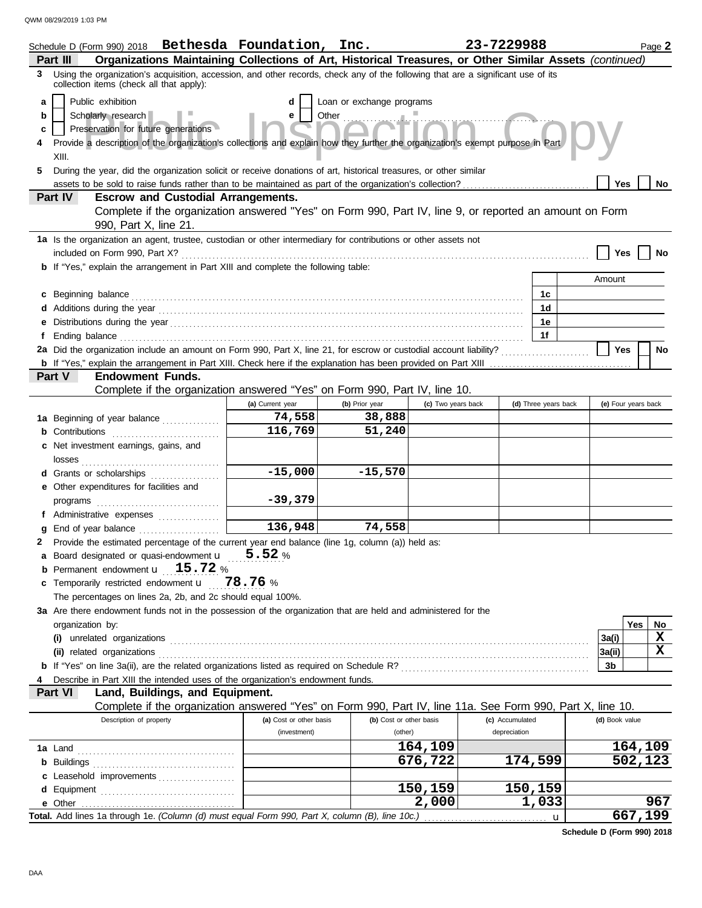|                       | Schedule D (Form 990) 2018 Bethesda Foundation, Inc.<br>Organizations Maintaining Collections of Art, Historical Treasures, or Other Similar Assets (continued)<br>Part III                                                                                                                                                                                                                             |                         |                          |                    | 23-7229988           |                     | Page 2  |  |
|-----------------------|---------------------------------------------------------------------------------------------------------------------------------------------------------------------------------------------------------------------------------------------------------------------------------------------------------------------------------------------------------------------------------------------------------|-------------------------|--------------------------|--------------------|----------------------|---------------------|---------|--|
| 3                     | Using the organization's acquisition, accession, and other records, check any of the following that are a significant use of its<br>collection items (check all that apply):                                                                                                                                                                                                                            |                         |                          |                    |                      |                     |         |  |
| a<br>b<br>c<br>4<br>5 | Public exhibition<br>Loan or exchange programs<br>d<br>Other $\ldots$<br>Scholarly research<br>e<br>Preservation for future generations<br>Provide a description of the organization's collections and explain how they further the organization's exempt purpose in Part<br>XIII.<br>During the year, did the organization solicit or receive donations of art, historical treasures, or other similar |                         |                          |                    |                      |                     |         |  |
|                       | assets to be sold to raise funds rather than to be maintained as part of the organization's collection?                                                                                                                                                                                                                                                                                                 |                         |                          |                    |                      | Yes                 | No      |  |
|                       | Part IV<br><b>Escrow and Custodial Arrangements.</b><br>Complete if the organization answered "Yes" on Form 990, Part IV, line 9, or reported an amount on Form<br>990, Part X, line 21.                                                                                                                                                                                                                |                         |                          |                    |                      |                     |         |  |
|                       | 1a Is the organization an agent, trustee, custodian or other intermediary for contributions or other assets not                                                                                                                                                                                                                                                                                         |                         |                          |                    |                      | Yes                 | No      |  |
|                       | <b>b</b> If "Yes," explain the arrangement in Part XIII and complete the following table:                                                                                                                                                                                                                                                                                                               |                         |                          |                    |                      |                     |         |  |
|                       |                                                                                                                                                                                                                                                                                                                                                                                                         |                         |                          |                    |                      | Amount              |         |  |
| c                     | Beginning balance                                                                                                                                                                                                                                                                                                                                                                                       |                         |                          |                    | 1c                   |                     |         |  |
|                       | Additions during the year contains and according to the year contained and year and year and year and year and year and year and year and year and year and year and year and year and year and year and year and year and yea                                                                                                                                                                          |                         |                          |                    | 1d                   |                     |         |  |
|                       |                                                                                                                                                                                                                                                                                                                                                                                                         |                         |                          |                    | 1е                   |                     |         |  |
| f                     |                                                                                                                                                                                                                                                                                                                                                                                                         |                         |                          |                    | 1f                   |                     |         |  |
|                       | 2a Did the organization include an amount on Form 990, Part X, line 21, for escrow or custodial account liability?                                                                                                                                                                                                                                                                                      |                         |                          |                    |                      | Yes                 | No      |  |
|                       |                                                                                                                                                                                                                                                                                                                                                                                                         |                         |                          |                    |                      |                     |         |  |
|                       | <b>Endowment Funds.</b><br>Part V                                                                                                                                                                                                                                                                                                                                                                       |                         |                          |                    |                      |                     |         |  |
|                       | Complete if the organization answered "Yes" on Form 990, Part IV, line 10.                                                                                                                                                                                                                                                                                                                              | (a) Current year        |                          | (c) Two years back | (d) Three years back | (e) Four years back |         |  |
|                       |                                                                                                                                                                                                                                                                                                                                                                                                         | 74,558                  | (b) Prior year<br>38,888 |                    |                      |                     |         |  |
|                       | 1a Beginning of year balance                                                                                                                                                                                                                                                                                                                                                                            | 116,769                 | 51,240                   |                    |                      |                     |         |  |
|                       | <b>b</b> Contributions <b>contributions</b>                                                                                                                                                                                                                                                                                                                                                             |                         |                          |                    |                      |                     |         |  |
|                       | c Net investment earnings, gains, and                                                                                                                                                                                                                                                                                                                                                                   |                         |                          |                    |                      |                     |         |  |
|                       | d Grants or scholarships                                                                                                                                                                                                                                                                                                                                                                                | $-15,000$               | $-15,570$                |                    |                      |                     |         |  |
|                       | e Other expenditures for facilities and                                                                                                                                                                                                                                                                                                                                                                 |                         |                          |                    |                      |                     |         |  |
|                       | programs                                                                                                                                                                                                                                                                                                                                                                                                | $-39,379$               |                          |                    |                      |                     |         |  |
|                       | f Administrative expenses                                                                                                                                                                                                                                                                                                                                                                               |                         |                          |                    |                      |                     |         |  |
|                       |                                                                                                                                                                                                                                                                                                                                                                                                         | 136,948                 | 74,558                   |                    |                      |                     |         |  |
|                       | 2 Provide the estimated percentage of the current year end balance (line 1g, column (a)) held as:                                                                                                                                                                                                                                                                                                       |                         |                          |                    |                      |                     |         |  |
|                       | a Board designated or quasi-endowment <b>u</b> 5.52 %                                                                                                                                                                                                                                                                                                                                                   |                         |                          |                    |                      |                     |         |  |
| b                     | Permanent endowment <b>u</b> 15.72 %                                                                                                                                                                                                                                                                                                                                                                    |                         |                          |                    |                      |                     |         |  |
| c                     | Temporarily restricted endowment $\mathbf{u}$ 78.76 %                                                                                                                                                                                                                                                                                                                                                   |                         |                          |                    |                      |                     |         |  |
|                       | The percentages on lines 2a, 2b, and 2c should equal 100%.                                                                                                                                                                                                                                                                                                                                              |                         |                          |                    |                      |                     |         |  |
|                       | 3a Are there endowment funds not in the possession of the organization that are held and administered for the                                                                                                                                                                                                                                                                                           |                         |                          |                    |                      |                     |         |  |
|                       | organization by:                                                                                                                                                                                                                                                                                                                                                                                        |                         |                          |                    |                      | Yes                 | No      |  |
|                       |                                                                                                                                                                                                                                                                                                                                                                                                         |                         |                          |                    |                      | 3a(i)               | X       |  |
|                       | (ii) related organizations experiences and all the contract of the contract of the contract of the contract or                                                                                                                                                                                                                                                                                          |                         |                          |                    |                      | 3a(ii)              | X       |  |
|                       |                                                                                                                                                                                                                                                                                                                                                                                                         |                         |                          |                    |                      | 3b                  |         |  |
| 4                     | Describe in Part XIII the intended uses of the organization's endowment funds.                                                                                                                                                                                                                                                                                                                          |                         |                          |                    |                      |                     |         |  |
|                       | Part VI<br>Land, Buildings, and Equipment.                                                                                                                                                                                                                                                                                                                                                              |                         |                          |                    |                      |                     |         |  |
|                       | Complete if the organization answered "Yes" on Form 990, Part IV, line 11a. See Form 990, Part X, line 10.                                                                                                                                                                                                                                                                                              |                         |                          |                    |                      |                     |         |  |
|                       | Description of property                                                                                                                                                                                                                                                                                                                                                                                 | (a) Cost or other basis | (b) Cost or other basis  |                    | (c) Accumulated      | (d) Book value      |         |  |
|                       |                                                                                                                                                                                                                                                                                                                                                                                                         | (investment)            | (other)                  |                    | depreciation         |                     |         |  |
|                       |                                                                                                                                                                                                                                                                                                                                                                                                         |                         |                          | 164,109            |                      |                     | 164,109 |  |
|                       |                                                                                                                                                                                                                                                                                                                                                                                                         |                         |                          | 676,722            | 174,599              |                     | 502,123 |  |
|                       | c Leasehold improvements                                                                                                                                                                                                                                                                                                                                                                                |                         |                          |                    |                      |                     |         |  |
|                       |                                                                                                                                                                                                                                                                                                                                                                                                         |                         |                          | 150,159            | 150,159              |                     |         |  |
|                       |                                                                                                                                                                                                                                                                                                                                                                                                         |                         |                          | 2,000              | 1,033                |                     | 967     |  |
|                       | Total. Add lines 1a through 1e. (Column (d) must equal Form 990, Part X, column (B), line 10c.)                                                                                                                                                                                                                                                                                                         |                         |                          |                    | $\mathbf u$          |                     | 667,199 |  |

**Schedule D (Form 990) 2018**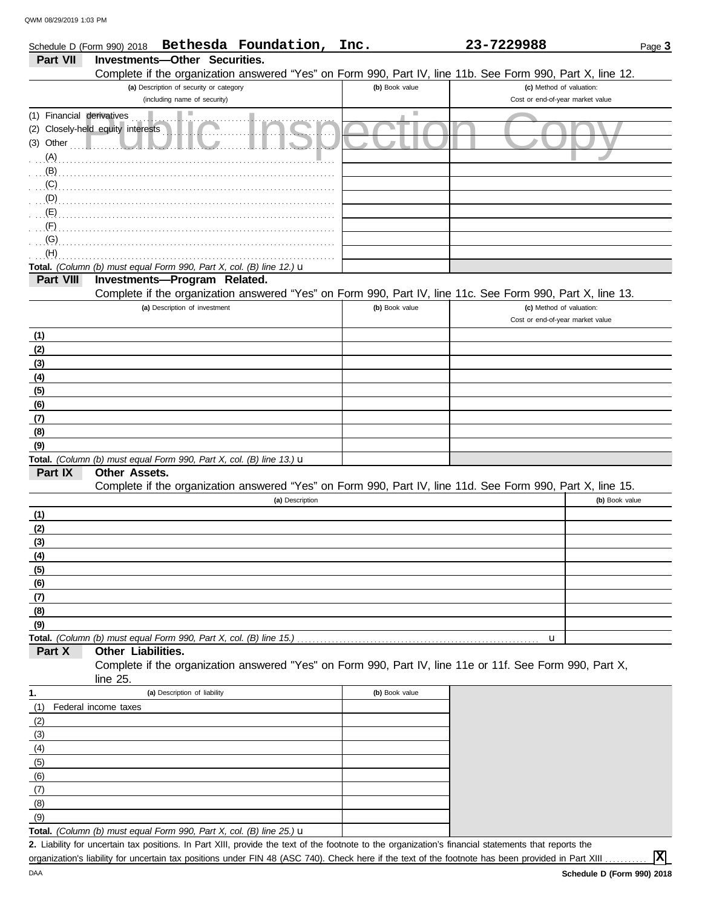DAA

(8)  $\overline{(7)}$ 

|                           | Bethesda Foundation,<br>Schedule D (Form 990) 2018                                                                   | Inc.           | 23-7229988                       | Page 3         |
|---------------------------|----------------------------------------------------------------------------------------------------------------------|----------------|----------------------------------|----------------|
| Part VII                  | <b>Investments-Other Securities.</b>                                                                                 |                |                                  |                |
|                           | Complete if the organization answered "Yes" on Form 990, Part IV, line 11b. See Form 990, Part X, line 12.           |                |                                  |                |
|                           | (a) Description of security or category                                                                              | (b) Book value | (c) Method of valuation:         |                |
|                           | (including name of security)                                                                                         |                | Cost or end-of-year market value |                |
| (1) Financial derivatives | ш                                                                                                                    | Ш              |                                  |                |
|                           | (2) Closely-held equity interests                                                                                    |                |                                  |                |
| (3) Other                 |                                                                                                                      |                |                                  |                |
| (A)                       |                                                                                                                      |                |                                  |                |
| (B)                       |                                                                                                                      |                |                                  |                |
| (C)                       |                                                                                                                      |                |                                  |                |
| (D)<br>(E)                |                                                                                                                      |                |                                  |                |
| (F)                       |                                                                                                                      |                |                                  |                |
| (G)                       |                                                                                                                      |                |                                  |                |
| (H)                       |                                                                                                                      |                |                                  |                |
|                           | Total. (Column (b) must equal Form 990, Part X, col. (B) line 12.) u                                                 |                |                                  |                |
| Part VIII                 | Investments-Program Related.                                                                                         |                |                                  |                |
|                           | Complete if the organization answered "Yes" on Form 990, Part IV, line 11c. See Form 990, Part X, line 13.           |                |                                  |                |
|                           | (a) Description of investment                                                                                        | (b) Book value | (c) Method of valuation:         |                |
|                           |                                                                                                                      |                | Cost or end-of-year market value |                |
| (1)                       |                                                                                                                      |                |                                  |                |
| (2)                       |                                                                                                                      |                |                                  |                |
| (3)                       |                                                                                                                      |                |                                  |                |
| (4)                       |                                                                                                                      |                |                                  |                |
| (5)                       |                                                                                                                      |                |                                  |                |
| (6)                       |                                                                                                                      |                |                                  |                |
| (7)                       |                                                                                                                      |                |                                  |                |
| (8)                       |                                                                                                                      |                |                                  |                |
| (9)                       |                                                                                                                      |                |                                  |                |
| Part IX                   | Total. (Column (b) must equal Form 990, Part X, col. (B) line 13.) u<br>Other Assets.                                |                |                                  |                |
|                           | Complete if the organization answered "Yes" on Form 990, Part IV, line 11d. See Form 990, Part X, line 15.           |                |                                  |                |
|                           | (a) Description                                                                                                      |                |                                  | (b) Book value |
| (1)                       |                                                                                                                      |                |                                  |                |
| (2)                       |                                                                                                                      |                |                                  |                |
| (3)                       |                                                                                                                      |                |                                  |                |
| (4)                       |                                                                                                                      |                |                                  |                |
| (5)                       |                                                                                                                      |                |                                  |                |
| (6)                       |                                                                                                                      |                |                                  |                |
| (7)                       |                                                                                                                      |                |                                  |                |
| (8)                       |                                                                                                                      |                |                                  |                |
| (9)                       |                                                                                                                      |                |                                  |                |
|                           | Total. (Column (b) must equal Form 990, Part X, col. (B) line 15.)                                                   |                | u                                |                |
| Part X                    | Other Liabilities.                                                                                                   |                |                                  |                |
|                           | Complete if the organization answered "Yes" on Form 990, Part IV, line 11e or 11f. See Form 990, Part X,<br>line 25. |                |                                  |                |
| 1.                        | (a) Description of liability                                                                                         | (b) Book value |                                  |                |
| (1)                       | Federal income taxes                                                                                                 |                |                                  |                |
| (2)                       |                                                                                                                      |                |                                  |                |
| (3)                       |                                                                                                                      |                |                                  |                |
| (4)                       |                                                                                                                      |                |                                  |                |
| (5)                       |                                                                                                                      |                |                                  |                |
| (6)                       |                                                                                                                      |                |                                  |                |

**Total.** *(Column (b) must equal Form 990, Part X, col. (B) line 25.)* u  $(9)$ 

Liability for uncertain tax positions. In Part XIII, provide the text of the footnote to the organization's financial statements that reports the **2.** organization's liability for uncertain tax positions under FIN 48 (ASC 740). Check here if the text of the footnote has been provided in Part XIII

**X**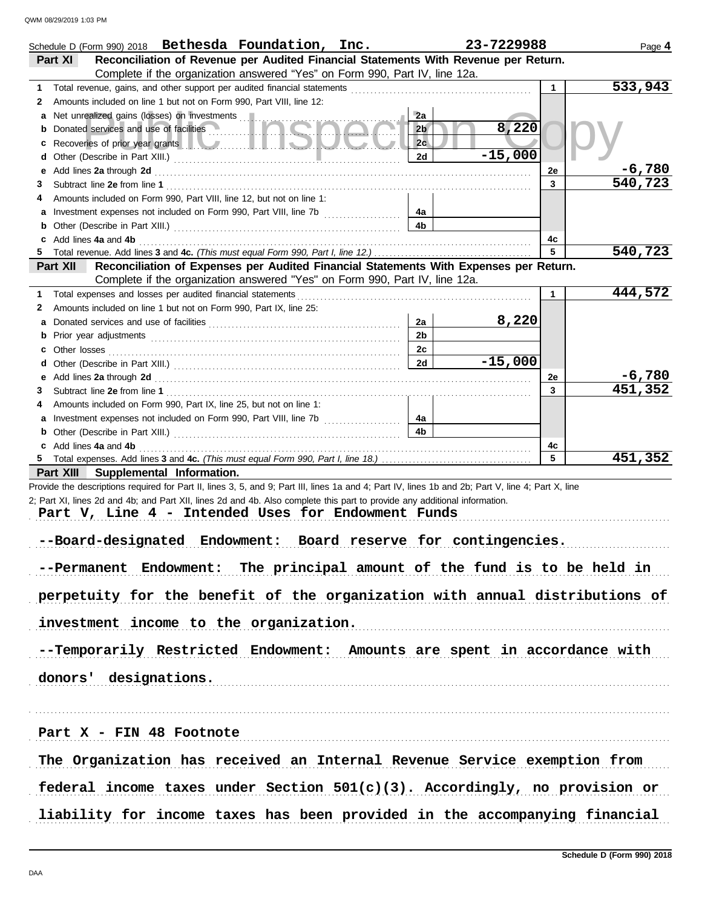|         | Schedule D (Form 990) 2018 Bethesda Foundation, Inc.                                                                                                                                                                           |                | 23-7229988 |              | Page 4   |
|---------|--------------------------------------------------------------------------------------------------------------------------------------------------------------------------------------------------------------------------------|----------------|------------|--------------|----------|
|         | Reconciliation of Revenue per Audited Financial Statements With Revenue per Return.<br><b>Part XI</b>                                                                                                                          |                |            |              |          |
|         | Complete if the organization answered "Yes" on Form 990, Part IV, line 12a.                                                                                                                                                    |                |            |              | 533,943  |
| 1.<br>2 | Total revenue, gains, and other support per audited financial statements<br>Amounts included on line 1 but not on Form 990. Part VIII, line 12:                                                                                |                |            | 1            |          |
|         | a Net unrealized gains (losses) on investments                                                                                                                                                                                 | 2a             |            |              |          |
| b       | Donated services and use of facilities                                                                                                                                                                                         | 2 <sub>b</sub> | 8,220      |              |          |
| c       | Recoveries of prior year grants <b>the contract of the contract of prior</b>                                                                                                                                                   | 2c             |            |              |          |
| d       |                                                                                                                                                                                                                                | 2d             | $-15,000$  |              |          |
| е       | Add lines 2a through 2d [11] All and the contract of the contract of the contract of the contract of the contract of the contract of the contract of the contract of the contract of the contract of the contract of the contr |                |            | 2e           | $-6,780$ |
| 3       |                                                                                                                                                                                                                                |                |            | 3            | 540,723  |
| 4       | Amounts included on Form 990, Part VIII, line 12, but not on line 1:                                                                                                                                                           |                |            |              |          |
|         |                                                                                                                                                                                                                                | 4a             |            |              |          |
|         |                                                                                                                                                                                                                                | 4b             |            |              |          |
|         | c Add lines 4a and 4b                                                                                                                                                                                                          |                |            | 4c           |          |
|         |                                                                                                                                                                                                                                |                |            | 5            | 540,723  |
|         | Reconciliation of Expenses per Audited Financial Statements With Expenses per Return.<br>Part XII                                                                                                                              |                |            |              |          |
|         | Complete if the organization answered "Yes" on Form 990, Part IV, line 12a.                                                                                                                                                    |                |            |              | 444,572  |
| 1.      | Total expenses and losses per audited financial statements                                                                                                                                                                     |                |            | $\mathbf{1}$ |          |
| 2       | Amounts included on line 1 but not on Form 990, Part IX, line 25:                                                                                                                                                              | 2a             | 8,220      |              |          |
|         |                                                                                                                                                                                                                                | 2 <sub>b</sub> |            |              |          |
|         |                                                                                                                                                                                                                                | 2c             |            |              |          |
|         |                                                                                                                                                                                                                                | 2d             | $-15,000$  |              |          |
|         |                                                                                                                                                                                                                                |                |            | 2e           | $-6,780$ |
| 3.      |                                                                                                                                                                                                                                |                |            | 3            | 451,352  |
| 4       | Amounts included on Form 990, Part IX, line 25, but not on line 1:                                                                                                                                                             |                |            |              |          |
|         | a Investment expenses not included on Form 990, Part VIII, line 7b                                                                                                                                                             | 4a             |            |              |          |
|         |                                                                                                                                                                                                                                | 4b             |            |              |          |
|         | c Add lines 4a and 4b                                                                                                                                                                                                          |                |            | 4c           |          |
|         |                                                                                                                                                                                                                                |                |            | 5            | 451,352  |
|         | Part XIII Supplemental Information.                                                                                                                                                                                            |                |            |              |          |
|         | Provide the descriptions required for Part II, lines 3, 5, and 9; Part III, lines 1a and 4; Part IV, lines 1b and 2b; Part V, line 4; Part X, line                                                                             |                |            |              |          |
|         | 2; Part XI, lines 2d and 4b; and Part XII, lines 2d and 4b. Also complete this part to provide any additional information.<br>Part V, Line 4 - Intended Uses for Endowment Funds                                               |                |            |              |          |
|         |                                                                                                                                                                                                                                |                |            |              |          |
|         | --Board-designated Endowment: Board reserve for contingencies.                                                                                                                                                                 |                |            |              |          |
|         |                                                                                                                                                                                                                                |                |            |              |          |
|         | --Permanent Endowment: The principal amount of the fund is to be held in                                                                                                                                                       |                |            |              |          |
|         |                                                                                                                                                                                                                                |                |            |              |          |
|         | perpetuity for the benefit of the organization with annual distributions of                                                                                                                                                    |                |            |              |          |
|         |                                                                                                                                                                                                                                |                |            |              |          |
|         | investment income to the organization.                                                                                                                                                                                         |                |            |              |          |
|         | --Temporarily Restricted Endowment: Amounts are spent in accordance with                                                                                                                                                       |                |            |              |          |
|         | donors' designations.                                                                                                                                                                                                          |                |            |              |          |
|         |                                                                                                                                                                                                                                |                |            |              |          |
|         |                                                                                                                                                                                                                                |                |            |              |          |
|         | Part X - FIN 48 Footnote                                                                                                                                                                                                       |                |            |              |          |
|         | The Organization has received an Internal Revenue Service exemption from                                                                                                                                                       |                |            |              |          |
|         | federal income taxes under Section $501(c)(3)$ . Accordingly, no provision or                                                                                                                                                  |                |            |              |          |
|         | liability for income taxes has been provided in the accompanying financial                                                                                                                                                     |                |            |              |          |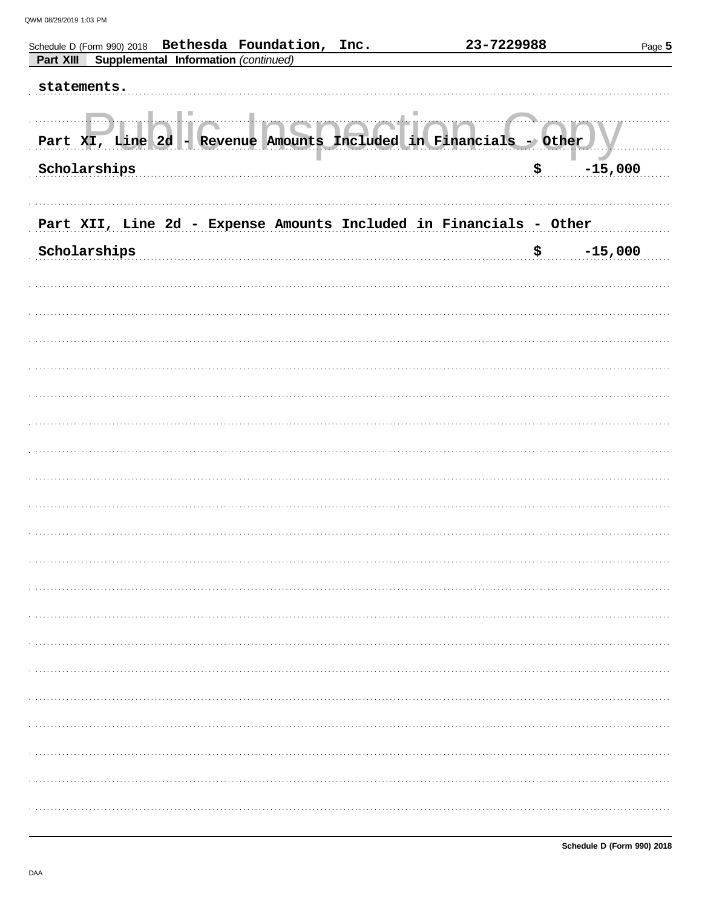| Schedule D (Form 990) 2018 Bethesda Foundation, Inc.<br>Supplemental Information (continued)<br>Part XIII | 23-7229988                                       | Page 5          |
|-----------------------------------------------------------------------------------------------------------|--------------------------------------------------|-----------------|
| statements.                                                                                               |                                                  |                 |
| Part XI, Line 2d<br>Scholarships                                                                          | - Revenue Amounts Included in Financials - Other | $-15,000$<br>\$ |
| Part XII, Line 2d - Expense Amounts Included in Financials - Other                                        |                                                  |                 |
| Scholarships                                                                                              |                                                  | $-15,000$<br>\$ |
|                                                                                                           |                                                  |                 |
|                                                                                                           |                                                  |                 |
|                                                                                                           |                                                  |                 |
|                                                                                                           |                                                  |                 |
|                                                                                                           |                                                  |                 |
|                                                                                                           |                                                  |                 |
|                                                                                                           |                                                  |                 |
|                                                                                                           |                                                  |                 |
|                                                                                                           |                                                  |                 |
|                                                                                                           |                                                  |                 |
|                                                                                                           |                                                  |                 |
|                                                                                                           |                                                  |                 |
|                                                                                                           |                                                  |                 |
|                                                                                                           |                                                  |                 |
|                                                                                                           |                                                  |                 |
|                                                                                                           |                                                  |                 |
|                                                                                                           |                                                  |                 |
|                                                                                                           |                                                  |                 |
|                                                                                                           |                                                  |                 |
|                                                                                                           |                                                  |                 |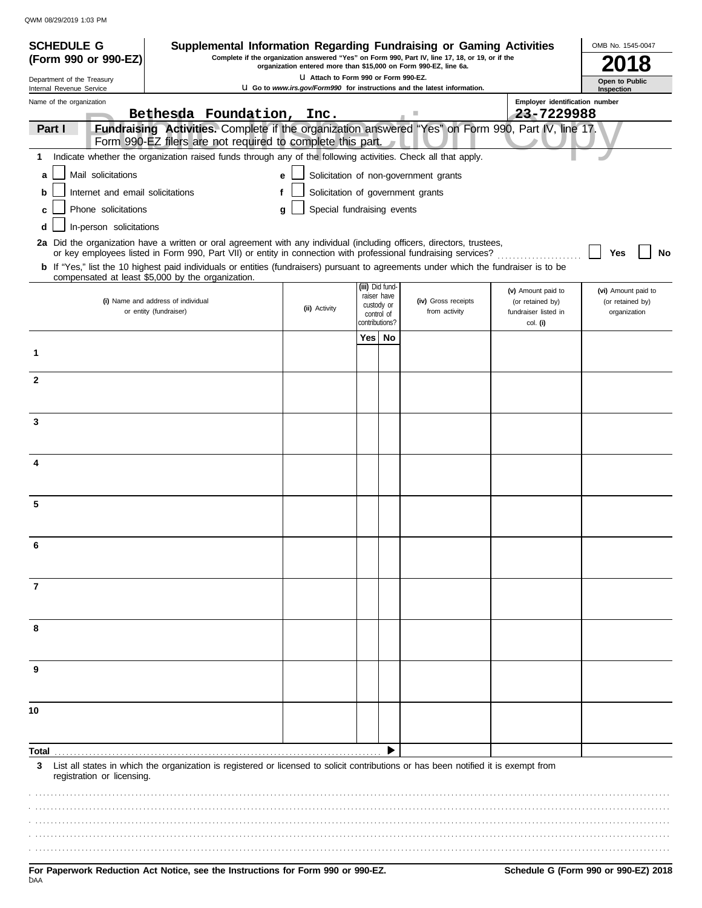| <b>SCHEDULE G</b>                                      |                                  |                                                            |                                                                                                                                                                     |       |                                | Supplemental Information Regarding Fundraising or Gaming Activities                                                                                                                                                                                     |                                        | OMB No. 1545-0047                       |
|--------------------------------------------------------|----------------------------------|------------------------------------------------------------|---------------------------------------------------------------------------------------------------------------------------------------------------------------------|-------|--------------------------------|---------------------------------------------------------------------------------------------------------------------------------------------------------------------------------------------------------------------------------------------------------|----------------------------------------|-----------------------------------------|
| (Form 990 or 990-EZ)                                   |                                  |                                                            | Complete if the organization answered "Yes" on Form 990, Part IV, line 17, 18, or 19, or if the<br>organization entered more than \$15,000 on Form 990-EZ, line 6a. |       |                                |                                                                                                                                                                                                                                                         |                                        |                                         |
| Department of the Treasury<br>Internal Revenue Service |                                  |                                                            | LI Attach to Form 990 or Form 990-EZ.                                                                                                                               |       |                                | <b>U Go to www.irs.gov/Form990 for instructions and the latest information.</b>                                                                                                                                                                         |                                        | Open to Public<br>Inspection            |
| Name of the organization                               |                                  |                                                            |                                                                                                                                                                     |       |                                |                                                                                                                                                                                                                                                         | Employer identification number         |                                         |
|                                                        |                                  | Bethesda Foundation,                                       | Inc.                                                                                                                                                                |       |                                | ш                                                                                                                                                                                                                                                       | 23-7229988                             |                                         |
| Part I                                                 |                                  | Form 990-EZ filers are not required to complete this part. |                                                                                                                                                                     |       |                                | Fundraising Activities. Complete if the organization answered "Yes" on Form 990, Part IV, line 17.                                                                                                                                                      |                                        |                                         |
| 1                                                      |                                  |                                                            |                                                                                                                                                                     |       |                                | Indicate whether the organization raised funds through any of the following activities. Check all that apply.                                                                                                                                           |                                        |                                         |
| a                                                      | Mail solicitations               |                                                            | e                                                                                                                                                                   |       |                                | Solicitation of non-government grants                                                                                                                                                                                                                   |                                        |                                         |
| b                                                      | Internet and email solicitations |                                                            | f                                                                                                                                                                   |       |                                | Solicitation of government grants                                                                                                                                                                                                                       |                                        |                                         |
| c                                                      | Phone solicitations              |                                                            | Special fundraising events<br>a                                                                                                                                     |       |                                |                                                                                                                                                                                                                                                         |                                        |                                         |
| d                                                      | In-person solicitations          |                                                            |                                                                                                                                                                     |       |                                |                                                                                                                                                                                                                                                         |                                        |                                         |
|                                                        |                                  |                                                            |                                                                                                                                                                     |       |                                | 2a Did the organization have a written or oral agreement with any individual (including officers, directors, trustees,                                                                                                                                  |                                        |                                         |
|                                                        |                                  |                                                            |                                                                                                                                                                     |       |                                | or key employees listed in Form 990, Part VII) or entity in connection with professional fundraising services?<br>b If "Yes," list the 10 highest paid individuals or entities (fundraisers) pursuant to agreements under which the fundraiser is to be |                                        | No<br>Yes                               |
|                                                        |                                  | compensated at least \$5,000 by the organization.          |                                                                                                                                                                     |       |                                |                                                                                                                                                                                                                                                         |                                        |                                         |
|                                                        |                                  | (i) Name and address of individual                         |                                                                                                                                                                     |       | (iii) Did fund-<br>raiser have | (iv) Gross receipts                                                                                                                                                                                                                                     | (v) Amount paid to<br>(or retained by) | (vi) Amount paid to<br>(or retained by) |
|                                                        |                                  | or entity (fundraiser)                                     | (ii) Activity                                                                                                                                                       |       | custody or<br>control of       | from activity                                                                                                                                                                                                                                           | fundraiser listed in                   | organization                            |
|                                                        |                                  |                                                            |                                                                                                                                                                     | Yes l | contributions?<br>No           |                                                                                                                                                                                                                                                         | col. (i)                               |                                         |
| 1                                                      |                                  |                                                            |                                                                                                                                                                     |       |                                |                                                                                                                                                                                                                                                         |                                        |                                         |
|                                                        |                                  |                                                            |                                                                                                                                                                     |       |                                |                                                                                                                                                                                                                                                         |                                        |                                         |
| $\mathbf{2}$                                           |                                  |                                                            |                                                                                                                                                                     |       |                                |                                                                                                                                                                                                                                                         |                                        |                                         |
|                                                        |                                  |                                                            |                                                                                                                                                                     |       |                                |                                                                                                                                                                                                                                                         |                                        |                                         |
| 3                                                      |                                  |                                                            |                                                                                                                                                                     |       |                                |                                                                                                                                                                                                                                                         |                                        |                                         |
|                                                        |                                  |                                                            |                                                                                                                                                                     |       |                                |                                                                                                                                                                                                                                                         |                                        |                                         |
| 4                                                      |                                  |                                                            |                                                                                                                                                                     |       |                                |                                                                                                                                                                                                                                                         |                                        |                                         |
|                                                        |                                  |                                                            |                                                                                                                                                                     |       |                                |                                                                                                                                                                                                                                                         |                                        |                                         |
|                                                        |                                  |                                                            |                                                                                                                                                                     |       |                                |                                                                                                                                                                                                                                                         |                                        |                                         |
| 5                                                      |                                  |                                                            |                                                                                                                                                                     |       |                                |                                                                                                                                                                                                                                                         |                                        |                                         |
|                                                        |                                  |                                                            |                                                                                                                                                                     |       |                                |                                                                                                                                                                                                                                                         |                                        |                                         |
|                                                        |                                  |                                                            |                                                                                                                                                                     |       |                                |                                                                                                                                                                                                                                                         |                                        |                                         |
|                                                        |                                  |                                                            |                                                                                                                                                                     |       |                                |                                                                                                                                                                                                                                                         |                                        |                                         |
| 7                                                      |                                  |                                                            |                                                                                                                                                                     |       |                                |                                                                                                                                                                                                                                                         |                                        |                                         |
|                                                        |                                  |                                                            |                                                                                                                                                                     |       |                                |                                                                                                                                                                                                                                                         |                                        |                                         |
|                                                        |                                  |                                                            |                                                                                                                                                                     |       |                                |                                                                                                                                                                                                                                                         |                                        |                                         |
| 8                                                      |                                  |                                                            |                                                                                                                                                                     |       |                                |                                                                                                                                                                                                                                                         |                                        |                                         |
|                                                        |                                  |                                                            |                                                                                                                                                                     |       |                                |                                                                                                                                                                                                                                                         |                                        |                                         |
| 9                                                      |                                  |                                                            |                                                                                                                                                                     |       |                                |                                                                                                                                                                                                                                                         |                                        |                                         |
|                                                        |                                  |                                                            |                                                                                                                                                                     |       |                                |                                                                                                                                                                                                                                                         |                                        |                                         |
|                                                        |                                  |                                                            |                                                                                                                                                                     |       |                                |                                                                                                                                                                                                                                                         |                                        |                                         |
| 10                                                     |                                  |                                                            |                                                                                                                                                                     |       |                                |                                                                                                                                                                                                                                                         |                                        |                                         |
|                                                        |                                  |                                                            |                                                                                                                                                                     |       |                                |                                                                                                                                                                                                                                                         |                                        |                                         |
| Total.                                                 |                                  |                                                            |                                                                                                                                                                     |       |                                |                                                                                                                                                                                                                                                         |                                        |                                         |
| 3                                                      | registration or licensing.       |                                                            |                                                                                                                                                                     |       |                                | List all states in which the organization is registered or licensed to solicit contributions or has been notified it is exempt from                                                                                                                     |                                        |                                         |
|                                                        |                                  |                                                            |                                                                                                                                                                     |       |                                |                                                                                                                                                                                                                                                         |                                        |                                         |
|                                                        |                                  |                                                            |                                                                                                                                                                     |       |                                |                                                                                                                                                                                                                                                         |                                        |                                         |
|                                                        |                                  |                                                            |                                                                                                                                                                     |       |                                |                                                                                                                                                                                                                                                         |                                        |                                         |
|                                                        |                                  |                                                            |                                                                                                                                                                     |       |                                |                                                                                                                                                                                                                                                         |                                        |                                         |
|                                                        |                                  |                                                            |                                                                                                                                                                     |       |                                |                                                                                                                                                                                                                                                         |                                        |                                         |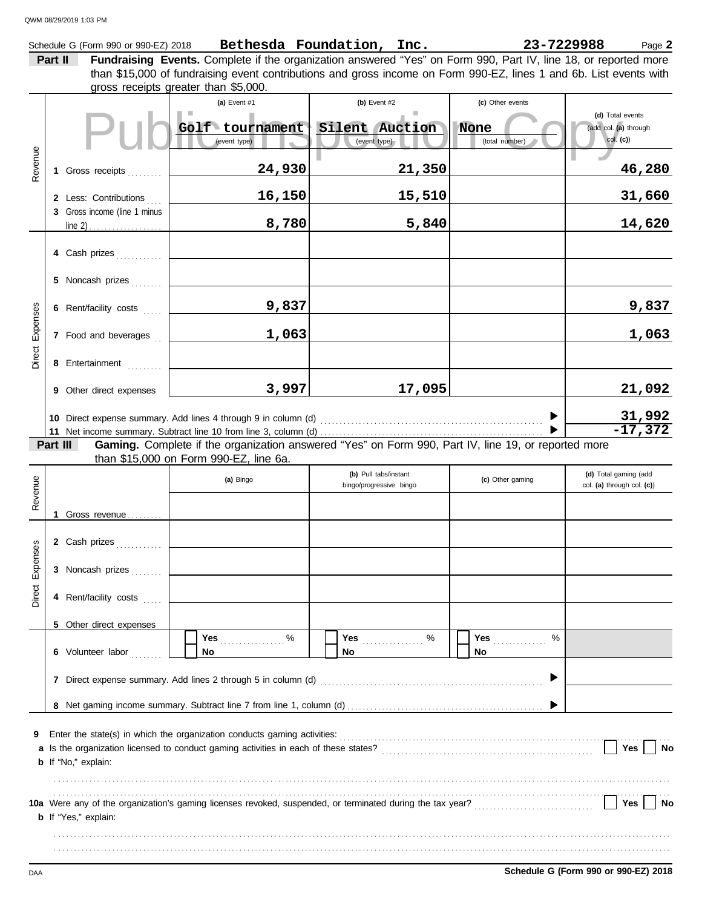|                        | QWM 08/29/2019 1:03 PM<br>Schedule G (Form 990 or 990-EZ) 2018 |                                                                                                                                               | Bethesda Foundation, Inc.                        | 23-7229988                    | Page 2                                                |
|------------------------|----------------------------------------------------------------|-----------------------------------------------------------------------------------------------------------------------------------------------|--------------------------------------------------|-------------------------------|-------------------------------------------------------|
|                        | Part II                                                        | Fundraising Events. Complete if the organization answered "Yes" on Form 990, Part IV, line 18, or reported more                               |                                                  |                               |                                                       |
|                        |                                                                | than \$15,000 of fundraising event contributions and gross income on Form 990-EZ, lines 1 and 6b. List events with                            |                                                  |                               |                                                       |
|                        |                                                                | gross receipts greater than \$5,000.<br>(a) Event #1                                                                                          | (b) Event $#2$                                   | (c) Other events              |                                                       |
|                        |                                                                | Golf tournament Silent Auction<br>(event type)                                                                                                | (event type)                                     | <b>None</b><br>(total number) | (d) Total events<br>(add col. (a) through<br>col. (c) |
| Revenue                | 1 Gross receipts                                               | 24,930                                                                                                                                        | 21,350                                           |                               | 46,280                                                |
|                        | 2 Less: Contributions<br>3 Gross income (line 1 minus          | 16,150                                                                                                                                        | 15,510                                           |                               | 31,660                                                |
|                        | line 2) $\ldots$                                               | 8,780                                                                                                                                         | 5,840                                            |                               | 14,620                                                |
|                        | 4 Cash prizes                                                  |                                                                                                                                               |                                                  |                               |                                                       |
|                        | 5 Noncash prizes                                               |                                                                                                                                               |                                                  |                               |                                                       |
|                        | 6 Rent/facility costs                                          | 9,837                                                                                                                                         |                                                  |                               | 9,837                                                 |
| Expenses               | 7 Food and beverages                                           | 1,063                                                                                                                                         |                                                  |                               | 1,063                                                 |
| Direct                 | 8 Entertainment                                                |                                                                                                                                               |                                                  |                               |                                                       |
|                        | 9 Other direct expenses                                        | 3,997                                                                                                                                         | 17,095                                           |                               | 21,092                                                |
|                        |                                                                |                                                                                                                                               |                                                  | $\blacktriangleright$         | $\frac{31,992}{-17,372}$                              |
|                        | Part III                                                       | Gaming. Complete if the organization answered "Yes" on Form 990, Part IV, line 19, or reported more<br>than \$15,000 on Form 990-EZ, line 6a. |                                                  |                               |                                                       |
|                        |                                                                | (a) Bingo                                                                                                                                     | (b) Pull tabs/instant<br>bingo/progressive bingo | (c) Other gaming              | (d) Total gaming (add<br>col. (a) through col. (c))   |
| Revenue                | 1<br>Gross revenue                                             |                                                                                                                                               |                                                  |                               |                                                       |
|                        | 2 Cash prizes                                                  |                                                                                                                                               |                                                  |                               |                                                       |
| <b>Direct Expenses</b> | 3 Noncash prizes                                               |                                                                                                                                               |                                                  |                               |                                                       |
|                        | 4 Rent/facility costs                                          |                                                                                                                                               |                                                  |                               |                                                       |

**8** Net gaming income summary. Subtract line 7 from line 1, column (d) . . . . . . . . . . . . . . . . . . . . . . . . . . . . . . . . . . . . . . . . . . . . . . . . . . .

**10a** Were any of the organization's gaming licenses revoked, suspended, or terminated during the tax year? . . . . . . . . . . . . . . . . . . . . . . . . . . . . . . .

Is the organization licensed to conduct gaming activities in each of these states? . . . . . . . . . . . . . . . . . . . . . . . . . . . . . . . . . . . . . . . . . . . . . . . . . . . . . . .

**7** Direct expense summary. Add lines 2 through 5 in column (d) . . . . . . . . . . . . . . . . . . . . . . . . . . . . . . . . . . . . . . . . . . . . . . . . . . . . . . . . . .

**No**

Enter the state(s) in which the organization conducts gaming activities: www.communities.com/www.communities.com/www.communities.com/www.communities.com/www.communities.com/www.communities.com/www.communities.com/www.commu

. . . . . . . . . . . . . . . . . . . . . . . . . . . . . . . . . . . . . . . . . . . . . . . . . . . . . . . . . . . . . . . . . . . . . . . . . . . . . . . . . . . . . . . . . . . . . . . . . . . . . . . . . . . . . . . . . . . . . . . . . . . . . . . . . . . . . . . . . . . . . . . . . . . . . . . . . . . . . . . . . . . . . . . . . . . . . . . . . . . . . . . . . . . . . . . . . . . . . . . . . . . . . . . . . . . . . . . . . . . . . . . . . . . . . . . . . . . . . . . . . . . . . . . . . . . . . . . . . . . . . . . . . . . . . . . . . . . . . . . . . . . . . . . . . . . . . . . . . . . . . . . . . . . . . . . . . . . . . . . .

% % **Yes** . . . . . . . . . . . . . . . . %

**No**

**Yes** . . . . . . . . . . . . . .

 $\blacktriangleright$ 

 $\blacktriangleright$ 

**Yes** . . . . . . . . . . . . . . . . .

**No**

| Schedule G (Form 990 or 990-EZ) 2018 |
|--------------------------------------|
|                                      |

Yes | No

**Yes** | **No** 

**9 a**

**b** If "No," explain:

**b** If "Yes," explain:

**6** Volunteer labor . . . . . . .

**5** Other direct expenses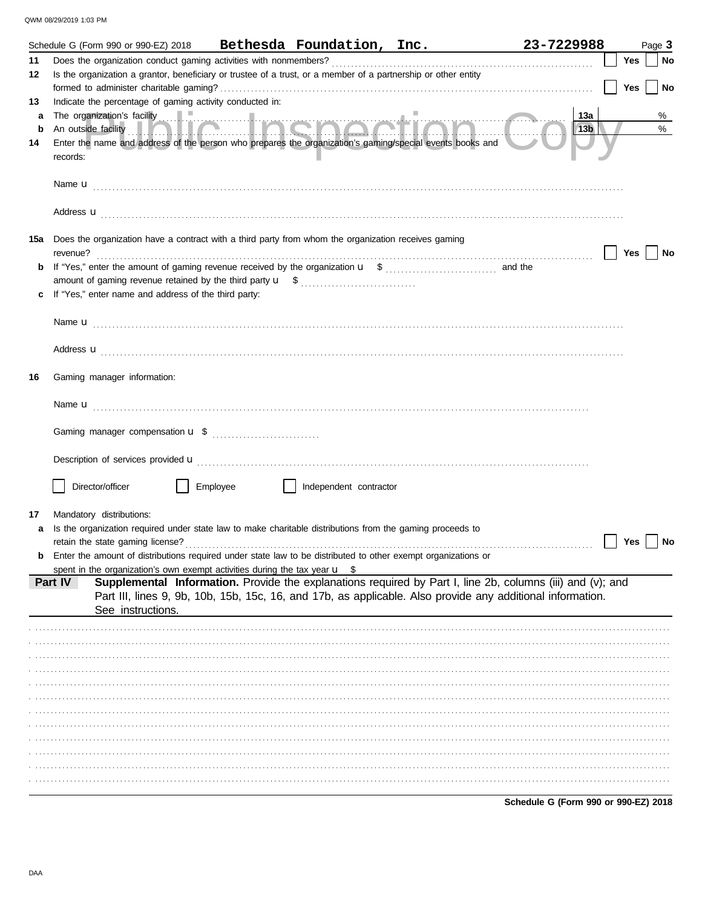|    | Schedule G (Form 990 or 990-EZ) 2018                                                                           |                                                                                                                                                                                                                                      |                        | Bethesda Foundation, Inc. | 23-7229988 |     | Page 3 |
|----|----------------------------------------------------------------------------------------------------------------|--------------------------------------------------------------------------------------------------------------------------------------------------------------------------------------------------------------------------------------|------------------------|---------------------------|------------|-----|--------|
| 11 |                                                                                                                |                                                                                                                                                                                                                                      |                        |                           |            | Yes | No     |
| 12 |                                                                                                                | Is the organization a grantor, beneficiary or trustee of a trust, or a member of a partnership or other entity                                                                                                                       |                        |                           |            |     |        |
|    |                                                                                                                |                                                                                                                                                                                                                                      |                        |                           |            | Yes | No     |
| 13 | Indicate the percentage of gaming activity conducted in:                                                       |                                                                                                                                                                                                                                      |                        |                           |            |     |        |
| a  |                                                                                                                | The organization's facility <b>and a set of the contract of the set of the contract of the contract of the contract of the contract of the contract of the contract of the contract of the contract of the contract of the contr</b> |                        |                           | 13a        |     | %      |
| b  |                                                                                                                |                                                                                                                                                                                                                                      |                        |                           | 13b        |     | $\%$   |
| 14 |                                                                                                                | Enter the name and address of the person who prepares the organization's gaming/special events books and                                                                                                                             |                        |                           |            |     |        |
|    | records:                                                                                                       |                                                                                                                                                                                                                                      |                        |                           |            |     |        |
|    |                                                                                                                |                                                                                                                                                                                                                                      |                        |                           |            |     |        |
|    |                                                                                                                |                                                                                                                                                                                                                                      |                        |                           |            |     |        |
|    |                                                                                                                |                                                                                                                                                                                                                                      |                        |                           |            |     |        |
|    |                                                                                                                |                                                                                                                                                                                                                                      |                        |                           |            |     |        |
|    | <b>15a</b> Does the organization have a contract with a third party from whom the organization receives gaming |                                                                                                                                                                                                                                      |                        |                           |            |     |        |
|    |                                                                                                                |                                                                                                                                                                                                                                      |                        |                           |            | Yes | No     |
| b  |                                                                                                                |                                                                                                                                                                                                                                      |                        |                           |            |     |        |
|    |                                                                                                                |                                                                                                                                                                                                                                      |                        |                           |            |     |        |
| c  | If "Yes," enter name and address of the third party:                                                           |                                                                                                                                                                                                                                      |                        |                           |            |     |        |
|    |                                                                                                                |                                                                                                                                                                                                                                      |                        |                           |            |     |        |
|    |                                                                                                                |                                                                                                                                                                                                                                      |                        |                           |            |     |        |
|    |                                                                                                                |                                                                                                                                                                                                                                      |                        |                           |            |     |        |
|    |                                                                                                                | Address <b>u</b>                                                                                                                                                                                                                     |                        |                           |            |     |        |
|    |                                                                                                                |                                                                                                                                                                                                                                      |                        |                           |            |     |        |
| 16 | Gaming manager information:                                                                                    |                                                                                                                                                                                                                                      |                        |                           |            |     |        |
|    |                                                                                                                |                                                                                                                                                                                                                                      |                        |                           |            |     |        |
|    |                                                                                                                |                                                                                                                                                                                                                                      |                        |                           |            |     |        |
|    |                                                                                                                |                                                                                                                                                                                                                                      |                        |                           |            |     |        |
|    |                                                                                                                |                                                                                                                                                                                                                                      |                        |                           |            |     |        |
|    |                                                                                                                | Description of services provided <b>u</b> electron control and a series of the series of the services are controlled unit of the services of the services of the services of the service of the service of the service of the servi  |                        |                           |            |     |        |
|    |                                                                                                                |                                                                                                                                                                                                                                      |                        |                           |            |     |        |
|    | Director/officer                                                                                               | Employee                                                                                                                                                                                                                             | Independent contractor |                           |            |     |        |
|    |                                                                                                                |                                                                                                                                                                                                                                      |                        |                           |            |     |        |
| 17 | Mandatory distributions:                                                                                       |                                                                                                                                                                                                                                      |                        |                           |            |     |        |
| a  |                                                                                                                | Is the organization required under state law to make charitable distributions from the gaming proceeds to                                                                                                                            |                        |                           |            |     |        |
|    |                                                                                                                |                                                                                                                                                                                                                                      |                        |                           |            | Yes | No     |
| b  |                                                                                                                | Enter the amount of distributions required under state law to be distributed to other exempt organizations or                                                                                                                        |                        |                           |            |     |        |
|    |                                                                                                                | spent in the organization's own exempt activities during the tax year $\mathbf{u}$ \$                                                                                                                                                |                        |                           |            |     |        |
|    | Part IV                                                                                                        | Supplemental Information. Provide the explanations required by Part I, line 2b, columns (iii) and (v); and<br>Part III, lines 9, 9b, 10b, 15b, 15c, 16, and 17b, as applicable. Also provide any additional information.             |                        |                           |            |     |        |
|    | See instructions.                                                                                              |                                                                                                                                                                                                                                      |                        |                           |            |     |        |
|    |                                                                                                                |                                                                                                                                                                                                                                      |                        |                           |            |     |        |
|    |                                                                                                                |                                                                                                                                                                                                                                      |                        |                           |            |     |        |
|    |                                                                                                                |                                                                                                                                                                                                                                      |                        |                           |            |     |        |
|    |                                                                                                                |                                                                                                                                                                                                                                      |                        |                           |            |     |        |
|    |                                                                                                                |                                                                                                                                                                                                                                      |                        |                           |            |     |        |
|    |                                                                                                                |                                                                                                                                                                                                                                      |                        |                           |            |     |        |
|    |                                                                                                                |                                                                                                                                                                                                                                      |                        |                           |            |     |        |
|    |                                                                                                                |                                                                                                                                                                                                                                      |                        |                           |            |     |        |
|    |                                                                                                                |                                                                                                                                                                                                                                      |                        |                           |            |     |        |
|    |                                                                                                                |                                                                                                                                                                                                                                      |                        |                           |            |     |        |
|    |                                                                                                                |                                                                                                                                                                                                                                      |                        |                           |            |     |        |
|    |                                                                                                                |                                                                                                                                                                                                                                      |                        |                           |            |     |        |
|    |                                                                                                                |                                                                                                                                                                                                                                      |                        |                           |            |     |        |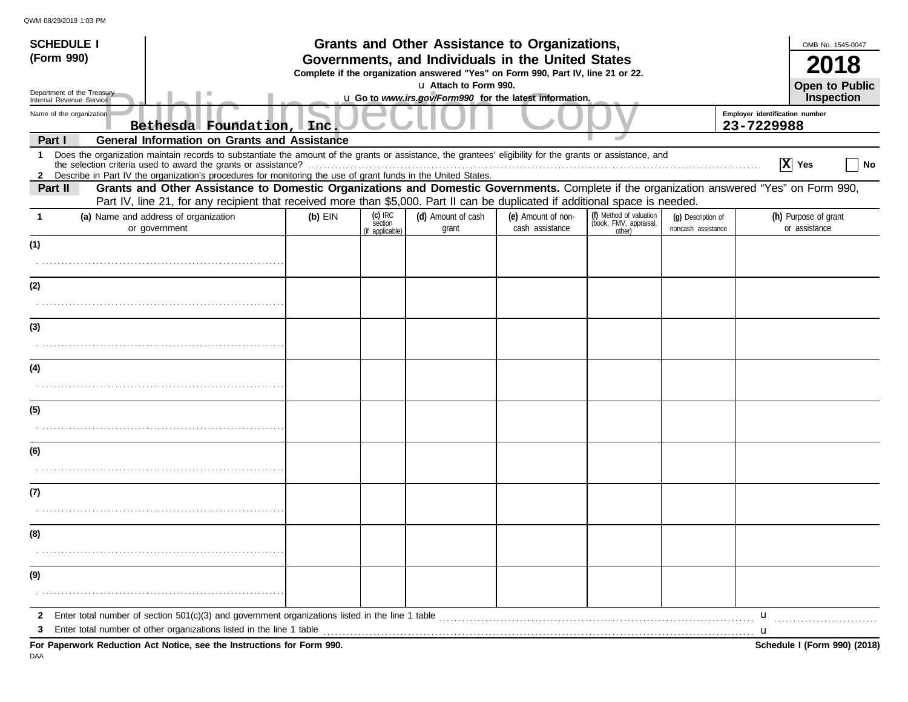| <b>SCHEDULE I</b>                                                                                                                                                                                                                                                                    |                                                                                                                                       |                                         | Grants and Other Assistance to Organizations,           |                                       |                                                             |                                          |                                       | OMB No. 1545-0047     |  |
|--------------------------------------------------------------------------------------------------------------------------------------------------------------------------------------------------------------------------------------------------------------------------------------|---------------------------------------------------------------------------------------------------------------------------------------|-----------------------------------------|---------------------------------------------------------|---------------------------------------|-------------------------------------------------------------|------------------------------------------|---------------------------------------|-----------------------|--|
| (Form 990)                                                                                                                                                                                                                                                                           | Governments, and Individuals in the United States<br>Complete if the organization answered "Yes" on Form 990, Part IV, line 21 or 22. |                                         |                                                         |                                       |                                                             |                                          |                                       |                       |  |
| Department of the Treasury                                                                                                                                                                                                                                                           |                                                                                                                                       |                                         | u Attach to Form 990.                                   |                                       |                                                             |                                          |                                       | <b>Open to Public</b> |  |
| Internal Revenue Service<br>Name of the organization                                                                                                                                                                                                                                 |                                                                                                                                       |                                         | u Go to www.irs.gov/Form990 for the latest information. |                                       |                                                             |                                          | Employer identification number        | Inspection            |  |
| Bethesda Foundation, Inc                                                                                                                                                                                                                                                             |                                                                                                                                       |                                         |                                                         |                                       |                                                             |                                          | 23-7229988                            |                       |  |
| <b>General Information on Grants and Assistance</b><br>Part I<br>Does the organization maintain records to substantiate the amount of the grants or assistance, the grantees' eligibility for the grants or assistance, and<br>$\mathbf{1}$                                          |                                                                                                                                       |                                         |                                                         |                                       |                                                             |                                          |                                       |                       |  |
| the selection criteria used to award the grants or assistance?<br>2 Describe in Part IV the organization's procedures for monitoring the use of grant funds in the United States.                                                                                                    |                                                                                                                                       |                                         |                                                         |                                       |                                                             |                                          | $ X $ Yes                             | No                    |  |
| Grants and Other Assistance to Domestic Organizations and Domestic Governments. Complete if the organization answered "Yes" on Form 990,<br>Part II<br>Part IV, line 21, for any recipient that received more than \$5,000. Part II can be duplicated if additional space is needed. |                                                                                                                                       |                                         |                                                         |                                       |                                                             |                                          |                                       |                       |  |
| (a) Name and address of organization<br>or government                                                                                                                                                                                                                                | $(b)$ EIN                                                                                                                             | $(c)$ IRC<br>section<br>(if applicable) | (d) Amount of cash<br>grant                             | (e) Amount of non-<br>cash assistance | (f) Method of valuation<br>(book, FMV, appraisal,<br>other) | (g) Description of<br>noncash assistance | (h) Purpose of grant<br>or assistance |                       |  |
| (1)                                                                                                                                                                                                                                                                                  |                                                                                                                                       |                                         |                                                         |                                       |                                                             |                                          |                                       |                       |  |
|                                                                                                                                                                                                                                                                                      |                                                                                                                                       |                                         |                                                         |                                       |                                                             |                                          |                                       |                       |  |
| (2)                                                                                                                                                                                                                                                                                  |                                                                                                                                       |                                         |                                                         |                                       |                                                             |                                          |                                       |                       |  |
|                                                                                                                                                                                                                                                                                      |                                                                                                                                       |                                         |                                                         |                                       |                                                             |                                          |                                       |                       |  |
| (3)                                                                                                                                                                                                                                                                                  |                                                                                                                                       |                                         |                                                         |                                       |                                                             |                                          |                                       |                       |  |
|                                                                                                                                                                                                                                                                                      |                                                                                                                                       |                                         |                                                         |                                       |                                                             |                                          |                                       |                       |  |
| (4)                                                                                                                                                                                                                                                                                  |                                                                                                                                       |                                         |                                                         |                                       |                                                             |                                          |                                       |                       |  |
|                                                                                                                                                                                                                                                                                      |                                                                                                                                       |                                         |                                                         |                                       |                                                             |                                          |                                       |                       |  |
| (5)                                                                                                                                                                                                                                                                                  |                                                                                                                                       |                                         |                                                         |                                       |                                                             |                                          |                                       |                       |  |
|                                                                                                                                                                                                                                                                                      |                                                                                                                                       |                                         |                                                         |                                       |                                                             |                                          |                                       |                       |  |
| (6)                                                                                                                                                                                                                                                                                  |                                                                                                                                       |                                         |                                                         |                                       |                                                             |                                          |                                       |                       |  |
|                                                                                                                                                                                                                                                                                      |                                                                                                                                       |                                         |                                                         |                                       |                                                             |                                          |                                       |                       |  |
| (7)                                                                                                                                                                                                                                                                                  |                                                                                                                                       |                                         |                                                         |                                       |                                                             |                                          |                                       |                       |  |
|                                                                                                                                                                                                                                                                                      |                                                                                                                                       |                                         |                                                         |                                       |                                                             |                                          |                                       |                       |  |
| (8)                                                                                                                                                                                                                                                                                  |                                                                                                                                       |                                         |                                                         |                                       |                                                             |                                          |                                       |                       |  |
|                                                                                                                                                                                                                                                                                      |                                                                                                                                       |                                         |                                                         |                                       |                                                             |                                          |                                       |                       |  |
| (9)                                                                                                                                                                                                                                                                                  |                                                                                                                                       |                                         |                                                         |                                       |                                                             |                                          |                                       |                       |  |
|                                                                                                                                                                                                                                                                                      |                                                                                                                                       |                                         |                                                         |                                       |                                                             |                                          |                                       |                       |  |
|                                                                                                                                                                                                                                                                                      |                                                                                                                                       |                                         |                                                         |                                       |                                                             |                                          | $\mathbf{u}$                          |                       |  |
| 3<br>For Paperwork Reduction Act Notice, see the Instructions for Form 990.                                                                                                                                                                                                          |                                                                                                                                       |                                         |                                                         |                                       |                                                             |                                          | Schedule I (Form 990) (2018)          |                       |  |

DAA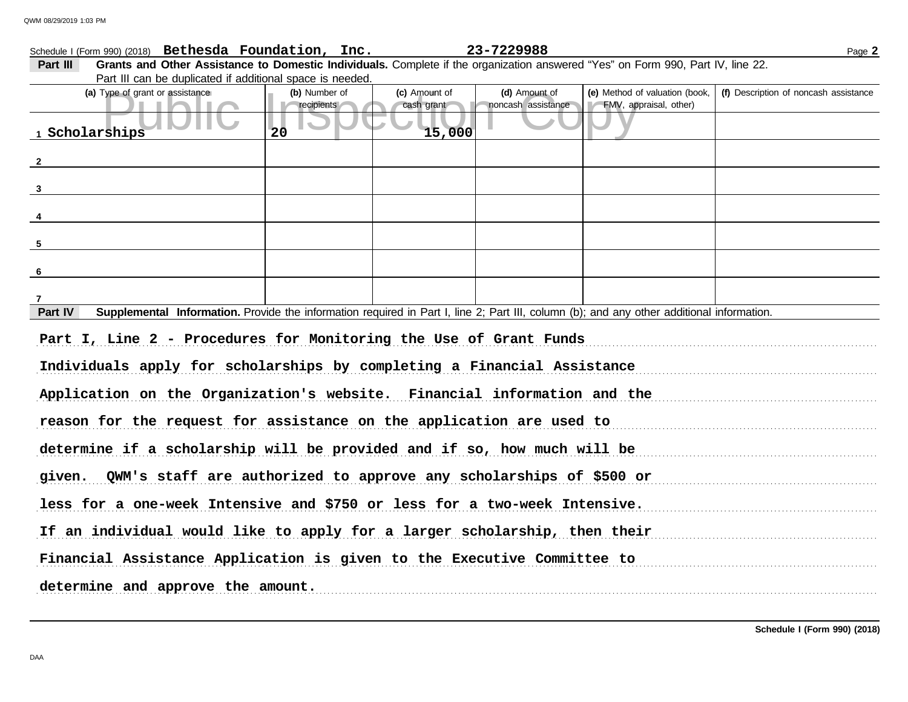|                         | Schedule I (Form 990) (2018) Bethesda Foundation, Inc.                                                                                    |                                   |                             | 23-7229988                          |                                                          | Page 2                                |
|-------------------------|-------------------------------------------------------------------------------------------------------------------------------------------|-----------------------------------|-----------------------------|-------------------------------------|----------------------------------------------------------|---------------------------------------|
| Part III                | Grants and Other Assistance to Domestic Individuals. Complete if the organization answered "Yes" on Form 990, Part IV, line 22.           |                                   |                             |                                     |                                                          |                                       |
|                         | Part III can be duplicated if additional space is needed.                                                                                 |                                   |                             |                                     |                                                          |                                       |
|                         | (a) Type of grant or assistance<br>$\mathbb{R}$                                                                                           | (b) Number of<br>$r =$ recipients | (c) Amount of<br>cash grant | (d) Amount of<br>noncash assistance | (e) Method of valuation (book,<br>FMV, appraisal, other) | (f) Description of noncash assistance |
|                         | . .                                                                                                                                       |                                   |                             |                                     |                                                          |                                       |
|                         | 1 Scholarships                                                                                                                            | 20                                | 15,000                      |                                     |                                                          |                                       |
|                         |                                                                                                                                           |                                   |                             |                                     |                                                          |                                       |
| $\overline{\mathbf{2}}$ |                                                                                                                                           |                                   |                             |                                     |                                                          |                                       |
|                         | $\overline{\mathbf{3}}$                                                                                                                   |                                   |                             |                                     |                                                          |                                       |
|                         |                                                                                                                                           |                                   |                             |                                     |                                                          |                                       |
| $\overline{4}$          |                                                                                                                                           |                                   |                             |                                     |                                                          |                                       |
| 5 <sub>5</sub>          |                                                                                                                                           |                                   |                             |                                     |                                                          |                                       |
|                         |                                                                                                                                           |                                   |                             |                                     |                                                          |                                       |
| $6\overline{6}$         |                                                                                                                                           |                                   |                             |                                     |                                                          |                                       |
| 7                       |                                                                                                                                           |                                   |                             |                                     |                                                          |                                       |
| Part IV                 | Supplemental Information. Provide the information required in Part I, line 2; Part III, column (b); and any other additional information. |                                   |                             |                                     |                                                          |                                       |
|                         | Part I, Line 2 - Procedures for Monitoring the Use of Grant Funds                                                                         |                                   |                             |                                     |                                                          |                                       |
|                         |                                                                                                                                           |                                   |                             |                                     |                                                          |                                       |
|                         | Individuals apply for scholarships by completing a Financial Assistance                                                                   |                                   |                             |                                     |                                                          |                                       |
|                         | Application on the Organization's website. Financial information and the                                                                  |                                   |                             |                                     |                                                          |                                       |
|                         |                                                                                                                                           |                                   |                             |                                     |                                                          |                                       |
|                         | reason for the request for assistance on the application are used to                                                                      |                                   |                             |                                     |                                                          |                                       |
|                         | determine if a scholarship will be provided and if so, how much will be                                                                   |                                   |                             |                                     |                                                          |                                       |
|                         | given. QWM's staff are authorized to approve any scholarships of \$500 or                                                                 |                                   |                             |                                     |                                                          |                                       |
|                         |                                                                                                                                           |                                   |                             |                                     |                                                          |                                       |
|                         | less for a one-week Intensive and \$750 or less for a two-week Intensive.                                                                 |                                   |                             |                                     |                                                          |                                       |
|                         | If an individual would like to apply for a larger scholarship, then their                                                                 |                                   |                             |                                     |                                                          |                                       |
|                         | Financial Assistance Application is given to the Executive Committee to                                                                   |                                   |                             |                                     |                                                          |                                       |
|                         | determine and approve the amount.                                                                                                         |                                   |                             |                                     |                                                          |                                       |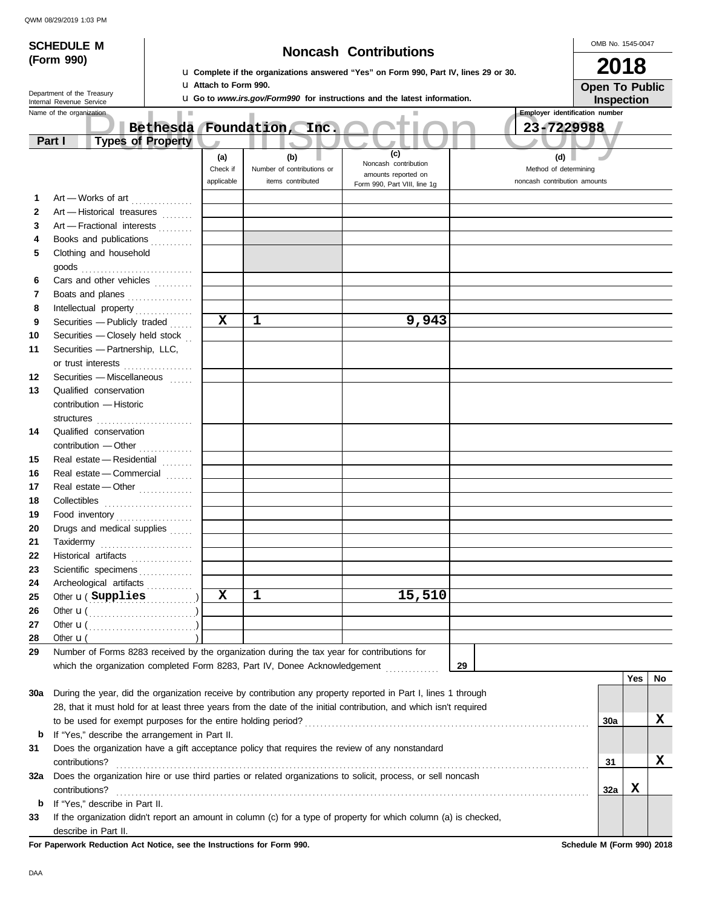|              | <b>SCHEDULE M</b>                                             |                          |                              |                                                                                             | <b>Noncash Contributions</b>                                                                                       |    | OMB No. 1545-0047                     |
|--------------|---------------------------------------------------------------|--------------------------|------------------------------|---------------------------------------------------------------------------------------------|--------------------------------------------------------------------------------------------------------------------|----|---------------------------------------|
| (Form 990)   |                                                               |                          |                              |                                                                                             |                                                                                                                    |    |                                       |
|              |                                                               |                          |                              |                                                                                             | La Complete if the organizations answered "Yes" on Form 990, Part IV, lines 29 or 30.                              |    | 2018                                  |
|              | Department of the Treasury                                    |                          | <b>u</b> Attach to Form 990. |                                                                                             |                                                                                                                    |    | <b>Open To Public</b>                 |
|              | Internal Revenue Service                                      |                          |                              |                                                                                             | <b>u</b> Go to www.irs.gov/Form990 for instructions and the latest information.                                    |    | Inspection                            |
|              | Name of the organization                                      | <b>III</b>               |                              |                                                                                             |                                                                                                                    |    | <b>Employer identification number</b> |
|              | Part I                                                        | Bethesda Foundation,     |                              | Inc.                                                                                        |                                                                                                                    |    | 23-7229988                            |
|              |                                                               | <b>Types of Property</b> |                              |                                                                                             | (c)                                                                                                                |    |                                       |
|              |                                                               |                          | (a)<br>Check if              | (b)<br>Number of contributions or                                                           | Noncash contribution                                                                                               |    | (d)<br>Method of determining          |
|              |                                                               |                          | applicable                   | items contributed                                                                           | amounts reported on<br>Form 990, Part VIII, line 1g                                                                |    | noncash contribution amounts          |
| 1            |                                                               |                          |                              |                                                                                             |                                                                                                                    |    |                                       |
| $\mathbf{2}$ | Art - Works of art<br>Art - Historical treasures              |                          |                              |                                                                                             |                                                                                                                    |    |                                       |
| 3            | Art - Fractional interests                                    |                          |                              |                                                                                             |                                                                                                                    |    |                                       |
| 4            | Books and publications                                        |                          |                              |                                                                                             |                                                                                                                    |    |                                       |
| 5            | Clothing and household                                        |                          |                              |                                                                                             |                                                                                                                    |    |                                       |
|              | $\mathsf{goods}\xrightarrow{\hspace{0.5cm}}$                  |                          |                              |                                                                                             |                                                                                                                    |    |                                       |
| 6            | Cars and other vehicles                                       |                          |                              |                                                                                             |                                                                                                                    |    |                                       |
| 7            | Boats and planes                                              |                          |                              |                                                                                             |                                                                                                                    |    |                                       |
| 8            |                                                               |                          |                              |                                                                                             |                                                                                                                    |    |                                       |
| 9            | Securities - Publicly traded                                  |                          | X                            | 1                                                                                           | 9,943                                                                                                              |    |                                       |
| 10           | Securities - Closely held stock                               |                          |                              |                                                                                             |                                                                                                                    |    |                                       |
| 11           | Securities - Partnership, LLC,                                |                          |                              |                                                                                             |                                                                                                                    |    |                                       |
|              | or trust interests                                            |                          |                              |                                                                                             |                                                                                                                    |    |                                       |
| 12           | Securities - Miscellaneous                                    |                          |                              |                                                                                             |                                                                                                                    |    |                                       |
| 13           | Qualified conservation                                        |                          |                              |                                                                                             |                                                                                                                    |    |                                       |
|              | contribution - Historic                                       |                          |                              |                                                                                             |                                                                                                                    |    |                                       |
|              |                                                               |                          |                              |                                                                                             |                                                                                                                    |    |                                       |
| 14           | Qualified conservation                                        |                          |                              |                                                                                             |                                                                                                                    |    |                                       |
|              |                                                               |                          |                              |                                                                                             |                                                                                                                    |    |                                       |
| 15           | Real estate - Residential                                     |                          |                              |                                                                                             |                                                                                                                    |    |                                       |
| 16           | Real estate - Commercial                                      |                          |                              |                                                                                             |                                                                                                                    |    |                                       |
| 17           | Real estate - Other                                           |                          |                              |                                                                                             |                                                                                                                    |    |                                       |
| 18           |                                                               |                          |                              |                                                                                             |                                                                                                                    |    |                                       |
| 19           | Food inventory                                                |                          |                              |                                                                                             |                                                                                                                    |    |                                       |
| 20           | Drugs and medical supplies                                    |                          |                              |                                                                                             |                                                                                                                    |    |                                       |
| 21           | Taxidermy                                                     |                          |                              |                                                                                             |                                                                                                                    |    |                                       |
| 22           | Historical artifacts                                          |                          |                              |                                                                                             |                                                                                                                    |    |                                       |
| 23           | Scientific specimens                                          |                          |                              |                                                                                             |                                                                                                                    |    |                                       |
| 24<br>25     | Archeological artifacts<br>Other <b>u</b> ( Supplies          |                          | $\mathbf x$                  | $\mathbf 1$                                                                                 | 15,510                                                                                                             |    |                                       |
| 26           | Other $\mathbf{u}(\dots, \dots, \dots, \dots, \dots)$         |                          |                              |                                                                                             |                                                                                                                    |    |                                       |
| 27           | Other $\mathbf{u}(\dots, \dots, \dots, \dots, \dots)$         |                          |                              |                                                                                             |                                                                                                                    |    |                                       |
| 28           | Other $\mathbf{u}$ (                                          |                          |                              |                                                                                             |                                                                                                                    |    |                                       |
| 29           |                                                               |                          |                              | Number of Forms 8283 received by the organization during the tax year for contributions for |                                                                                                                    |    |                                       |
|              |                                                               |                          |                              | which the organization completed Form 8283, Part IV, Donee Acknowledgement                  |                                                                                                                    | 29 |                                       |
|              |                                                               |                          |                              |                                                                                             |                                                                                                                    |    | No<br>Yes                             |
| 30a          |                                                               |                          |                              |                                                                                             | During the year, did the organization receive by contribution any property reported in Part I, lines 1 through     |    |                                       |
|              |                                                               |                          |                              |                                                                                             | 28, that it must hold for at least three years from the date of the initial contribution, and which isn't required |    |                                       |
|              | to be used for exempt purposes for the entire holding period? |                          |                              |                                                                                             |                                                                                                                    |    | х<br><b>30a</b>                       |
| b            | If "Yes," describe the arrangement in Part II.                |                          |                              |                                                                                             |                                                                                                                    |    |                                       |
| 31           |                                                               |                          |                              |                                                                                             | Does the organization have a gift acceptance policy that requires the review of any nonstandard                    |    |                                       |
|              | contributions?                                                |                          |                              |                                                                                             |                                                                                                                    |    | X<br>31                               |
| 32a          |                                                               |                          |                              |                                                                                             | Does the organization hire or use third parties or related organizations to solicit, process, or sell noncash      |    |                                       |
|              | contributions?                                                |                          |                              |                                                                                             |                                                                                                                    |    | X<br>32a                              |
| b            | If "Yes," describe in Part II.                                |                          |                              |                                                                                             |                                                                                                                    |    |                                       |
| 33           |                                                               |                          |                              |                                                                                             | If the organization didn't report an amount in column (c) for a type of property for which column (a) is checked,  |    |                                       |
|              | describe in Part II.                                          |                          |                              |                                                                                             |                                                                                                                    |    |                                       |

**For Paperwork Reduction Act Notice, see the Instructions for Form 990. Schedule M (Form 990) 2018**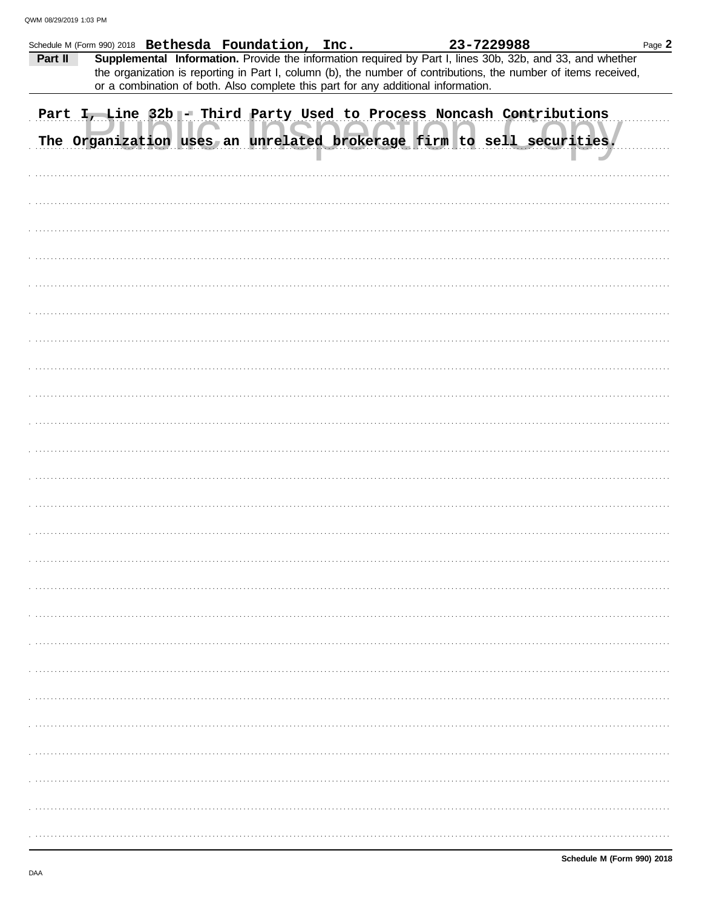|         |  | Schedule M (Form 990) 2018 Bethesda Foundation, Inc.                              |  | 23-7229988                                                                                                                                                                                                                   | Page 2 |
|---------|--|-----------------------------------------------------------------------------------|--|------------------------------------------------------------------------------------------------------------------------------------------------------------------------------------------------------------------------------|--------|
| Part II |  | or a combination of both. Also complete this part for any additional information. |  | Supplemental Information. Provide the information required by Part I, lines 30b, 32b, and 33, and whether<br>the organization is reporting in Part I, column (b), the number of contributions, the number of items received, |        |
|         |  |                                                                                   |  | Part I, Line 32b - Third Party Used to Process Noncash Contributions<br>The Organization uses an unrelated brokerage firm to sell securities.                                                                                |        |
|         |  |                                                                                   |  |                                                                                                                                                                                                                              |        |
|         |  |                                                                                   |  |                                                                                                                                                                                                                              |        |
|         |  |                                                                                   |  |                                                                                                                                                                                                                              |        |
|         |  |                                                                                   |  |                                                                                                                                                                                                                              |        |
|         |  |                                                                                   |  |                                                                                                                                                                                                                              |        |
|         |  |                                                                                   |  |                                                                                                                                                                                                                              |        |
|         |  |                                                                                   |  |                                                                                                                                                                                                                              |        |
|         |  |                                                                                   |  |                                                                                                                                                                                                                              |        |
|         |  |                                                                                   |  |                                                                                                                                                                                                                              |        |
|         |  |                                                                                   |  |                                                                                                                                                                                                                              |        |
|         |  |                                                                                   |  |                                                                                                                                                                                                                              |        |
|         |  |                                                                                   |  |                                                                                                                                                                                                                              |        |
|         |  |                                                                                   |  |                                                                                                                                                                                                                              |        |
|         |  |                                                                                   |  |                                                                                                                                                                                                                              |        |
|         |  |                                                                                   |  |                                                                                                                                                                                                                              |        |
|         |  |                                                                                   |  |                                                                                                                                                                                                                              |        |
|         |  |                                                                                   |  |                                                                                                                                                                                                                              |        |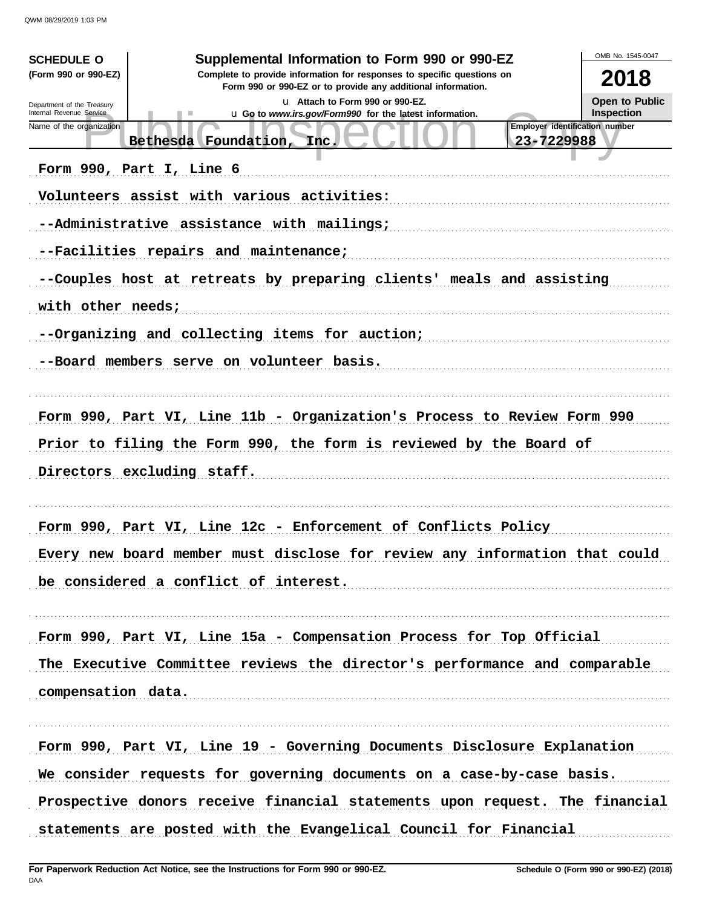| <b>SCHEDULE O</b><br>(Form 990 or 990-EZ)              | Supplemental Information to Form 990 or 990-EZ<br>Complete to provide information for responses to specific questions on | OMB No. 1545-0047<br>2018      |
|--------------------------------------------------------|--------------------------------------------------------------------------------------------------------------------------|--------------------------------|
|                                                        | Form 990 or 990-EZ or to provide any additional information.                                                             |                                |
| Department of the Treasury<br>Internal Revenue Service | u Attach to Form 990 or 990-EZ.<br>u Go to www.irs.gov/Form990 for the latest information.                               | Open to Public<br>Inspection   |
| Name of the organization                               | 23-7229988<br>Bethesda Foundation,<br>Inc.                                                                               | Employer identification number |
|                                                        | Form 990, Part I, Line 6                                                                                                 |                                |
|                                                        | Volunteers assist with various activities:                                                                               |                                |
|                                                        | --Administrative assistance with mailings;                                                                               |                                |
|                                                        | --Facilities repairs and maintenance;                                                                                    |                                |
|                                                        | --Couples host at retreats by preparing clients' meals and assisting                                                     |                                |
| with other needs;                                      |                                                                                                                          |                                |
|                                                        | --Organizing and collecting items for auction;                                                                           |                                |
|                                                        | --Board members serve on volunteer basis.                                                                                |                                |
|                                                        | Form 990, Part VI, Line 11b - Organization's Process to Review Form 990                                                  |                                |
|                                                        | Prior to filing the Form 990, the form is reviewed by the Board of                                                       |                                |
|                                                        | Directors excluding staff.                                                                                               |                                |
|                                                        | Form 990, Part VI, Line 12c - Enforcement of Conflicts Policy                                                            |                                |
|                                                        | Every new board member must disclose for review any information that could                                               |                                |
|                                                        | be considered a conflict of interest.                                                                                    |                                |
|                                                        | Form 990, Part VI, Line 15a - Compensation Process for Top Official                                                      |                                |
|                                                        | The Executive Committee reviews the director's performance and comparable                                                |                                |
| compensation data.                                     |                                                                                                                          |                                |
|                                                        | Form 990, Part VI, Line 19 - Governing Documents Disclosure Explanation                                                  |                                |
|                                                        | We consider requests for governing documents on a case-by-case basis.                                                    |                                |
|                                                        | Prospective donors receive financial statements upon request. The financial                                              |                                |
|                                                        | statements are posted with the Evangelical Council for Financial                                                         |                                |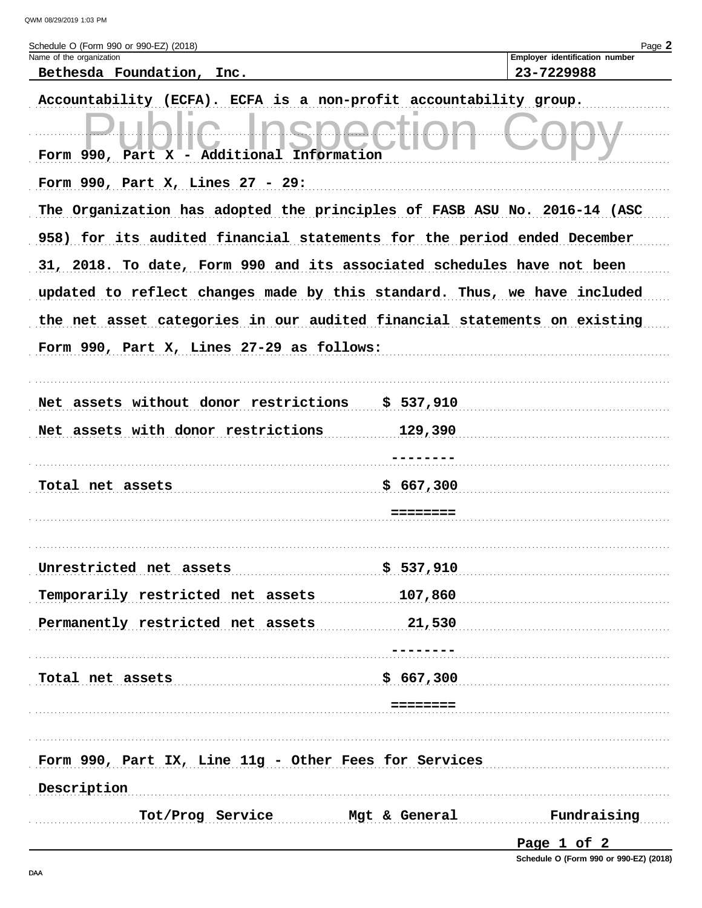| Schedule O (Form 990 or 990-EZ) (2018)<br>Name of the organization       | Page 2<br>Employer identification number |
|--------------------------------------------------------------------------|------------------------------------------|
| Bethesda Foundation, Inc.                                                | 23-7229988                               |
| Accountability (ECFA). ECFA is a non-profit accountability group.        |                                          |
| Form 990, Part X - Additional Information                                |                                          |
|                                                                          |                                          |
| Form $990$ , Part X, Lines $27 - 29$ :                                   |                                          |
| The Organization has adopted the principles of FASB ASU No. 2016-14 (ASC |                                          |
| 958) for its audited financial statements for the period ended December  |                                          |
| 31, 2018. To date, Form 990 and its associated schedules have not been   |                                          |
| updated to reflect changes made by this standard. Thus, we have included |                                          |
| the net asset categories in our audited financial statements on existing |                                          |
| Form 990, Part X, Lines 27-29 as follows:                                |                                          |
|                                                                          |                                          |
| Net assets without donor restrictions                                    | \$537,910                                |
| Net assets with donor restrictions                                       | 129,390                                  |
|                                                                          |                                          |
| Total net assets                                                         | \$667,300                                |
|                                                                          |                                          |
|                                                                          |                                          |
| Unrestricted net assets                                                  | \$537,910                                |
| Temporarily restricted net assets                                        | 107,860                                  |
| Permanently restricted net assets                                        | 21,530                                   |
|                                                                          |                                          |
| Total net assets                                                         | \$667,300                                |
|                                                                          | --------                                 |
|                                                                          |                                          |
| Form 990, Part IX, Line 11g - Other Fees for Services                    |                                          |
| Description                                                              |                                          |
| Tot/Prog Service                                                         | Fundraising<br>Mgt & General             |
|                                                                          |                                          |

Schedule O (Form 990 or 990-EZ) (2018)